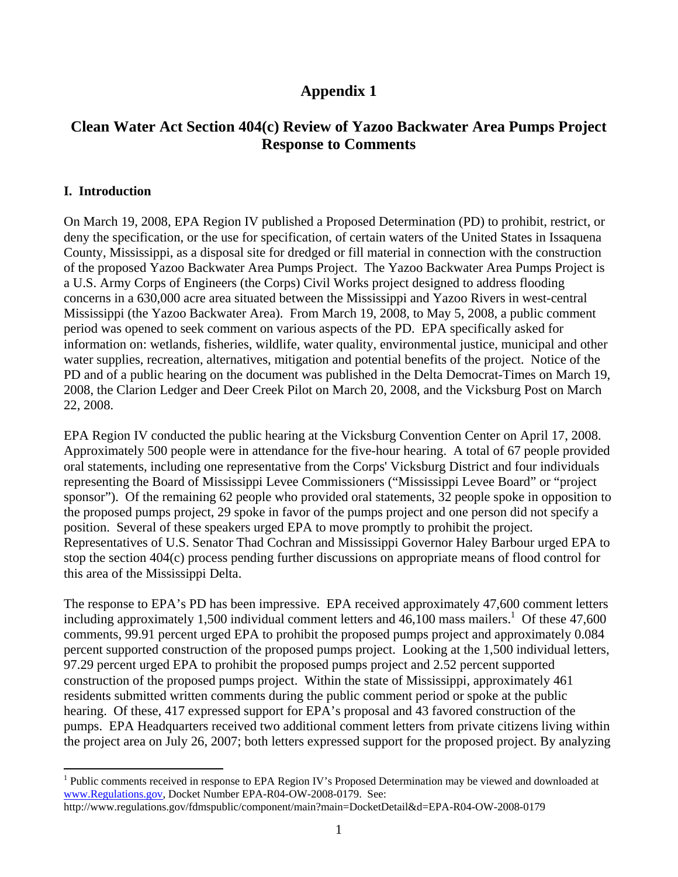# **Appendix 1**

## **Clean Water Act Section 404(c) Review of Yazoo Backwater Area Pumps Project Response to Comments**

#### **I. Introduction**

 $\overline{a}$ 

On March 19, 2008, EPA Region IV published a Proposed Determination (PD) to prohibit, restrict, or deny the specification, or the use for specification, of certain waters of the United States in Issaquena County, Mississippi, as a disposal site for dredged or fill material in connection with the construction of the proposed Yazoo Backwater Area Pumps Project. The Yazoo Backwater Area Pumps Project is a U.S. Army Corps of Engineers (the Corps) Civil Works project designed to address flooding concerns in a 630,000 acre area situated between the Mississippi and Yazoo Rivers in west-central Mississippi (the Yazoo Backwater Area). From March 19, 2008, to May 5, 2008, a public comment period was opened to seek comment on various aspects of the PD. EPA specifically asked for information on: wetlands, fisheries, wildlife, water quality, environmental justice, municipal and other water supplies, recreation, alternatives, mitigation and potential benefits of the project. Notice of the PD and of a public hearing on the document was published in the Delta Democrat-Times on March 19, 2008, the Clarion Ledger and Deer Creek Pilot on March 20, 2008, and the Vicksburg Post on March 22, 2008.

EPA Region IV conducted the public hearing at the Vicksburg Convention Center on April 17, 2008. Approximately 500 people were in attendance for the five-hour hearing. A total of 67 people provided oral statements, including one representative from the Corps' Vicksburg District and four individuals representing the Board of Mississippi Levee Commissioners ("Mississippi Levee Board" or "project sponsor"). Of the remaining 62 people who provided oral statements, 32 people spoke in opposition to the proposed pumps project, 29 spoke in favor of the pumps project and one person did not specify a position. Several of these speakers urged EPA to move promptly to prohibit the project. Representatives of U.S. Senator Thad Cochran and Mississippi Governor Haley Barbour urged EPA to stop the section 404(c) process pending further discussions on appropriate means of flood control for this area of the Mississippi Delta.

The response to EPA's PD has been impressive. EPA received approximately 47,600 comment letters including approximately 1,500 individual comment letters and  $46,100$  mass mailers.<sup>1</sup> Of these 47,600 comments, 99.91 percent urged EPA to prohibit the proposed pumps project and approximately 0.084 percent supported construction of the proposed pumps project. Looking at the 1,500 individual letters, 97.29 percent urged EPA to prohibit the proposed pumps project and 2.52 percent supported construction of the proposed pumps project. Within the state of Mississippi, approximately 461 residents submitted written comments during the public comment period or spoke at the public hearing. Of these, 417 expressed support for EPA's proposal and 43 favored construction of the pumps. EPA Headquarters received two additional comment letters from private citizens living within the project area on July 26, 2007; both letters expressed support for the proposed project. By analyzing

<sup>&</sup>lt;sup>1</sup> Public comments received in response to EPA Region IV's Proposed Determination may be viewed and downloaded at www.Regulations.gov, Docket Number EPA-R04-OW-2008-0179. See:

http://www.regulations.gov/fdmspublic/component/main?main=DocketDetail&d=EPA-R04-OW-2008-0179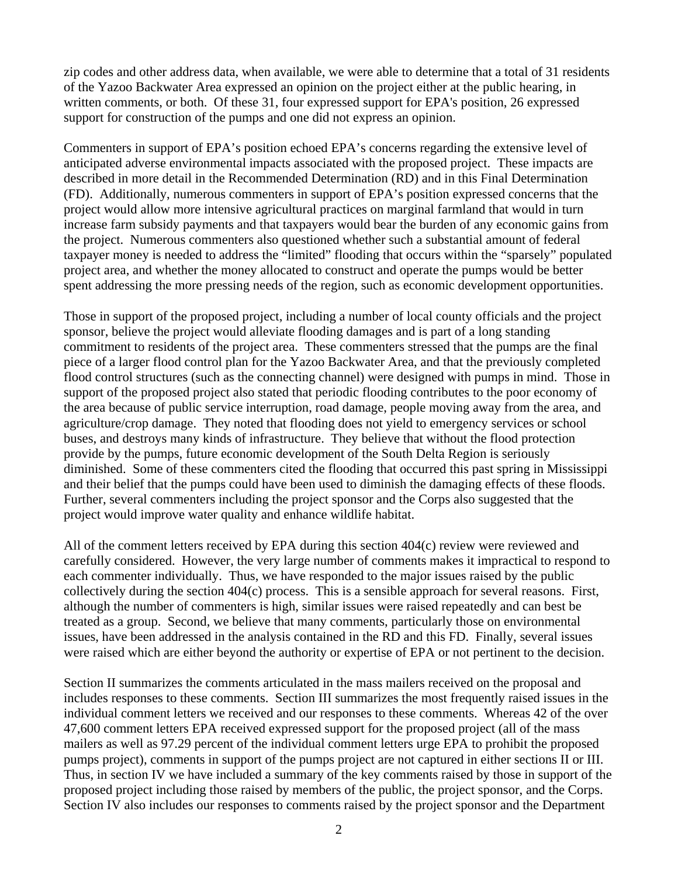zip codes and other address data, when available, we were able to determine that a total of 31 residents of the Yazoo Backwater Area expressed an opinion on the project either at the public hearing, in written comments, or both. Of these 31, four expressed support for EPA's position, 26 expressed support for construction of the pumps and one did not express an opinion.

Commenters in support of EPA's position echoed EPA's concerns regarding the extensive level of anticipated adverse environmental impacts associated with the proposed project. These impacts are described in more detail in the Recommended Determination (RD) and in this Final Determination (FD). Additionally, numerous commenters in support of EPA's position expressed concerns that the project would allow more intensive agricultural practices on marginal farmland that would in turn increase farm subsidy payments and that taxpayers would bear the burden of any economic gains from the project. Numerous commenters also questioned whether such a substantial amount of federal taxpayer money is needed to address the "limited" flooding that occurs within the "sparsely" populated project area, and whether the money allocated to construct and operate the pumps would be better spent addressing the more pressing needs of the region, such as economic development opportunities.

Those in support of the proposed project, including a number of local county officials and the project sponsor, believe the project would alleviate flooding damages and is part of a long standing commitment to residents of the project area. These commenters stressed that the pumps are the final piece of a larger flood control plan for the Yazoo Backwater Area, and that the previously completed flood control structures (such as the connecting channel) were designed with pumps in mind. Those in support of the proposed project also stated that periodic flooding contributes to the poor economy of the area because of public service interruption, road damage, people moving away from the area, and agriculture/crop damage. They noted that flooding does not yield to emergency services or school buses, and destroys many kinds of infrastructure. They believe that without the flood protection provide by the pumps, future economic development of the South Delta Region is seriously diminished. Some of these commenters cited the flooding that occurred this past spring in Mississippi and their belief that the pumps could have been used to diminish the damaging effects of these floods. Further, several commenters including the project sponsor and the Corps also suggested that the project would improve water quality and enhance wildlife habitat.

All of the comment letters received by EPA during this section 404(c) review were reviewed and carefully considered. However, the very large number of comments makes it impractical to respond to each commenter individually. Thus, we have responded to the major issues raised by the public collectively during the section 404(c) process. This is a sensible approach for several reasons. First, although the number of commenters is high, similar issues were raised repeatedly and can best be treated as a group. Second, we believe that many comments, particularly those on environmental issues, have been addressed in the analysis contained in the RD and this FD. Finally, several issues were raised which are either beyond the authority or expertise of EPA or not pertinent to the decision.

Section II summarizes the comments articulated in the mass mailers received on the proposal and includes responses to these comments. Section III summarizes the most frequently raised issues in the individual comment letters we received and our responses to these comments. Whereas 42 of the over 47,600 comment letters EPA received expressed support for the proposed project (all of the mass mailers as well as 97.29 percent of the individual comment letters urge EPA to prohibit the proposed pumps project), comments in support of the pumps project are not captured in either sections II or III. Thus, in section IV we have included a summary of the key comments raised by those in support of the proposed project including those raised by members of the public, the project sponsor, and the Corps. Section IV also includes our responses to comments raised by the project sponsor and the Department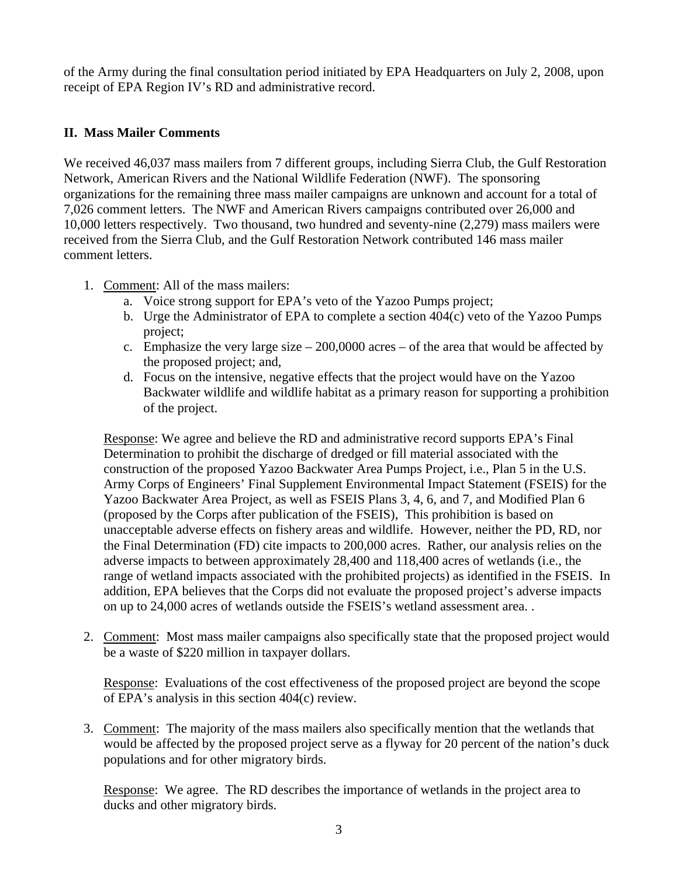of the Army during the final consultation period initiated by EPA Headquarters on July 2, 2008, upon receipt of EPA Region IV's RD and administrative record.

### **II. Mass Mailer Comments**

We received 46,037 mass mailers from 7 different groups, including Sierra Club, the Gulf Restoration Network, American Rivers and the National Wildlife Federation (NWF). The sponsoring organizations for the remaining three mass mailer campaigns are unknown and account for a total of 7,026 comment letters. The NWF and American Rivers campaigns contributed over 26,000 and 10,000 letters respectively. Two thousand, two hundred and seventy-nine (2,279) mass mailers were received from the Sierra Club, and the Gulf Restoration Network contributed 146 mass mailer comment letters.

- 1. Comment: All of the mass mailers:
	- a. Voice strong support for EPA's veto of the Yazoo Pumps project;
	- b. Urge the Administrator of EPA to complete a section 404(c) veto of the Yazoo Pumps project;
	- c. Emphasize the very large size  $-200,0000$  acres  $-$  of the area that would be affected by the proposed project; and,
	- d. Focus on the intensive, negative effects that the project would have on the Yazoo Backwater wildlife and wildlife habitat as a primary reason for supporting a prohibition of the project.

Response: We agree and believe the RD and administrative record supports EPA's Final Determination to prohibit the discharge of dredged or fill material associated with the construction of the proposed Yazoo Backwater Area Pumps Project, i.e., Plan 5 in the U.S. Army Corps of Engineers' Final Supplement Environmental Impact Statement (FSEIS) for the Yazoo Backwater Area Project, as well as FSEIS Plans 3, 4, 6, and 7, and Modified Plan 6 (proposed by the Corps after publication of the FSEIS), This prohibition is based on unacceptable adverse effects on fishery areas and wildlife. However, neither the PD, RD, nor the Final Determination (FD) cite impacts to 200,000 acres. Rather, our analysis relies on the adverse impacts to between approximately 28,400 and 118,400 acres of wetlands (i.e., the range of wetland impacts associated with the prohibited projects) as identified in the FSEIS. In addition, EPA believes that the Corps did not evaluate the proposed project's adverse impacts on up to 24,000 acres of wetlands outside the FSEIS's wetland assessment area. .

2. Comment: Most mass mailer campaigns also specifically state that the proposed project would be a waste of \$220 million in taxpayer dollars.

Response: Evaluations of the cost effectiveness of the proposed project are beyond the scope of EPA's analysis in this section 404(c) review.

3. Comment: The majority of the mass mailers also specifically mention that the wetlands that would be affected by the proposed project serve as a flyway for 20 percent of the nation's duck populations and for other migratory birds.

Response: We agree. The RD describes the importance of wetlands in the project area to ducks and other migratory birds.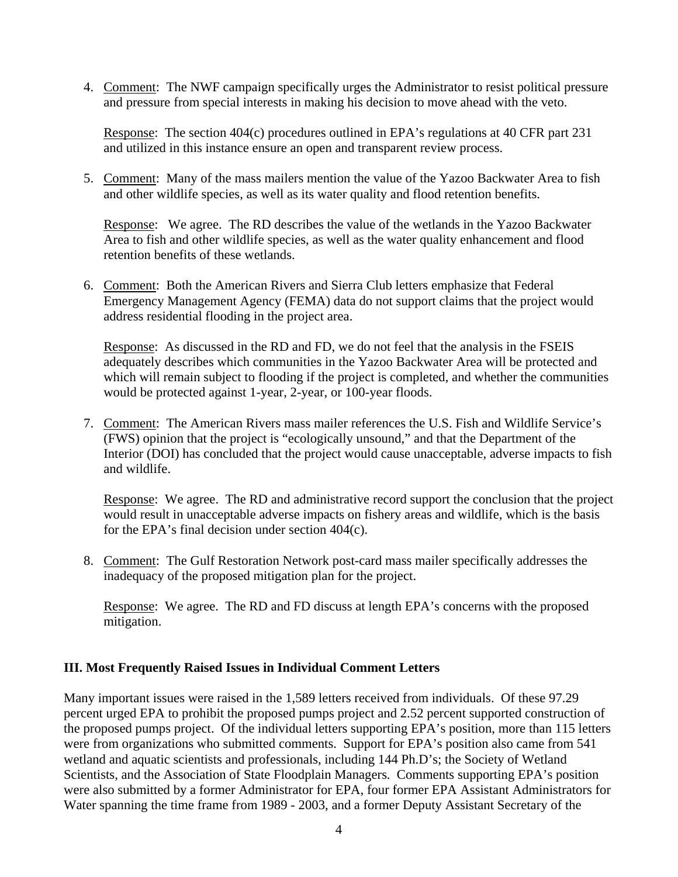4. Comment: The NWF campaign specifically urges the Administrator to resist political pressure and pressure from special interests in making his decision to move ahead with the veto.

Response: The section 404(c) procedures outlined in EPA's regulations at 40 CFR part 231 and utilized in this instance ensure an open and transparent review process.

5. Comment: Many of the mass mailers mention the value of the Yazoo Backwater Area to fish and other wildlife species, as well as its water quality and flood retention benefits.

Response: We agree. The RD describes the value of the wetlands in the Yazoo Backwater Area to fish and other wildlife species, as well as the water quality enhancement and flood retention benefits of these wetlands.

6. Comment: Both the American Rivers and Sierra Club letters emphasize that Federal Emergency Management Agency (FEMA) data do not support claims that the project would address residential flooding in the project area.

Response: As discussed in the RD and FD, we do not feel that the analysis in the FSEIS adequately describes which communities in the Yazoo Backwater Area will be protected and which will remain subject to flooding if the project is completed, and whether the communities would be protected against 1-year, 2-year, or 100-year floods.

7. Comment: The American Rivers mass mailer references the U.S. Fish and Wildlife Service's (FWS) opinion that the project is "ecologically unsound," and that the Department of the Interior (DOI) has concluded that the project would cause unacceptable, adverse impacts to fish and wildlife.

Response: We agree. The RD and administrative record support the conclusion that the project would result in unacceptable adverse impacts on fishery areas and wildlife, which is the basis for the EPA's final decision under section 404(c).

8. Comment: The Gulf Restoration Network post-card mass mailer specifically addresses the inadequacy of the proposed mitigation plan for the project.

Response: We agree. The RD and FD discuss at length EPA's concerns with the proposed mitigation.

### **III. Most Frequently Raised Issues in Individual Comment Letters**

Many important issues were raised in the 1,589 letters received from individuals. Of these 97.29 percent urged EPA to prohibit the proposed pumps project and 2.52 percent supported construction of the proposed pumps project. Of the individual letters supporting EPA's position, more than 115 letters were from organizations who submitted comments. Support for EPA's position also came from 541 wetland and aquatic scientists and professionals, including 144 Ph.D's; the Society of Wetland Scientists, and the Association of State Floodplain Managers. Comments supporting EPA's position were also submitted by a former Administrator for EPA, four former EPA Assistant Administrators for Water spanning the time frame from 1989 - 2003, and a former Deputy Assistant Secretary of the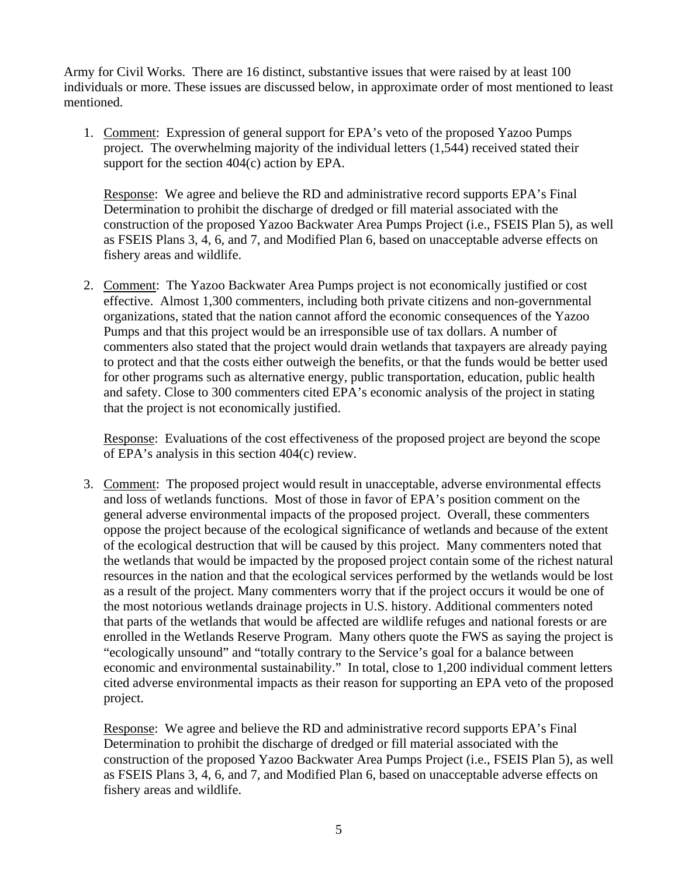Army for Civil Works. There are 16 distinct, substantive issues that were raised by at least 100 individuals or more. These issues are discussed below, in approximate order of most mentioned to least mentioned.

1. Comment: Expression of general support for EPA's veto of the proposed Yazoo Pumps project. The overwhelming majority of the individual letters (1,544) received stated their support for the section 404(c) action by EPA.

Response: We agree and believe the RD and administrative record supports EPA's Final Determination to prohibit the discharge of dredged or fill material associated with the construction of the proposed Yazoo Backwater Area Pumps Project (i.e., FSEIS Plan 5), as well as FSEIS Plans 3, 4, 6, and 7, and Modified Plan 6, based on unacceptable adverse effects on fishery areas and wildlife.

2. Comment: The Yazoo Backwater Area Pumps project is not economically justified or cost effective. Almost 1,300 commenters, including both private citizens and non-governmental organizations, stated that the nation cannot afford the economic consequences of the Yazoo Pumps and that this project would be an irresponsible use of tax dollars. A number of commenters also stated that the project would drain wetlands that taxpayers are already paying to protect and that the costs either outweigh the benefits, or that the funds would be better used for other programs such as alternative energy, public transportation, education, public health and safety. Close to 300 commenters cited EPA's economic analysis of the project in stating that the project is not economically justified.

Response: Evaluations of the cost effectiveness of the proposed project are beyond the scope of EPA's analysis in this section 404(c) review.

3. Comment: The proposed project would result in unacceptable, adverse environmental effects and loss of wetlands functions. Most of those in favor of EPA's position comment on the general adverse environmental impacts of the proposed project. Overall, these commenters oppose the project because of the ecological significance of wetlands and because of the extent of the ecological destruction that will be caused by this project. Many commenters noted that the wetlands that would be impacted by the proposed project contain some of the richest natural resources in the nation and that the ecological services performed by the wetlands would be lost as a result of the project. Many commenters worry that if the project occurs it would be one of the most notorious wetlands drainage projects in U.S. history. Additional commenters noted that parts of the wetlands that would be affected are wildlife refuges and national forests or are enrolled in the Wetlands Reserve Program. Many others quote the FWS as saying the project is "ecologically unsound" and "totally contrary to the Service's goal for a balance between economic and environmental sustainability." In total, close to 1,200 individual comment letters cited adverse environmental impacts as their reason for supporting an EPA veto of the proposed project.

Response: We agree and believe the RD and administrative record supports EPA's Final Determination to prohibit the discharge of dredged or fill material associated with the construction of the proposed Yazoo Backwater Area Pumps Project (i.e., FSEIS Plan 5), as well as FSEIS Plans 3, 4, 6, and 7, and Modified Plan 6, based on unacceptable adverse effects on fishery areas and wildlife.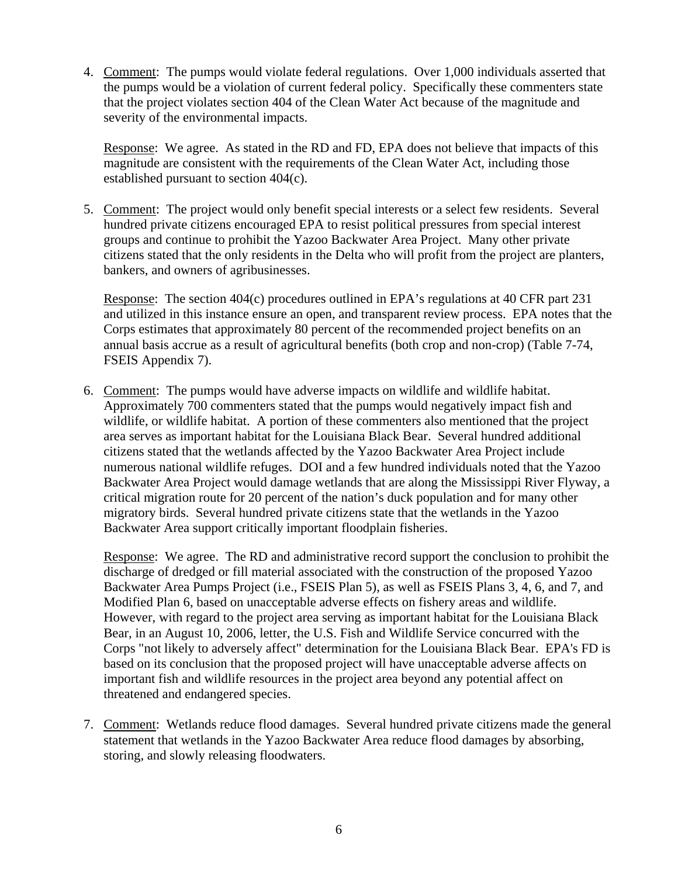4. Comment: The pumps would violate federal regulations. Over 1,000 individuals asserted that the pumps would be a violation of current federal policy. Specifically these commenters state that the project violates section 404 of the Clean Water Act because of the magnitude and severity of the environmental impacts.

Response: We agree. As stated in the RD and FD, EPA does not believe that impacts of this magnitude are consistent with the requirements of the Clean Water Act, including those established pursuant to section 404(c).

5. Comment: The project would only benefit special interests or a select few residents. Several hundred private citizens encouraged EPA to resist political pressures from special interest groups and continue to prohibit the Yazoo Backwater Area Project. Many other private citizens stated that the only residents in the Delta who will profit from the project are planters, bankers, and owners of agribusinesses.

Response: The section 404(c) procedures outlined in EPA's regulations at 40 CFR part 231 and utilized in this instance ensure an open, and transparent review process. EPA notes that the Corps estimates that approximately 80 percent of the recommended project benefits on an annual basis accrue as a result of agricultural benefits (both crop and non-crop) (Table 7-74, FSEIS Appendix 7).

6. Comment: The pumps would have adverse impacts on wildlife and wildlife habitat. Approximately 700 commenters stated that the pumps would negatively impact fish and wildlife, or wildlife habitat. A portion of these commenters also mentioned that the project area serves as important habitat for the Louisiana Black Bear. Several hundred additional citizens stated that the wetlands affected by the Yazoo Backwater Area Project include numerous national wildlife refuges. DOI and a few hundred individuals noted that the Yazoo Backwater Area Project would damage wetlands that are along the Mississippi River Flyway, a critical migration route for 20 percent of the nation's duck population and for many other migratory birds. Several hundred private citizens state that the wetlands in the Yazoo Backwater Area support critically important floodplain fisheries.

Response: We agree. The RD and administrative record support the conclusion to prohibit the discharge of dredged or fill material associated with the construction of the proposed Yazoo Backwater Area Pumps Project (i.e., FSEIS Plan 5), as well as FSEIS Plans 3, 4, 6, and 7, and Modified Plan 6, based on unacceptable adverse effects on fishery areas and wildlife. However, with regard to the project area serving as important habitat for the Louisiana Black Bear, in an August 10, 2006, letter, the U.S. Fish and Wildlife Service concurred with the Corps "not likely to adversely affect" determination for the Louisiana Black Bear. EPA's FD is based on its conclusion that the proposed project will have unacceptable adverse affects on important fish and wildlife resources in the project area beyond any potential affect on threatened and endangered species.

7. Comment: Wetlands reduce flood damages. Several hundred private citizens made the general statement that wetlands in the Yazoo Backwater Area reduce flood damages by absorbing, storing, and slowly releasing floodwaters.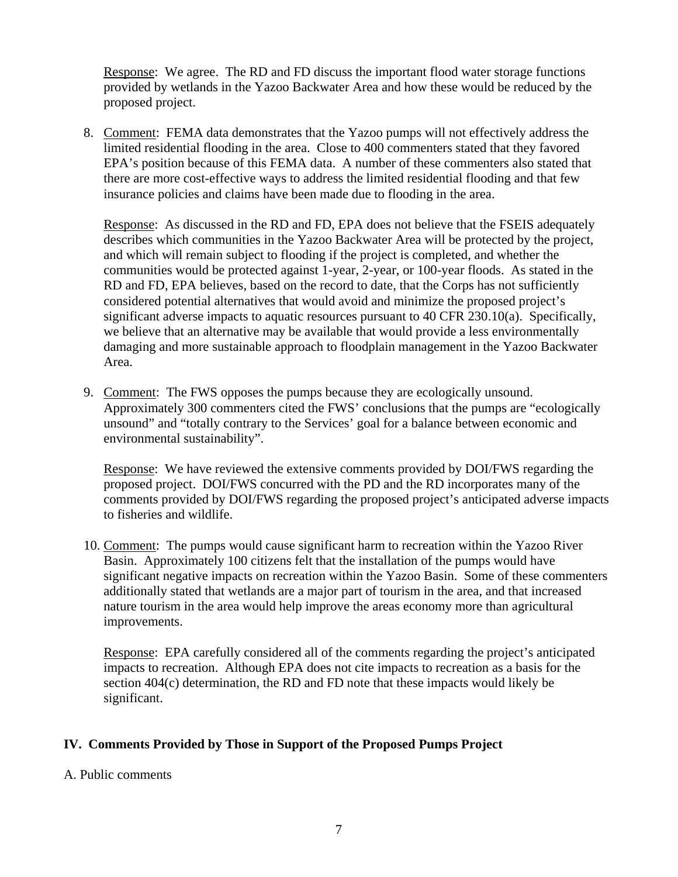Response: We agree. The RD and FD discuss the important flood water storage functions provided by wetlands in the Yazoo Backwater Area and how these would be reduced by the proposed project.

8. Comment: FEMA data demonstrates that the Yazoo pumps will not effectively address the limited residential flooding in the area. Close to 400 commenters stated that they favored EPA's position because of this FEMA data. A number of these commenters also stated that there are more cost-effective ways to address the limited residential flooding and that few insurance policies and claims have been made due to flooding in the area.

Response: As discussed in the RD and FD, EPA does not believe that the FSEIS adequately describes which communities in the Yazoo Backwater Area will be protected by the project, and which will remain subject to flooding if the project is completed, and whether the communities would be protected against 1-year, 2-year, or 100-year floods. As stated in the RD and FD, EPA believes, based on the record to date, that the Corps has not sufficiently considered potential alternatives that would avoid and minimize the proposed project's significant adverse impacts to aquatic resources pursuant to 40 CFR 230.10(a). Specifically, we believe that an alternative may be available that would provide a less environmentally damaging and more sustainable approach to floodplain management in the Yazoo Backwater Area.

9. Comment: The FWS opposes the pumps because they are ecologically unsound. Approximately 300 commenters cited the FWS' conclusions that the pumps are "ecologically unsound" and "totally contrary to the Services' goal for a balance between economic and environmental sustainability".

Response: We have reviewed the extensive comments provided by DOI/FWS regarding the proposed project. DOI/FWS concurred with the PD and the RD incorporates many of the comments provided by DOI/FWS regarding the proposed project's anticipated adverse impacts to fisheries and wildlife.

10. Comment: The pumps would cause significant harm to recreation within the Yazoo River Basin. Approximately 100 citizens felt that the installation of the pumps would have significant negative impacts on recreation within the Yazoo Basin. Some of these commenters additionally stated that wetlands are a major part of tourism in the area, and that increased nature tourism in the area would help improve the areas economy more than agricultural improvements.

Response: EPA carefully considered all of the comments regarding the project's anticipated impacts to recreation. Although EPA does not cite impacts to recreation as a basis for the section 404(c) determination, the RD and FD note that these impacts would likely be significant.

### **IV. Comments Provided by Those in Support of the Proposed Pumps Project**

A. Public comments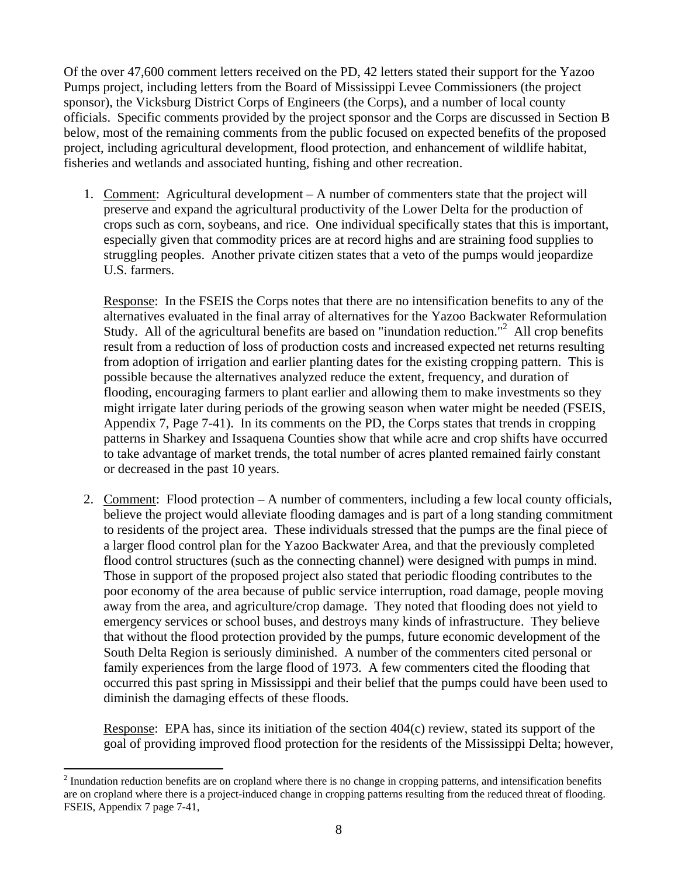Of the over 47,600 comment letters received on the PD, 42 letters stated their support for the Yazoo Pumps project, including letters from the Board of Mississippi Levee Commissioners (the project sponsor), the Vicksburg District Corps of Engineers (the Corps), and a number of local county officials. Specific comments provided by the project sponsor and the Corps are discussed in Section B below, most of the remaining comments from the public focused on expected benefits of the proposed project, including agricultural development, flood protection, and enhancement of wildlife habitat, fisheries and wetlands and associated hunting, fishing and other recreation.

1. Comment: Agricultural development – A number of commenters state that the project will preserve and expand the agricultural productivity of the Lower Delta for the production of crops such as corn, soybeans, and rice. One individual specifically states that this is important, especially given that commodity prices are at record highs and are straining food supplies to struggling peoples. Another private citizen states that a veto of the pumps would jeopardize U.S. farmers.

Response: In the FSEIS the Corps notes that there are no intensification benefits to any of the alternatives evaluated in the final array of alternatives for the Yazoo Backwater Reformulation Study. All of the agricultural benefits are based on "inundation reduction."<sup>2</sup> All crop benefits result from a reduction of loss of production costs and increased expected net returns resulting from adoption of irrigation and earlier planting dates for the existing cropping pattern. This is possible because the alternatives analyzed reduce the extent, frequency, and duration of flooding, encouraging farmers to plant earlier and allowing them to make investments so they might irrigate later during periods of the growing season when water might be needed (FSEIS, Appendix 7, Page 7-41). In its comments on the PD, the Corps states that trends in cropping patterns in Sharkey and Issaquena Counties show that while acre and crop shifts have occurred to take advantage of market trends, the total number of acres planted remained fairly constant or decreased in the past 10 years.

2. Comment: Flood protection – A number of commenters, including a few local county officials, believe the project would alleviate flooding damages and is part of a long standing commitment to residents of the project area. These individuals stressed that the pumps are the final piece of a larger flood control plan for the Yazoo Backwater Area, and that the previously completed flood control structures (such as the connecting channel) were designed with pumps in mind. Those in support of the proposed project also stated that periodic flooding contributes to the poor economy of the area because of public service interruption, road damage, people moving away from the area, and agriculture/crop damage. They noted that flooding does not yield to emergency services or school buses, and destroys many kinds of infrastructure. They believe that without the flood protection provided by the pumps, future economic development of the South Delta Region is seriously diminished. A number of the commenters cited personal or family experiences from the large flood of 1973. A few commenters cited the flooding that occurred this past spring in Mississippi and their belief that the pumps could have been used to diminish the damaging effects of these floods.

Response: EPA has, since its initiation of the section 404(c) review, stated its support of the goal of providing improved flood protection for the residents of the Mississippi Delta; however,

<sup>&</sup>lt;sup>2</sup> Inundation reduction benefits are on cropland where there is no change in cropping patterns, and intensification benefits are on cropland where there is a project-induced change in cropping patterns resulting from the reduced threat of flooding. FSEIS, Appendix 7 page 7-41,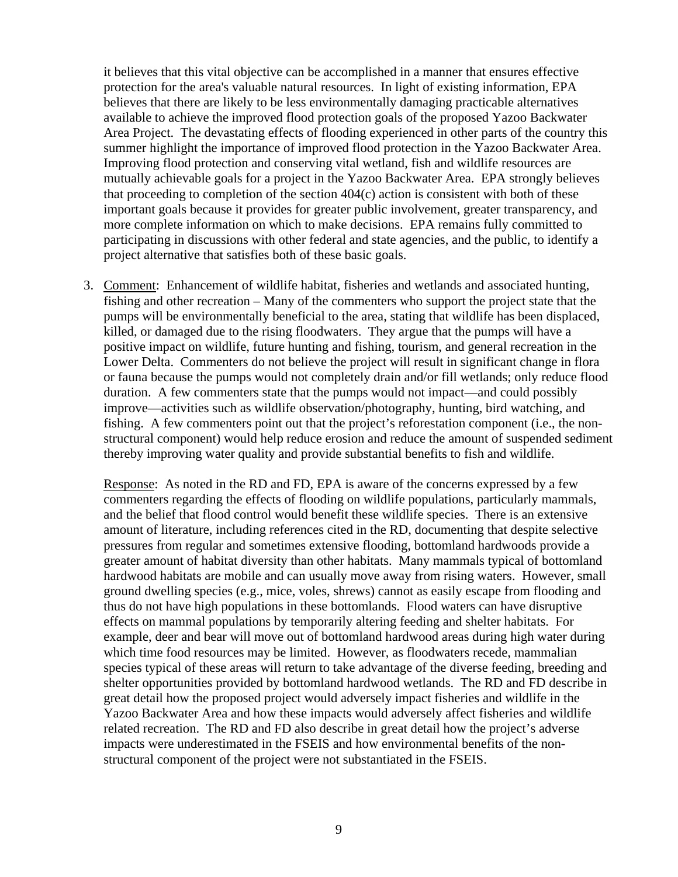it believes that this vital objective can be accomplished in a manner that ensures effective protection for the area's valuable natural resources. In light of existing information, EPA believes that there are likely to be less environmentally damaging practicable alternatives available to achieve the improved flood protection goals of the proposed Yazoo Backwater Area Project. The devastating effects of flooding experienced in other parts of the country this summer highlight the importance of improved flood protection in the Yazoo Backwater Area. Improving flood protection and conserving vital wetland, fish and wildlife resources are mutually achievable goals for a project in the Yazoo Backwater Area. EPA strongly believes that proceeding to completion of the section 404(c) action is consistent with both of these important goals because it provides for greater public involvement, greater transparency, and more complete information on which to make decisions. EPA remains fully committed to participating in discussions with other federal and state agencies, and the public, to identify a project alternative that satisfies both of these basic goals.

3. Comment: Enhancement of wildlife habitat, fisheries and wetlands and associated hunting, fishing and other recreation – Many of the commenters who support the project state that the pumps will be environmentally beneficial to the area, stating that wildlife has been displaced, killed, or damaged due to the rising floodwaters. They argue that the pumps will have a positive impact on wildlife, future hunting and fishing, tourism, and general recreation in the Lower Delta. Commenters do not believe the project will result in significant change in flora or fauna because the pumps would not completely drain and/or fill wetlands; only reduce flood duration. A few commenters state that the pumps would not impact—and could possibly improve—activities such as wildlife observation/photography, hunting, bird watching, and fishing. A few commenters point out that the project's reforestation component (i.e., the nonstructural component) would help reduce erosion and reduce the amount of suspended sediment thereby improving water quality and provide substantial benefits to fish and wildlife.

Response: As noted in the RD and FD, EPA is aware of the concerns expressed by a few commenters regarding the effects of flooding on wildlife populations, particularly mammals, and the belief that flood control would benefit these wildlife species. There is an extensive amount of literature, including references cited in the RD, documenting that despite selective pressures from regular and sometimes extensive flooding, bottomland hardwoods provide a greater amount of habitat diversity than other habitats. Many mammals typical of bottomland hardwood habitats are mobile and can usually move away from rising waters. However, small ground dwelling species (e.g., mice, voles, shrews) cannot as easily escape from flooding and thus do not have high populations in these bottomlands. Flood waters can have disruptive effects on mammal populations by temporarily altering feeding and shelter habitats. For example, deer and bear will move out of bottomland hardwood areas during high water during which time food resources may be limited. However, as floodwaters recede, mammalian species typical of these areas will return to take advantage of the diverse feeding, breeding and shelter opportunities provided by bottomland hardwood wetlands. The RD and FD describe in great detail how the proposed project would adversely impact fisheries and wildlife in the Yazoo Backwater Area and how these impacts would adversely affect fisheries and wildlife related recreation. The RD and FD also describe in great detail how the project's adverse impacts were underestimated in the FSEIS and how environmental benefits of the nonstructural component of the project were not substantiated in the FSEIS.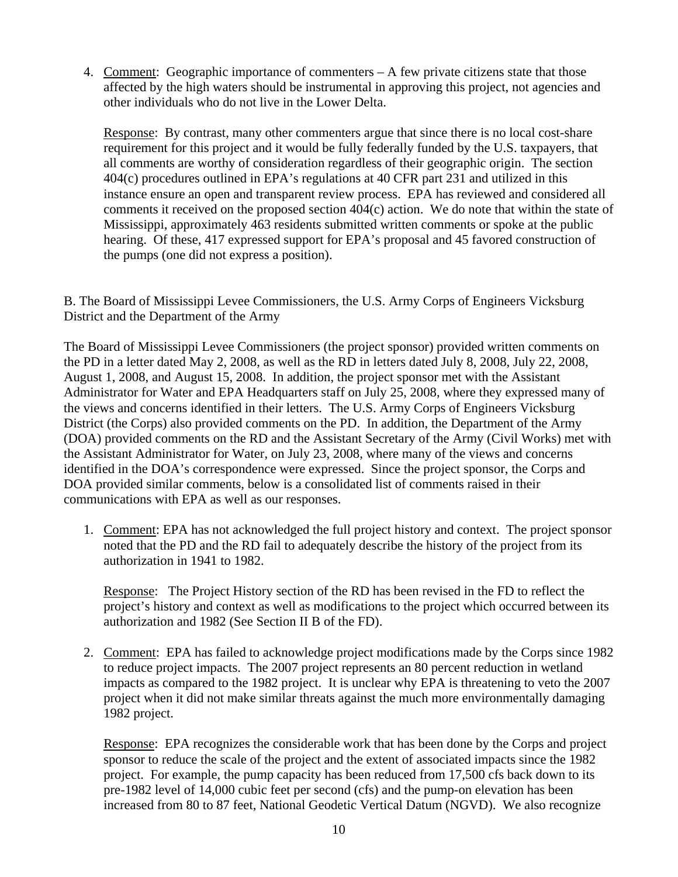4. Comment: Geographic importance of commenters – A few private citizens state that those affected by the high waters should be instrumental in approving this project, not agencies and other individuals who do not live in the Lower Delta.

Response: By contrast, many other commenters argue that since there is no local cost-share requirement for this project and it would be fully federally funded by the U.S. taxpayers, that all comments are worthy of consideration regardless of their geographic origin. The section 404(c) procedures outlined in EPA's regulations at 40 CFR part 231 and utilized in this instance ensure an open and transparent review process. EPA has reviewed and considered all comments it received on the proposed section 404(c) action. We do note that within the state of Mississippi, approximately 463 residents submitted written comments or spoke at the public hearing. Of these, 417 expressed support for EPA's proposal and 45 favored construction of the pumps (one did not express a position).

B. The Board of Mississippi Levee Commissioners, the U.S. Army Corps of Engineers Vicksburg District and the Department of the Army

The Board of Mississippi Levee Commissioners (the project sponsor) provided written comments on the PD in a letter dated May 2, 2008, as well as the RD in letters dated July 8, 2008, July 22, 2008, August 1, 2008, and August 15, 2008. In addition, the project sponsor met with the Assistant Administrator for Water and EPA Headquarters staff on July 25, 2008, where they expressed many of the views and concerns identified in their letters. The U.S. Army Corps of Engineers Vicksburg District (the Corps) also provided comments on the PD. In addition, the Department of the Army (DOA) provided comments on the RD and the Assistant Secretary of the Army (Civil Works) met with the Assistant Administrator for Water, on July 23, 2008, where many of the views and concerns identified in the DOA's correspondence were expressed. Since the project sponsor, the Corps and DOA provided similar comments, below is a consolidated list of comments raised in their communications with EPA as well as our responses.

1. Comment: EPA has not acknowledged the full project history and context. The project sponsor noted that the PD and the RD fail to adequately describe the history of the project from its authorization in 1941 to 1982.

Response: The Project History section of the RD has been revised in the FD to reflect the project's history and context as well as modifications to the project which occurred between its authorization and 1982 (See Section II B of the FD).

2. Comment: EPA has failed to acknowledge project modifications made by the Corps since 1982 to reduce project impacts. The 2007 project represents an 80 percent reduction in wetland impacts as compared to the 1982 project. It is unclear why EPA is threatening to veto the 2007 project when it did not make similar threats against the much more environmentally damaging 1982 project.

Response: EPA recognizes the considerable work that has been done by the Corps and project sponsor to reduce the scale of the project and the extent of associated impacts since the 1982 project. For example, the pump capacity has been reduced from 17,500 cfs back down to its pre-1982 level of 14,000 cubic feet per second (cfs) and the pump-on elevation has been increased from 80 to 87 feet, National Geodetic Vertical Datum (NGVD). We also recognize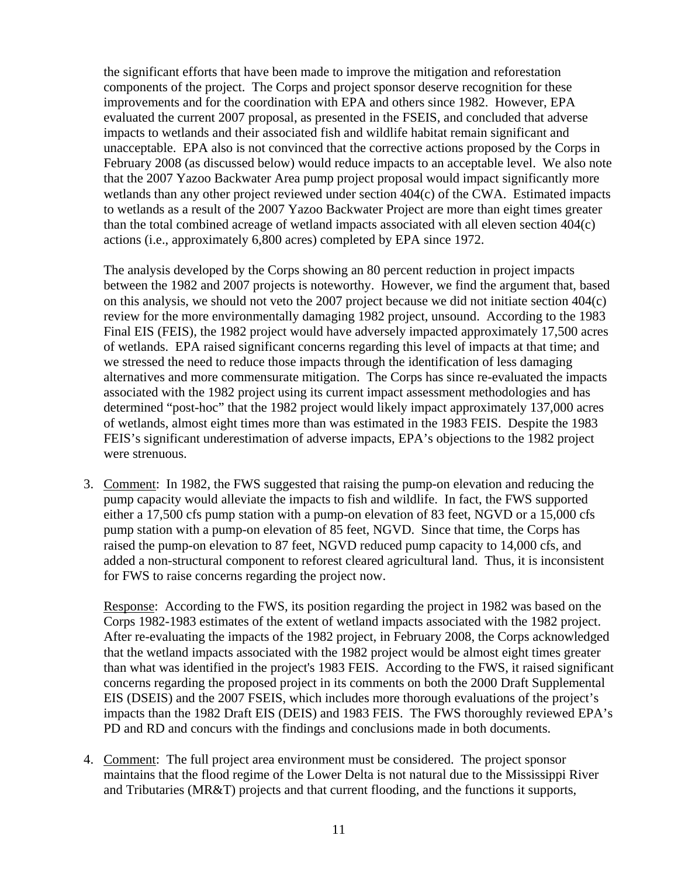the significant efforts that have been made to improve the mitigation and reforestation components of the project. The Corps and project sponsor deserve recognition for these improvements and for the coordination with EPA and others since 1982. However, EPA evaluated the current 2007 proposal, as presented in the FSEIS, and concluded that adverse impacts to wetlands and their associated fish and wildlife habitat remain significant and unacceptable. EPA also is not convinced that the corrective actions proposed by the Corps in February 2008 (as discussed below) would reduce impacts to an acceptable level. We also note that the 2007 Yazoo Backwater Area pump project proposal would impact significantly more wetlands than any other project reviewed under section 404(c) of the CWA. Estimated impacts to wetlands as a result of the 2007 Yazoo Backwater Project are more than eight times greater than the total combined acreage of wetland impacts associated with all eleven section 404(c) actions (i.e., approximately 6,800 acres) completed by EPA since 1972.

The analysis developed by the Corps showing an 80 percent reduction in project impacts between the 1982 and 2007 projects is noteworthy. However, we find the argument that, based on this analysis, we should not veto the 2007 project because we did not initiate section 404(c) review for the more environmentally damaging 1982 project, unsound. According to the 1983 Final EIS (FEIS), the 1982 project would have adversely impacted approximately 17,500 acres of wetlands. EPA raised significant concerns regarding this level of impacts at that time; and we stressed the need to reduce those impacts through the identification of less damaging alternatives and more commensurate mitigation. The Corps has since re-evaluated the impacts associated with the 1982 project using its current impact assessment methodologies and has determined "post-hoc" that the 1982 project would likely impact approximately 137,000 acres of wetlands, almost eight times more than was estimated in the 1983 FEIS. Despite the 1983 FEIS's significant underestimation of adverse impacts, EPA's objections to the 1982 project were strenuous.

3. Comment: In 1982, the FWS suggested that raising the pump-on elevation and reducing the pump capacity would alleviate the impacts to fish and wildlife. In fact, the FWS supported either a 17,500 cfs pump station with a pump-on elevation of 83 feet, NGVD or a 15,000 cfs pump station with a pump-on elevation of 85 feet, NGVD. Since that time, the Corps has raised the pump-on elevation to 87 feet, NGVD reduced pump capacity to 14,000 cfs, and added a non-structural component to reforest cleared agricultural land. Thus, it is inconsistent for FWS to raise concerns regarding the project now.

Response: According to the FWS, its position regarding the project in 1982 was based on the Corps 1982-1983 estimates of the extent of wetland impacts associated with the 1982 project. After re-evaluating the impacts of the 1982 project, in February 2008, the Corps acknowledged that the wetland impacts associated with the 1982 project would be almost eight times greater than what was identified in the project's 1983 FEIS. According to the FWS, it raised significant concerns regarding the proposed project in its comments on both the 2000 Draft Supplemental EIS (DSEIS) and the 2007 FSEIS, which includes more thorough evaluations of the project's impacts than the 1982 Draft EIS (DEIS) and 1983 FEIS. The FWS thoroughly reviewed EPA's PD and RD and concurs with the findings and conclusions made in both documents.

4. Comment: The full project area environment must be considered. The project sponsor maintains that the flood regime of the Lower Delta is not natural due to the Mississippi River and Tributaries (MR&T) projects and that current flooding, and the functions it supports,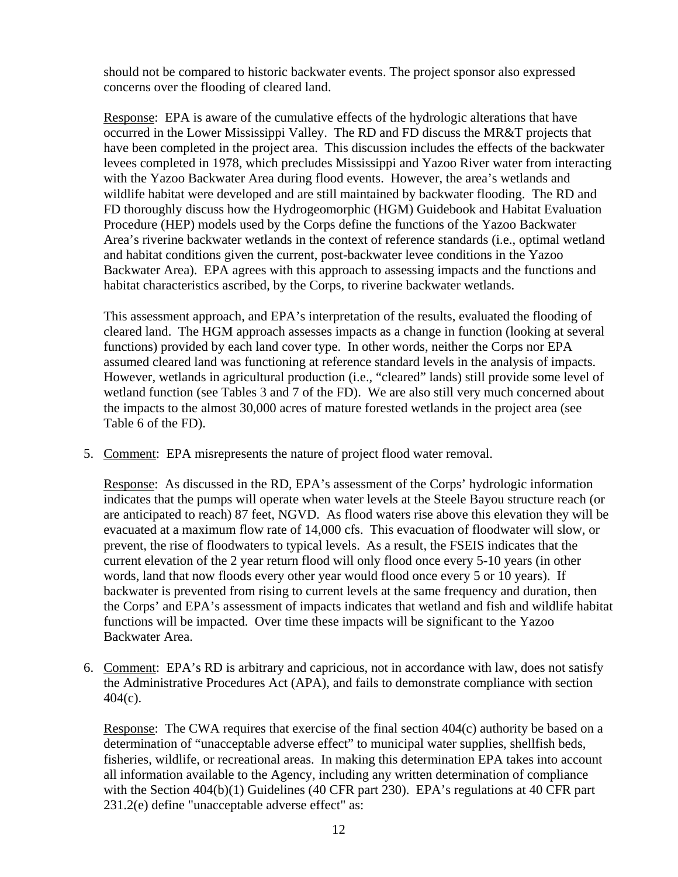should not be compared to historic backwater events. The project sponsor also expressed concerns over the flooding of cleared land.

Response: EPA is aware of the cumulative effects of the hydrologic alterations that have occurred in the Lower Mississippi Valley. The RD and FD discuss the MR&T projects that have been completed in the project area. This discussion includes the effects of the backwater levees completed in 1978, which precludes Mississippi and Yazoo River water from interacting with the Yazoo Backwater Area during flood events. However, the area's wetlands and wildlife habitat were developed and are still maintained by backwater flooding. The RD and FD thoroughly discuss how the Hydrogeomorphic (HGM) Guidebook and Habitat Evaluation Procedure (HEP) models used by the Corps define the functions of the Yazoo Backwater Area's riverine backwater wetlands in the context of reference standards (i.e., optimal wetland and habitat conditions given the current, post-backwater levee conditions in the Yazoo Backwater Area). EPA agrees with this approach to assessing impacts and the functions and habitat characteristics ascribed, by the Corps, to riverine backwater wetlands.

This assessment approach, and EPA's interpretation of the results, evaluated the flooding of cleared land. The HGM approach assesses impacts as a change in function (looking at several functions) provided by each land cover type. In other words, neither the Corps nor EPA assumed cleared land was functioning at reference standard levels in the analysis of impacts. However, wetlands in agricultural production (i.e., "cleared" lands) still provide some level of wetland function (see Tables 3 and 7 of the FD). We are also still very much concerned about the impacts to the almost 30,000 acres of mature forested wetlands in the project area (see Table 6 of the FD).

5. Comment: EPA misrepresents the nature of project flood water removal.

Response: As discussed in the RD, EPA's assessment of the Corps' hydrologic information indicates that the pumps will operate when water levels at the Steele Bayou structure reach (or are anticipated to reach) 87 feet, NGVD. As flood waters rise above this elevation they will be evacuated at a maximum flow rate of 14,000 cfs. This evacuation of floodwater will slow, or prevent, the rise of floodwaters to typical levels. As a result, the FSEIS indicates that the current elevation of the 2 year return flood will only flood once every 5-10 years (in other words, land that now floods every other year would flood once every 5 or 10 years). If backwater is prevented from rising to current levels at the same frequency and duration, then the Corps' and EPA's assessment of impacts indicates that wetland and fish and wildlife habitat functions will be impacted. Over time these impacts will be significant to the Yazoo Backwater Area.

6. Comment: EPA's RD is arbitrary and capricious, not in accordance with law, does not satisfy the Administrative Procedures Act (APA), and fails to demonstrate compliance with section 404(c).

 Response: The CWA requires that exercise of the final section 404(c) authority be based on a determination of "unacceptable adverse effect" to municipal water supplies, shellfish beds, fisheries, wildlife, or recreational areas. In making this determination EPA takes into account all information available to the Agency, including any written determination of compliance with the Section 404(b)(1) Guidelines (40 CFR part 230). EPA's regulations at 40 CFR part 231.2(e) define "unacceptable adverse effect" as: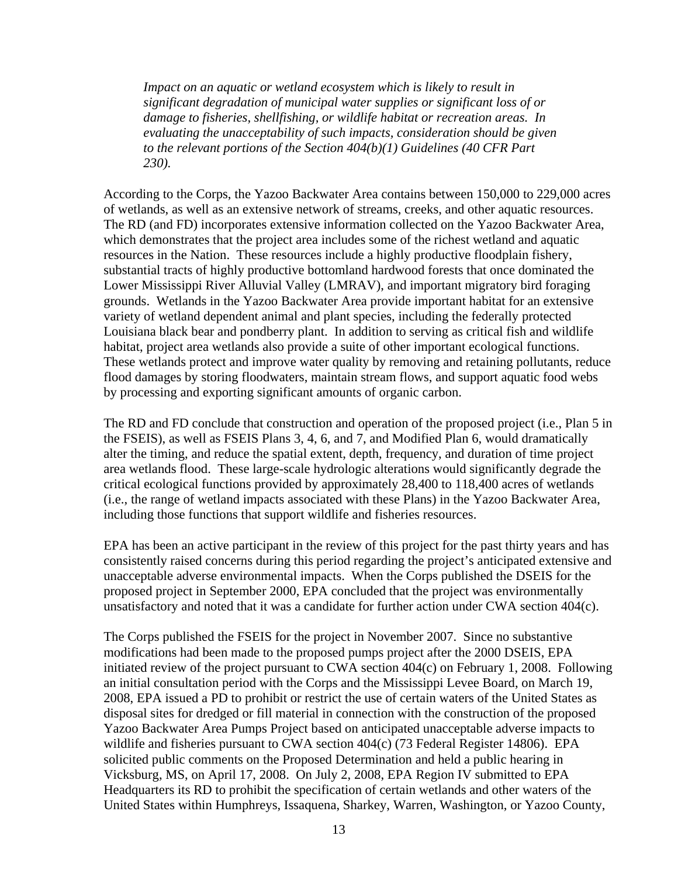*Impact on an aquatic or wetland ecosystem which is likely to result in significant degradation of municipal water supplies or significant loss of or damage to fisheries, shellfishing, or wildlife habitat or recreation areas. In evaluating the unacceptability of such impacts, consideration should be given to the relevant portions of the Section 404(b)(1) Guidelines (40 CFR Part 230).*

According to the Corps, the Yazoo Backwater Area contains between 150,000 to 229,000 acres of wetlands, as well as an extensive network of streams, creeks, and other aquatic resources. The RD (and FD) incorporates extensive information collected on the Yazoo Backwater Area, which demonstrates that the project area includes some of the richest wetland and aquatic resources in the Nation. These resources include a highly productive floodplain fishery, substantial tracts of highly productive bottomland hardwood forests that once dominated the Lower Mississippi River Alluvial Valley (LMRAV), and important migratory bird foraging grounds. Wetlands in the Yazoo Backwater Area provide important habitat for an extensive variety of wetland dependent animal and plant species, including the federally protected Louisiana black bear and pondberry plant. In addition to serving as critical fish and wildlife habitat, project area wetlands also provide a suite of other important ecological functions. These wetlands protect and improve water quality by removing and retaining pollutants, reduce flood damages by storing floodwaters, maintain stream flows, and support aquatic food webs by processing and exporting significant amounts of organic carbon.

The RD and FD conclude that construction and operation of the proposed project (i.e., Plan 5 in the FSEIS), as well as FSEIS Plans 3, 4, 6, and 7, and Modified Plan 6, would dramatically alter the timing, and reduce the spatial extent, depth, frequency, and duration of time project area wetlands flood. These large-scale hydrologic alterations would significantly degrade the critical ecological functions provided by approximately 28,400 to 118,400 acres of wetlands (i.e., the range of wetland impacts associated with these Plans) in the Yazoo Backwater Area, including those functions that support wildlife and fisheries resources.

EPA has been an active participant in the review of this project for the past thirty years and has consistently raised concerns during this period regarding the project's anticipated extensive and unacceptable adverse environmental impacts. When the Corps published the DSEIS for the proposed project in September 2000, EPA concluded that the project was environmentally unsatisfactory and noted that it was a candidate for further action under CWA section 404(c).

The Corps published the FSEIS for the project in November 2007. Since no substantive modifications had been made to the proposed pumps project after the 2000 DSEIS, EPA initiated review of the project pursuant to CWA section 404(c) on February 1, 2008. Following an initial consultation period with the Corps and the Mississippi Levee Board, on March 19, 2008, EPA issued a PD to prohibit or restrict the use of certain waters of the United States as disposal sites for dredged or fill material in connection with the construction of the proposed Yazoo Backwater Area Pumps Project based on anticipated unacceptable adverse impacts to wildlife and fisheries pursuant to CWA section 404(c) (73 Federal Register 14806). EPA solicited public comments on the Proposed Determination and held a public hearing in Vicksburg, MS, on April 17, 2008. On July 2, 2008, EPA Region IV submitted to EPA Headquarters its RD to prohibit the specification of certain wetlands and other waters of the United States within Humphreys, Issaquena, Sharkey, Warren, Washington, or Yazoo County,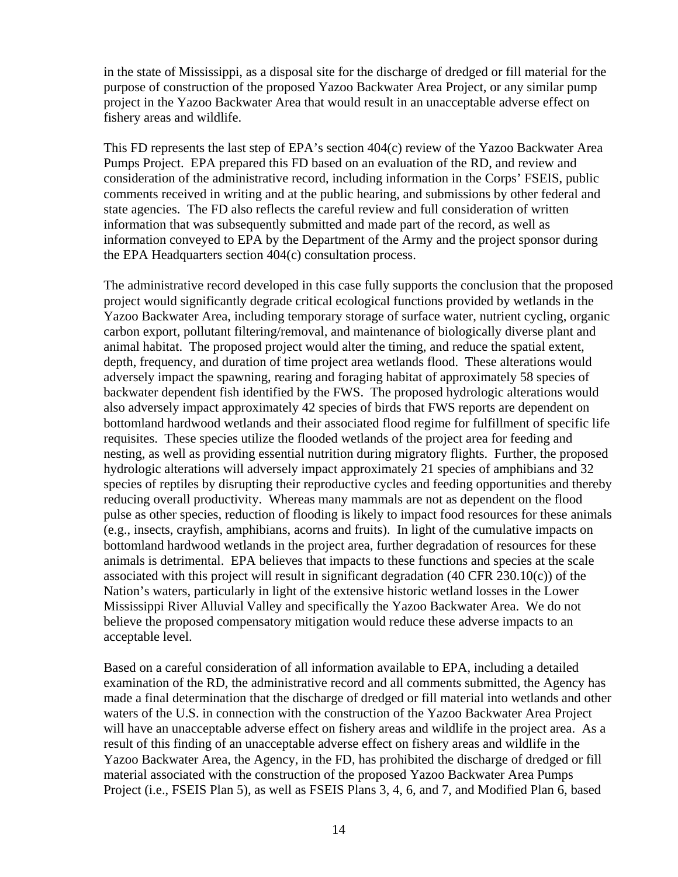in the state of Mississippi, as a disposal site for the discharge of dredged or fill material for the purpose of construction of the proposed Yazoo Backwater Area Project, or any similar pump project in the Yazoo Backwater Area that would result in an unacceptable adverse effect on fishery areas and wildlife.

This FD represents the last step of EPA's section 404(c) review of the Yazoo Backwater Area Pumps Project. EPA prepared this FD based on an evaluation of the RD, and review and consideration of the administrative record, including information in the Corps' FSEIS, public comments received in writing and at the public hearing, and submissions by other federal and state agencies. The FD also reflects the careful review and full consideration of written information that was subsequently submitted and made part of the record, as well as information conveyed to EPA by the Department of the Army and the project sponsor during the EPA Headquarters section 404(c) consultation process.

The administrative record developed in this case fully supports the conclusion that the proposed project would significantly degrade critical ecological functions provided by wetlands in the Yazoo Backwater Area, including temporary storage of surface water, nutrient cycling, organic carbon export, pollutant filtering/removal, and maintenance of biologically diverse plant and animal habitat. The proposed project would alter the timing, and reduce the spatial extent, depth, frequency, and duration of time project area wetlands flood. These alterations would adversely impact the spawning, rearing and foraging habitat of approximately 58 species of backwater dependent fish identified by the FWS. The proposed hydrologic alterations would also adversely impact approximately 42 species of birds that FWS reports are dependent on bottomland hardwood wetlands and their associated flood regime for fulfillment of specific life requisites. These species utilize the flooded wetlands of the project area for feeding and nesting, as well as providing essential nutrition during migratory flights. Further, the proposed hydrologic alterations will adversely impact approximately 21 species of amphibians and 32 species of reptiles by disrupting their reproductive cycles and feeding opportunities and thereby reducing overall productivity. Whereas many mammals are not as dependent on the flood pulse as other species, reduction of flooding is likely to impact food resources for these animals (e.g., insects, crayfish, amphibians, acorns and fruits). In light of the cumulative impacts on bottomland hardwood wetlands in the project area, further degradation of resources for these animals is detrimental. EPA believes that impacts to these functions and species at the scale associated with this project will result in significant degradation  $(40 \text{ CFR } 230.10(c))$  of the Nation's waters, particularly in light of the extensive historic wetland losses in the Lower Mississippi River Alluvial Valley and specifically the Yazoo Backwater Area. We do not believe the proposed compensatory mitigation would reduce these adverse impacts to an acceptable level.

Based on a careful consideration of all information available to EPA, including a detailed examination of the RD, the administrative record and all comments submitted, the Agency has made a final determination that the discharge of dredged or fill material into wetlands and other waters of the U.S. in connection with the construction of the Yazoo Backwater Area Project will have an unacceptable adverse effect on fishery areas and wildlife in the project area. As a result of this finding of an unacceptable adverse effect on fishery areas and wildlife in the Yazoo Backwater Area, the Agency, in the FD, has prohibited the discharge of dredged or fill material associated with the construction of the proposed Yazoo Backwater Area Pumps Project (i.e., FSEIS Plan 5), as well as FSEIS Plans 3, 4, 6, and 7, and Modified Plan 6, based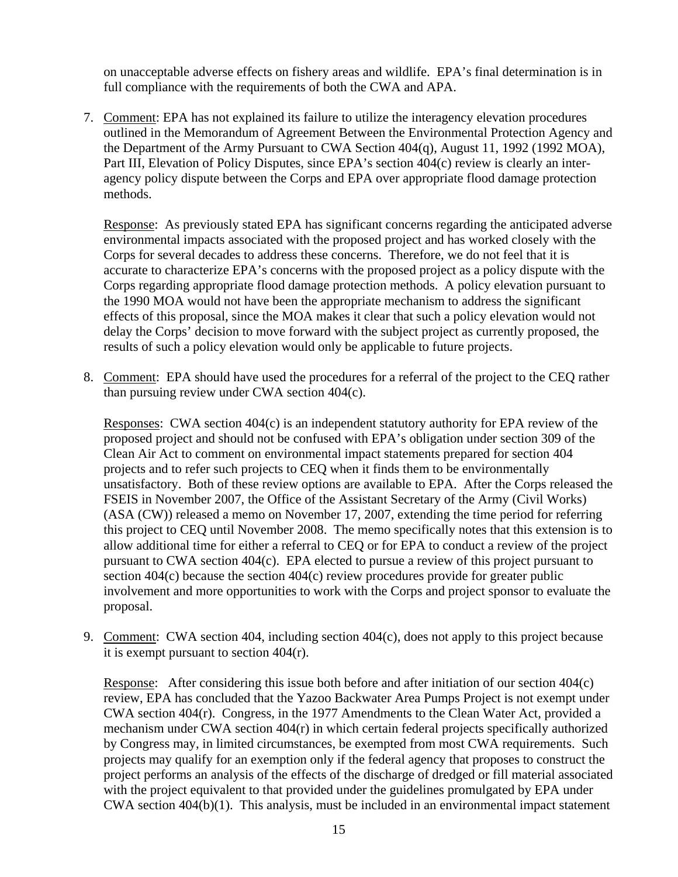on unacceptable adverse effects on fishery areas and wildlife. EPA's final determination is in full compliance with the requirements of both the CWA and APA.

7. Comment: EPA has not explained its failure to utilize the interagency elevation procedures outlined in the Memorandum of Agreement Between the Environmental Protection Agency and the Department of the Army Pursuant to CWA Section 404(q), August 11, 1992 (1992 MOA), Part III, Elevation of Policy Disputes, since EPA's section 404(c) review is clearly an interagency policy dispute between the Corps and EPA over appropriate flood damage protection methods.

Response: As previously stated EPA has significant concerns regarding the anticipated adverse environmental impacts associated with the proposed project and has worked closely with the Corps for several decades to address these concerns. Therefore, we do not feel that it is accurate to characterize EPA's concerns with the proposed project as a policy dispute with the Corps regarding appropriate flood damage protection methods. A policy elevation pursuant to the 1990 MOA would not have been the appropriate mechanism to address the significant effects of this proposal, since the MOA makes it clear that such a policy elevation would not delay the Corps' decision to move forward with the subject project as currently proposed, the results of such a policy elevation would only be applicable to future projects.

8. Comment: EPA should have used the procedures for a referral of the project to the CEQ rather than pursuing review under CWA section 404(c).

Responses: CWA section 404(c) is an independent statutory authority for EPA review of the proposed project and should not be confused with EPA's obligation under section 309 of the Clean Air Act to comment on environmental impact statements prepared for section 404 projects and to refer such projects to CEQ when it finds them to be environmentally unsatisfactory. Both of these review options are available to EPA. After the Corps released the FSEIS in November 2007, the Office of the Assistant Secretary of the Army (Civil Works) (ASA (CW)) released a memo on November 17, 2007, extending the time period for referring this project to CEQ until November 2008. The memo specifically notes that this extension is to allow additional time for either a referral to CEQ or for EPA to conduct a review of the project pursuant to CWA section 404(c). EPA elected to pursue a review of this project pursuant to section 404(c) because the section 404(c) review procedures provide for greater public involvement and more opportunities to work with the Corps and project sponsor to evaluate the proposal.

9. Comment: CWA section 404, including section 404(c), does not apply to this project because it is exempt pursuant to section 404(r).

Response: After considering this issue both before and after initiation of our section 404(c) review, EPA has concluded that the Yazoo Backwater Area Pumps Project is not exempt under CWA section 404(r). Congress, in the 1977 Amendments to the Clean Water Act, provided a mechanism under CWA section 404(r) in which certain federal projects specifically authorized by Congress may, in limited circumstances, be exempted from most CWA requirements. Such projects may qualify for an exemption only if the federal agency that proposes to construct the project performs an analysis of the effects of the discharge of dredged or fill material associated with the project equivalent to that provided under the guidelines promulgated by EPA under CWA section 404(b)(1). This analysis, must be included in an environmental impact statement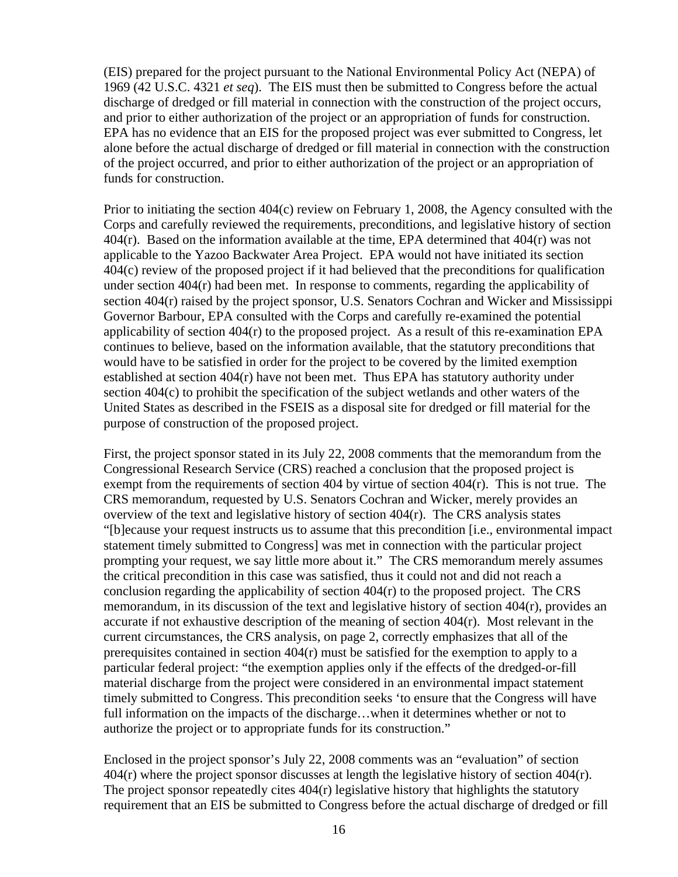(EIS) prepared for the project pursuant to the National Environmental Policy Act (NEPA) of 1969 (42 U.S.C. 4321 *et seq*). The EIS must then be submitted to Congress before the actual discharge of dredged or fill material in connection with the construction of the project occurs, and prior to either authorization of the project or an appropriation of funds for construction. EPA has no evidence that an EIS for the proposed project was ever submitted to Congress, let alone before the actual discharge of dredged or fill material in connection with the construction of the project occurred, and prior to either authorization of the project or an appropriation of funds for construction.

Prior to initiating the section 404(c) review on February 1, 2008, the Agency consulted with the Corps and carefully reviewed the requirements, preconditions, and legislative history of section  $404(r)$ . Based on the information available at the time, EPA determined that  $404(r)$  was not applicable to the Yazoo Backwater Area Project. EPA would not have initiated its section 404(c) review of the proposed project if it had believed that the preconditions for qualification under section 404(r) had been met. In response to comments, regarding the applicability of section 404(r) raised by the project sponsor, U.S. Senators Cochran and Wicker and Mississippi Governor Barbour, EPA consulted with the Corps and carefully re-examined the potential applicability of section 404(r) to the proposed project. As a result of this re-examination EPA continues to believe, based on the information available, that the statutory preconditions that would have to be satisfied in order for the project to be covered by the limited exemption established at section 404(r) have not been met. Thus EPA has statutory authority under section 404(c) to prohibit the specification of the subject wetlands and other waters of the United States as described in the FSEIS as a disposal site for dredged or fill material for the purpose of construction of the proposed project.

First, the project sponsor stated in its July 22, 2008 comments that the memorandum from the Congressional Research Service (CRS) reached a conclusion that the proposed project is exempt from the requirements of section 404 by virtue of section 404(r). This is not true. The CRS memorandum, requested by U.S. Senators Cochran and Wicker, merely provides an overview of the text and legislative history of section 404(r). The CRS analysis states "[b]ecause your request instructs us to assume that this precondition [i.e., environmental impact statement timely submitted to Congress] was met in connection with the particular project prompting your request, we say little more about it." The CRS memorandum merely assumes the critical precondition in this case was satisfied, thus it could not and did not reach a conclusion regarding the applicability of section  $404(r)$  to the proposed project. The CRS memorandum, in its discussion of the text and legislative history of section 404(r), provides an accurate if not exhaustive description of the meaning of section  $404(r)$ . Most relevant in the current circumstances, the CRS analysis, on page 2, correctly emphasizes that all of the prerequisites contained in section 404(r) must be satisfied for the exemption to apply to a particular federal project: "the exemption applies only if the effects of the dredged-or-fill material discharge from the project were considered in an environmental impact statement timely submitted to Congress. This precondition seeks 'to ensure that the Congress will have full information on the impacts of the discharge…when it determines whether or not to authorize the project or to appropriate funds for its construction."

Enclosed in the project sponsor's July 22, 2008 comments was an "evaluation" of section 404(r) where the project sponsor discusses at length the legislative history of section 404(r). The project sponsor repeatedly cites  $404(r)$  legislative history that highlights the statutory requirement that an EIS be submitted to Congress before the actual discharge of dredged or fill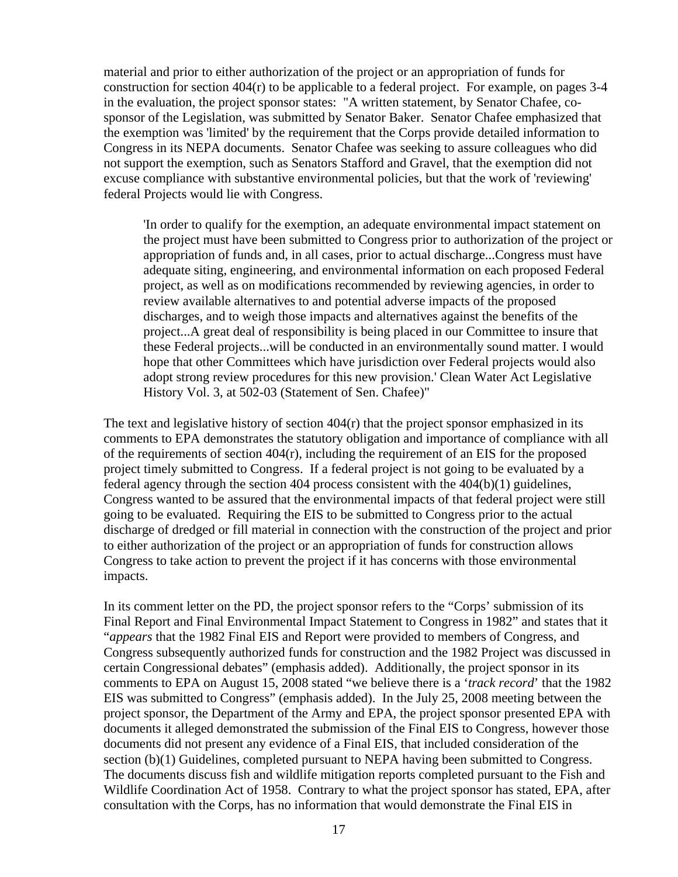material and prior to either authorization of the project or an appropriation of funds for construction for section  $404(r)$  to be applicable to a federal project. For example, on pages 3-4 in the evaluation, the project sponsor states: "A written statement, by Senator Chafee, cosponsor of the Legislation, was submitted by Senator Baker. Senator Chafee emphasized that the exemption was 'limited' by the requirement that the Corps provide detailed information to Congress in its NEPA documents. Senator Chafee was seeking to assure colleagues who did not support the exemption, such as Senators Stafford and Gravel, that the exemption did not excuse compliance with substantive environmental policies, but that the work of 'reviewing' federal Projects would lie with Congress.

'In order to qualify for the exemption, an adequate environmental impact statement on the project must have been submitted to Congress prior to authorization of the project or appropriation of funds and, in all cases, prior to actual discharge...Congress must have adequate siting, engineering, and environmental information on each proposed Federal project, as well as on modifications recommended by reviewing agencies, in order to review available alternatives to and potential adverse impacts of the proposed discharges, and to weigh those impacts and alternatives against the benefits of the project...A great deal of responsibility is being placed in our Committee to insure that these Federal projects...will be conducted in an environmentally sound matter. I would hope that other Committees which have jurisdiction over Federal projects would also adopt strong review procedures for this new provision.' Clean Water Act Legislative History Vol. 3, at 502-03 (Statement of Sen. Chafee)"

The text and legislative history of section  $404(r)$  that the project sponsor emphasized in its comments to EPA demonstrates the statutory obligation and importance of compliance with all of the requirements of section 404(r), including the requirement of an EIS for the proposed project timely submitted to Congress. If a federal project is not going to be evaluated by a federal agency through the section 404 process consistent with the 404(b)(1) guidelines, Congress wanted to be assured that the environmental impacts of that federal project were still going to be evaluated. Requiring the EIS to be submitted to Congress prior to the actual discharge of dredged or fill material in connection with the construction of the project and prior to either authorization of the project or an appropriation of funds for construction allows Congress to take action to prevent the project if it has concerns with those environmental impacts.

In its comment letter on the PD, the project sponsor refers to the "Corps' submission of its Final Report and Final Environmental Impact Statement to Congress in 1982" and states that it "*appears* that the 1982 Final EIS and Report were provided to members of Congress, and Congress subsequently authorized funds for construction and the 1982 Project was discussed in certain Congressional debates" (emphasis added). Additionally, the project sponsor in its comments to EPA on August 15, 2008 stated "we believe there is a '*track record*' that the 1982 EIS was submitted to Congress" (emphasis added). In the July 25, 2008 meeting between the project sponsor, the Department of the Army and EPA, the project sponsor presented EPA with documents it alleged demonstrated the submission of the Final EIS to Congress, however those documents did not present any evidence of a Final EIS, that included consideration of the section (b)(1) Guidelines, completed pursuant to NEPA having been submitted to Congress. The documents discuss fish and wildlife mitigation reports completed pursuant to the Fish and Wildlife Coordination Act of 1958. Contrary to what the project sponsor has stated, EPA, after consultation with the Corps, has no information that would demonstrate the Final EIS in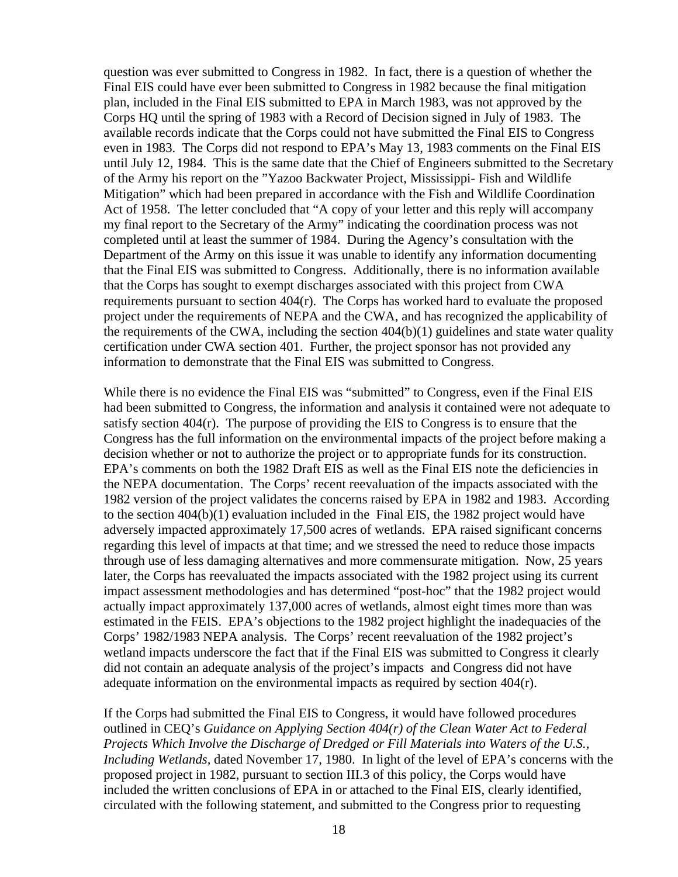question was ever submitted to Congress in 1982. In fact, there is a question of whether the Final EIS could have ever been submitted to Congress in 1982 because the final mitigation plan, included in the Final EIS submitted to EPA in March 1983, was not approved by the Corps HQ until the spring of 1983 with a Record of Decision signed in July of 1983. The available records indicate that the Corps could not have submitted the Final EIS to Congress even in 1983. The Corps did not respond to EPA's May 13, 1983 comments on the Final EIS until July 12, 1984. This is the same date that the Chief of Engineers submitted to the Secretary of the Army his report on the "Yazoo Backwater Project, Mississippi- Fish and Wildlife Mitigation" which had been prepared in accordance with the Fish and Wildlife Coordination Act of 1958. The letter concluded that "A copy of your letter and this reply will accompany my final report to the Secretary of the Army" indicating the coordination process was not completed until at least the summer of 1984. During the Agency's consultation with the Department of the Army on this issue it was unable to identify any information documenting that the Final EIS was submitted to Congress. Additionally, there is no information available that the Corps has sought to exempt discharges associated with this project from CWA requirements pursuant to section 404(r). The Corps has worked hard to evaluate the proposed project under the requirements of NEPA and the CWA, and has recognized the applicability of the requirements of the CWA, including the section 404(b)(1) guidelines and state water quality certification under CWA section 401. Further, the project sponsor has not provided any information to demonstrate that the Final EIS was submitted to Congress.

While there is no evidence the Final EIS was "submitted" to Congress, even if the Final EIS had been submitted to Congress, the information and analysis it contained were not adequate to satisfy section 404(r). The purpose of providing the EIS to Congress is to ensure that the Congress has the full information on the environmental impacts of the project before making a decision whether or not to authorize the project or to appropriate funds for its construction. EPA's comments on both the 1982 Draft EIS as well as the Final EIS note the deficiencies in the NEPA documentation. The Corps' recent reevaluation of the impacts associated with the 1982 version of the project validates the concerns raised by EPA in 1982 and 1983. According to the section 404(b)(1) evaluation included in the Final EIS, the 1982 project would have adversely impacted approximately 17,500 acres of wetlands. EPA raised significant concerns regarding this level of impacts at that time; and we stressed the need to reduce those impacts through use of less damaging alternatives and more commensurate mitigation. Now, 25 years later, the Corps has reevaluated the impacts associated with the 1982 project using its current impact assessment methodologies and has determined "post-hoc" that the 1982 project would actually impact approximately 137,000 acres of wetlands, almost eight times more than was estimated in the FEIS. EPA's objections to the 1982 project highlight the inadequacies of the Corps' 1982/1983 NEPA analysis. The Corps' recent reevaluation of the 1982 project's wetland impacts underscore the fact that if the Final EIS was submitted to Congress it clearly did not contain an adequate analysis of the project's impacts and Congress did not have adequate information on the environmental impacts as required by section 404(r).

If the Corps had submitted the Final EIS to Congress, it would have followed procedures outlined in CEQ's *Guidance on Applying Section 404(r) of the Clean Water Act to Federal Projects Which Involve the Discharge of Dredged or Fill Materials into Waters of the U.S., Including Wetlands,* dated November 17, 1980. In light of the level of EPA's concerns with the proposed project in 1982, pursuant to section III.3 of this policy, the Corps would have included the written conclusions of EPA in or attached to the Final EIS, clearly identified, circulated with the following statement, and submitted to the Congress prior to requesting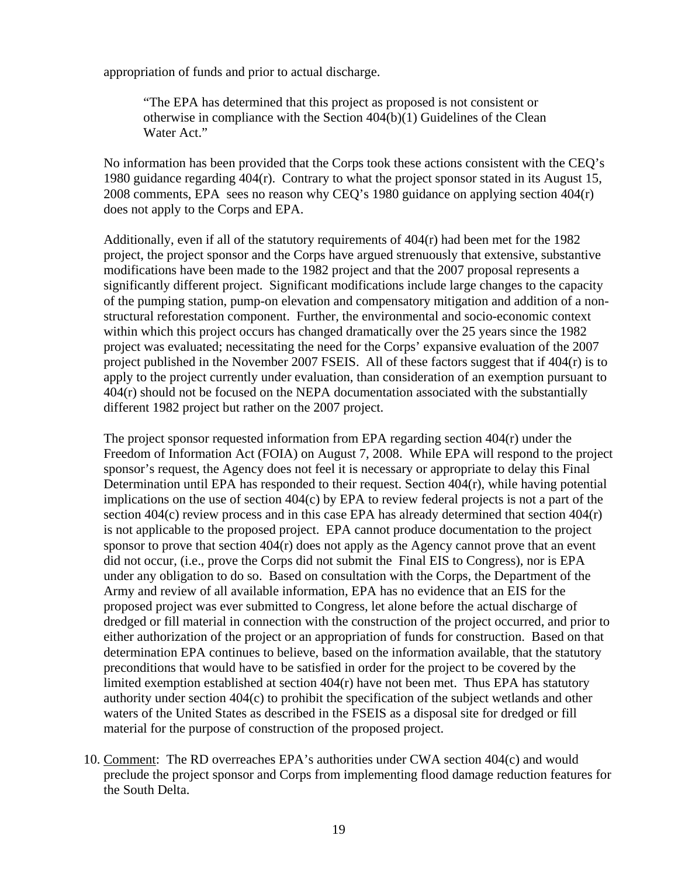appropriation of funds and prior to actual discharge.

"The EPA has determined that this project as proposed is not consistent or otherwise in compliance with the Section 404(b)(1) Guidelines of the Clean Water Act."

No information has been provided that the Corps took these actions consistent with the CEQ's 1980 guidance regarding 404(r). Contrary to what the project sponsor stated in its August 15, 2008 comments, EPA sees no reason why CEQ's 1980 guidance on applying section 404(r) does not apply to the Corps and EPA.

Additionally, even if all of the statutory requirements of  $404(r)$  had been met for the 1982 project, the project sponsor and the Corps have argued strenuously that extensive, substantive modifications have been made to the 1982 project and that the 2007 proposal represents a significantly different project. Significant modifications include large changes to the capacity of the pumping station, pump-on elevation and compensatory mitigation and addition of a nonstructural reforestation component. Further, the environmental and socio-economic context within which this project occurs has changed dramatically over the 25 years since the 1982 project was evaluated; necessitating the need for the Corps' expansive evaluation of the 2007 project published in the November 2007 FSEIS. All of these factors suggest that if  $404(r)$  is to apply to the project currently under evaluation, than consideration of an exemption pursuant to 404(r) should not be focused on the NEPA documentation associated with the substantially different 1982 project but rather on the 2007 project.

The project sponsor requested information from EPA regarding section 404(r) under the Freedom of Information Act (FOIA) on August 7, 2008. While EPA will respond to the project sponsor's request, the Agency does not feel it is necessary or appropriate to delay this Final Determination until EPA has responded to their request. Section 404(r), while having potential implications on the use of section 404(c) by EPA to review federal projects is not a part of the section 404(c) review process and in this case EPA has already determined that section 404(r) is not applicable to the proposed project. EPA cannot produce documentation to the project sponsor to prove that section 404(r) does not apply as the Agency cannot prove that an event did not occur, (i.e., prove the Corps did not submit the Final EIS to Congress), nor is EPA under any obligation to do so. Based on consultation with the Corps, the Department of the Army and review of all available information, EPA has no evidence that an EIS for the proposed project was ever submitted to Congress, let alone before the actual discharge of dredged or fill material in connection with the construction of the project occurred, and prior to either authorization of the project or an appropriation of funds for construction. Based on that determination EPA continues to believe, based on the information available, that the statutory preconditions that would have to be satisfied in order for the project to be covered by the limited exemption established at section 404(r) have not been met. Thus EPA has statutory authority under section 404(c) to prohibit the specification of the subject wetlands and other waters of the United States as described in the FSEIS as a disposal site for dredged or fill material for the purpose of construction of the proposed project.

10. Comment: The RD overreaches EPA's authorities under CWA section 404(c) and would preclude the project sponsor and Corps from implementing flood damage reduction features for the South Delta.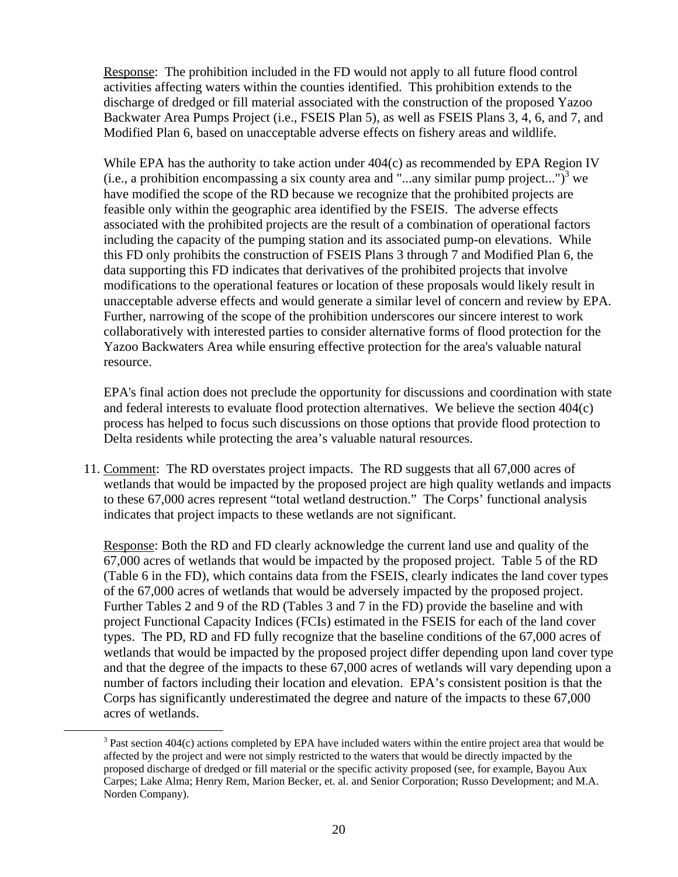Response: The prohibition included in the FD would not apply to all future flood control activities affecting waters within the counties identified. This prohibition extends to the discharge of dredged or fill material associated with the construction of the proposed Yazoo Backwater Area Pumps Project (i.e., FSEIS Plan 5), as well as FSEIS Plans 3, 4, 6, and 7, and Modified Plan 6, based on unacceptable adverse effects on fishery areas and wildlife.

While EPA has the authority to take action under 404(c) as recommended by EPA Region IV (i.e., a prohibition encompassing a six county area and "...any similar pump project...")<sup>3</sup> we have modified the scope of the RD because we recognize that the prohibited projects are feasible only within the geographic area identified by the FSEIS. The adverse effects associated with the prohibited projects are the result of a combination of operational factors including the capacity of the pumping station and its associated pump-on elevations. While this FD only prohibits the construction of FSEIS Plans 3 through 7 and Modified Plan 6, the data supporting this FD indicates that derivatives of the prohibited projects that involve modifications to the operational features or location of these proposals would likely result in unacceptable adverse effects and would generate a similar level of concern and review by EPA. Further, narrowing of the scope of the prohibition underscores our sincere interest to work collaboratively with interested parties to consider alternative forms of flood protection for the Yazoo Backwaters Area while ensuring effective protection for the area's valuable natural resource.

EPA's final action does not preclude the opportunity for discussions and coordination with state and federal interests to evaluate flood protection alternatives. We believe the section 404(c) process has helped to focus such discussions on those options that provide flood protection to Delta residents while protecting the area's valuable natural resources.

11. Comment: The RD overstates project impacts. The RD suggests that all 67,000 acres of wetlands that would be impacted by the proposed project are high quality wetlands and impacts to these 67,000 acres represent "total wetland destruction." The Corps' functional analysis indicates that project impacts to these wetlands are not significant.

Response: Both the RD and FD clearly acknowledge the current land use and quality of the 67,000 acres of wetlands that would be impacted by the proposed project. Table 5 of the RD (Table 6 in the FD), which contains data from the FSEIS, clearly indicates the land cover types of the 67,000 acres of wetlands that would be adversely impacted by the proposed project. Further Tables 2 and 9 of the RD (Tables 3 and 7 in the FD) provide the baseline and with project Functional Capacity Indices (FCIs) estimated in the FSEIS for each of the land cover types. The PD, RD and FD fully recognize that the baseline conditions of the 67,000 acres of wetlands that would be impacted by the proposed project differ depending upon land cover type and that the degree of the impacts to these 67,000 acres of wetlands will vary depending upon a number of factors including their location and elevation. EPA's consistent position is that the Corps has significantly underestimated the degree and nature of the impacts to these 67,000 acres of wetlands.

 <sup>3</sup> <sup>3</sup> Past section 404(c) actions completed by EPA have included waters within the entire project area that would be affected by the project and were not simply restricted to the waters that would be directly impacted by the proposed discharge of dredged or fill material or the specific activity proposed (see, for example, Bayou Aux Carpes; Lake Alma; Henry Rem, Marion Becker, et. al. and Senior Corporation; Russo Development; and M.A. Norden Company).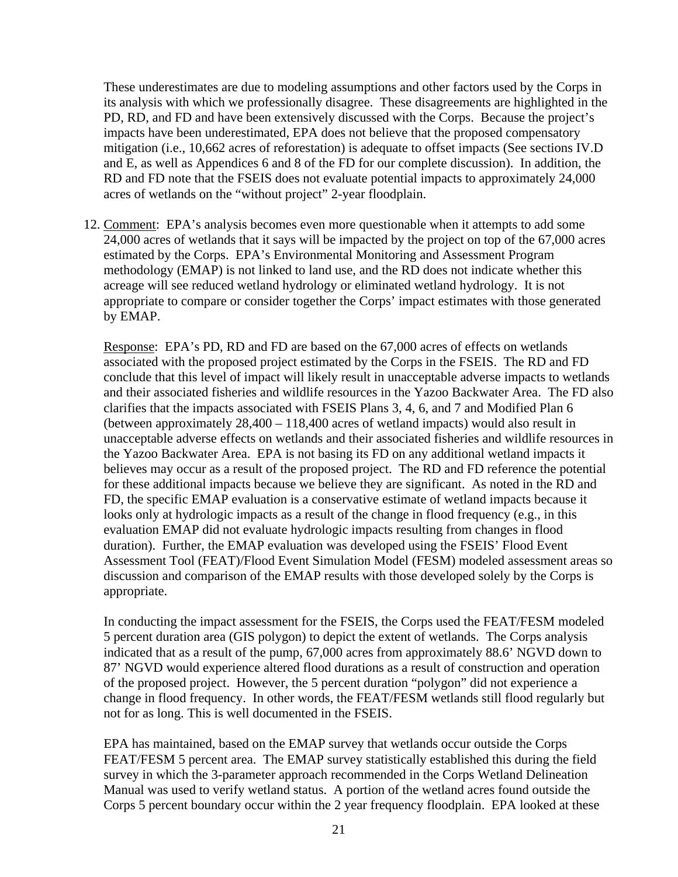These underestimates are due to modeling assumptions and other factors used by the Corps in its analysis with which we professionally disagree. These disagreements are highlighted in the PD, RD, and FD and have been extensively discussed with the Corps. Because the project's impacts have been underestimated, EPA does not believe that the proposed compensatory mitigation (i.e., 10,662 acres of reforestation) is adequate to offset impacts (See sections IV.D and E, as well as Appendices 6 and 8 of the FD for our complete discussion). In addition, the RD and FD note that the FSEIS does not evaluate potential impacts to approximately 24,000 acres of wetlands on the "without project" 2-year floodplain.

12. Comment: EPA's analysis becomes even more questionable when it attempts to add some 24,000 acres of wetlands that it says will be impacted by the project on top of the 67,000 acres estimated by the Corps. EPA's Environmental Monitoring and Assessment Program methodology (EMAP) is not linked to land use, and the RD does not indicate whether this acreage will see reduced wetland hydrology or eliminated wetland hydrology. It is not appropriate to compare or consider together the Corps' impact estimates with those generated by EMAP.

Response: EPA's PD, RD and FD are based on the 67,000 acres of effects on wetlands associated with the proposed project estimated by the Corps in the FSEIS. The RD and FD conclude that this level of impact will likely result in unacceptable adverse impacts to wetlands and their associated fisheries and wildlife resources in the Yazoo Backwater Area. The FD also clarifies that the impacts associated with FSEIS Plans 3, 4, 6, and 7 and Modified Plan 6 (between approximately 28,400 – 118,400 acres of wetland impacts) would also result in unacceptable adverse effects on wetlands and their associated fisheries and wildlife resources in the Yazoo Backwater Area. EPA is not basing its FD on any additional wetland impacts it believes may occur as a result of the proposed project. The RD and FD reference the potential for these additional impacts because we believe they are significant. As noted in the RD and FD, the specific EMAP evaluation is a conservative estimate of wetland impacts because it looks only at hydrologic impacts as a result of the change in flood frequency (e.g., in this evaluation EMAP did not evaluate hydrologic impacts resulting from changes in flood duration). Further, the EMAP evaluation was developed using the FSEIS' Flood Event Assessment Tool (FEAT)/Flood Event Simulation Model (FESM) modeled assessment areas so discussion and comparison of the EMAP results with those developed solely by the Corps is appropriate.

In conducting the impact assessment for the FSEIS, the Corps used the FEAT/FESM modeled 5 percent duration area (GIS polygon) to depict the extent of wetlands. The Corps analysis indicated that as a result of the pump, 67,000 acres from approximately 88.6' NGVD down to 87' NGVD would experience altered flood durations as a result of construction and operation of the proposed project. However, the 5 percent duration "polygon" did not experience a change in flood frequency. In other words, the FEAT/FESM wetlands still flood regularly but not for as long. This is well documented in the FSEIS.

EPA has maintained, based on the EMAP survey that wetlands occur outside the Corps FEAT/FESM 5 percent area. The EMAP survey statistically established this during the field survey in which the 3-parameter approach recommended in the Corps Wetland Delineation Manual was used to verify wetland status. A portion of the wetland acres found outside the Corps 5 percent boundary occur within the 2 year frequency floodplain. EPA looked at these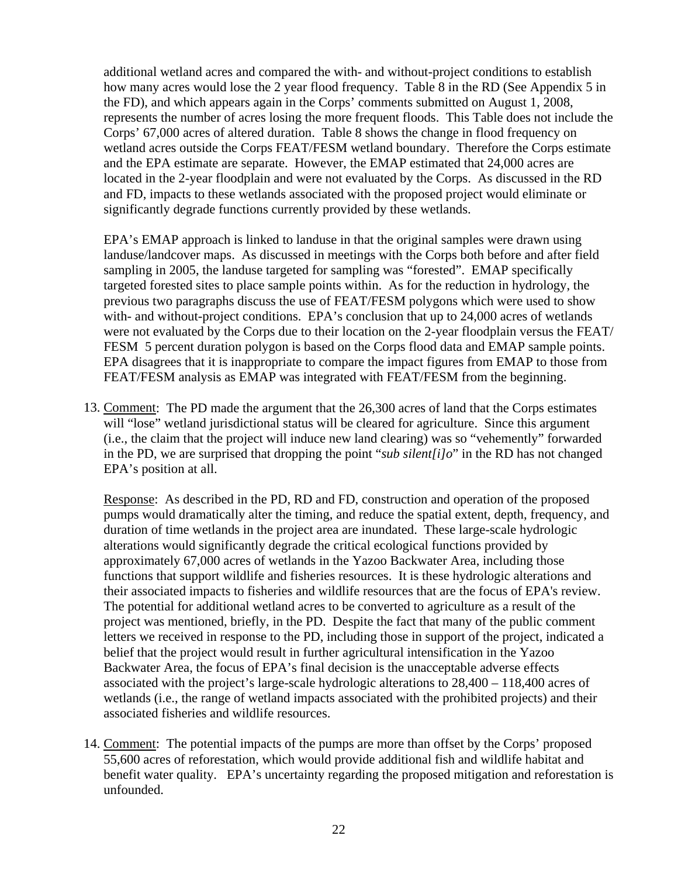additional wetland acres and compared the with- and without-project conditions to establish how many acres would lose the 2 year flood frequency. Table 8 in the RD (See Appendix 5 in the FD), and which appears again in the Corps' comments submitted on August 1, 2008, represents the number of acres losing the more frequent floods. This Table does not include the Corps' 67,000 acres of altered duration. Table 8 shows the change in flood frequency on wetland acres outside the Corps FEAT/FESM wetland boundary. Therefore the Corps estimate and the EPA estimate are separate. However, the EMAP estimated that 24,000 acres are located in the 2-year floodplain and were not evaluated by the Corps. As discussed in the RD and FD, impacts to these wetlands associated with the proposed project would eliminate or significantly degrade functions currently provided by these wetlands.

EPA's EMAP approach is linked to landuse in that the original samples were drawn using landuse/landcover maps. As discussed in meetings with the Corps both before and after field sampling in 2005, the landuse targeted for sampling was "forested". EMAP specifically targeted forested sites to place sample points within. As for the reduction in hydrology, the previous two paragraphs discuss the use of FEAT/FESM polygons which were used to show with- and without-project conditions. EPA's conclusion that up to 24,000 acres of wetlands were not evaluated by the Corps due to their location on the 2-year floodplain versus the FEAT/ FESM 5 percent duration polygon is based on the Corps flood data and EMAP sample points. EPA disagrees that it is inappropriate to compare the impact figures from EMAP to those from FEAT/FESM analysis as EMAP was integrated with FEAT/FESM from the beginning.

13. Comment: The PD made the argument that the 26,300 acres of land that the Corps estimates will "lose" wetland jurisdictional status will be cleared for agriculture. Since this argument (i.e., the claim that the project will induce new land clearing) was so "vehemently" forwarded in the PD, we are surprised that dropping the point "*sub silent[i]o*" in the RD has not changed EPA's position at all.

Response: As described in the PD, RD and FD, construction and operation of the proposed pumps would dramatically alter the timing, and reduce the spatial extent, depth, frequency, and duration of time wetlands in the project area are inundated. These large-scale hydrologic alterations would significantly degrade the critical ecological functions provided by approximately 67,000 acres of wetlands in the Yazoo Backwater Area, including those functions that support wildlife and fisheries resources. It is these hydrologic alterations and their associated impacts to fisheries and wildlife resources that are the focus of EPA's review. The potential for additional wetland acres to be converted to agriculture as a result of the project was mentioned, briefly, in the PD. Despite the fact that many of the public comment letters we received in response to the PD, including those in support of the project, indicated a belief that the project would result in further agricultural intensification in the Yazoo Backwater Area, the focus of EPA's final decision is the unacceptable adverse effects associated with the project's large-scale hydrologic alterations to 28,400 – 118,400 acres of wetlands (i.e., the range of wetland impacts associated with the prohibited projects) and their associated fisheries and wildlife resources.

14. Comment: The potential impacts of the pumps are more than offset by the Corps' proposed 55,600 acres of reforestation, which would provide additional fish and wildlife habitat and benefit water quality. EPA's uncertainty regarding the proposed mitigation and reforestation is unfounded.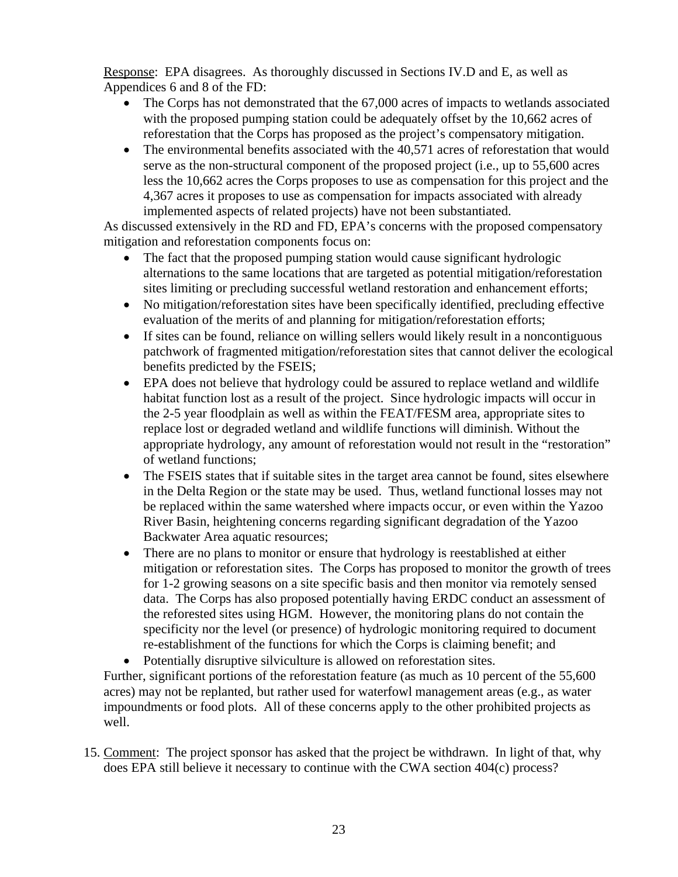Response: EPA disagrees. As thoroughly discussed in Sections IV.D and E, as well as Appendices 6 and 8 of the FD:

- The Corps has not demonstrated that the 67,000 acres of impacts to wetlands associated with the proposed pumping station could be adequately offset by the 10,662 acres of reforestation that the Corps has proposed as the project's compensatory mitigation.
- The environmental benefits associated with the 40,571 acres of reforestation that would serve as the non-structural component of the proposed project (i.e., up to 55,600 acres less the 10,662 acres the Corps proposes to use as compensation for this project and the 4,367 acres it proposes to use as compensation for impacts associated with already implemented aspects of related projects) have not been substantiated.

As discussed extensively in the RD and FD, EPA's concerns with the proposed compensatory mitigation and reforestation components focus on:

- The fact that the proposed pumping station would cause significant hydrologic alternations to the same locations that are targeted as potential mitigation/reforestation sites limiting or precluding successful wetland restoration and enhancement efforts;
- No mitigation/reforestation sites have been specifically identified, precluding effective evaluation of the merits of and planning for mitigation/reforestation efforts;
- If sites can be found, reliance on willing sellers would likely result in a noncontiguous patchwork of fragmented mitigation/reforestation sites that cannot deliver the ecological benefits predicted by the FSEIS;
- EPA does not believe that hydrology could be assured to replace wetland and wildlife habitat function lost as a result of the project. Since hydrologic impacts will occur in the 2-5 year floodplain as well as within the FEAT/FESM area, appropriate sites to replace lost or degraded wetland and wildlife functions will diminish. Without the appropriate hydrology, any amount of reforestation would not result in the "restoration" of wetland functions;
- The FSEIS states that if suitable sites in the target area cannot be found, sites elsewhere in the Delta Region or the state may be used. Thus, wetland functional losses may not be replaced within the same watershed where impacts occur, or even within the Yazoo River Basin, heightening concerns regarding significant degradation of the Yazoo Backwater Area aquatic resources;
- There are no plans to monitor or ensure that hydrology is reestablished at either mitigation or reforestation sites. The Corps has proposed to monitor the growth of trees for 1-2 growing seasons on a site specific basis and then monitor via remotely sensed data. The Corps has also proposed potentially having ERDC conduct an assessment of the reforested sites using HGM. However, the monitoring plans do not contain the specificity nor the level (or presence) of hydrologic monitoring required to document re-establishment of the functions for which the Corps is claiming benefit; and

• Potentially disruptive silviculture is allowed on reforestation sites. Further, significant portions of the reforestation feature (as much as 10 percent of the 55,600 acres) may not be replanted, but rather used for waterfowl management areas (e.g., as water impoundments or food plots. All of these concerns apply to the other prohibited projects as well.

15. Comment: The project sponsor has asked that the project be withdrawn. In light of that, why does EPA still believe it necessary to continue with the CWA section 404(c) process?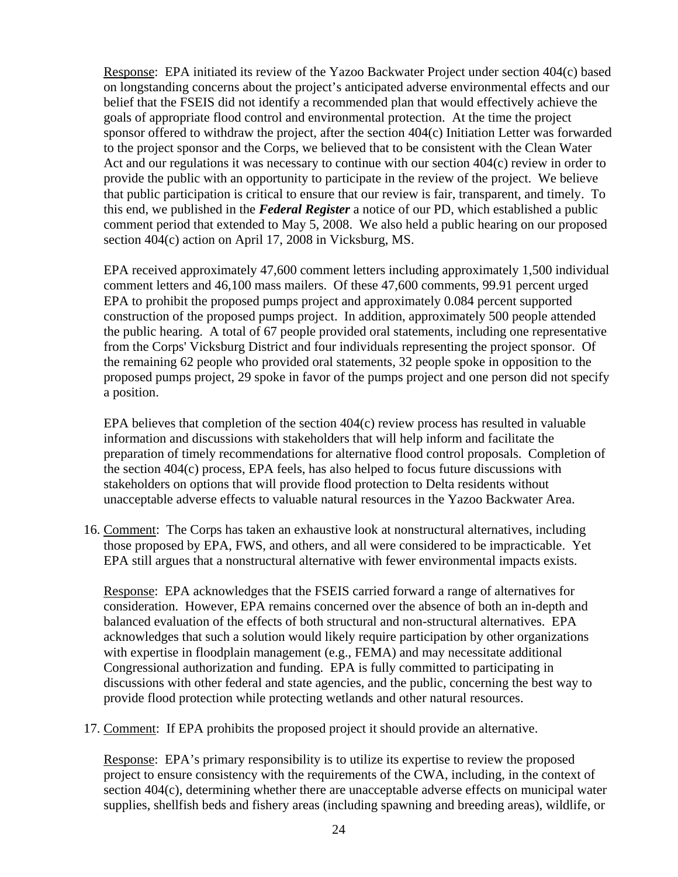Response: EPA initiated its review of the Yazoo Backwater Project under section 404(c) based on longstanding concerns about the project's anticipated adverse environmental effects and our belief that the FSEIS did not identify a recommended plan that would effectively achieve the goals of appropriate flood control and environmental protection. At the time the project sponsor offered to withdraw the project, after the section 404(c) Initiation Letter was forwarded to the project sponsor and the Corps, we believed that to be consistent with the Clean Water Act and our regulations it was necessary to continue with our section 404(c) review in order to provide the public with an opportunity to participate in the review of the project. We believe that public participation is critical to ensure that our review is fair, transparent, and timely. To this end, we published in the *Federal Register* a notice of our PD, which established a public comment period that extended to May 5, 2008. We also held a public hearing on our proposed section 404(c) action on April 17, 2008 in Vicksburg, MS.

EPA received approximately 47,600 comment letters including approximately 1,500 individual comment letters and 46,100 mass mailers. Of these 47,600 comments, 99.91 percent urged EPA to prohibit the proposed pumps project and approximately 0.084 percent supported construction of the proposed pumps project. In addition, approximately 500 people attended the public hearing. A total of 67 people provided oral statements, including one representative from the Corps' Vicksburg District and four individuals representing the project sponsor. Of the remaining 62 people who provided oral statements, 32 people spoke in opposition to the proposed pumps project, 29 spoke in favor of the pumps project and one person did not specify a position.

EPA believes that completion of the section  $404(c)$  review process has resulted in valuable information and discussions with stakeholders that will help inform and facilitate the preparation of timely recommendations for alternative flood control proposals. Completion of the section 404(c) process, EPA feels, has also helped to focus future discussions with stakeholders on options that will provide flood protection to Delta residents without unacceptable adverse effects to valuable natural resources in the Yazoo Backwater Area.

16. Comment: The Corps has taken an exhaustive look at nonstructural alternatives, including those proposed by EPA, FWS, and others, and all were considered to be impracticable. Yet EPA still argues that a nonstructural alternative with fewer environmental impacts exists.

Response: EPA acknowledges that the FSEIS carried forward a range of alternatives for consideration. However, EPA remains concerned over the absence of both an in-depth and balanced evaluation of the effects of both structural and non-structural alternatives. EPA acknowledges that such a solution would likely require participation by other organizations with expertise in floodplain management (e.g., FEMA) and may necessitate additional Congressional authorization and funding. EPA is fully committed to participating in discussions with other federal and state agencies, and the public, concerning the best way to provide flood protection while protecting wetlands and other natural resources.

17. Comment: If EPA prohibits the proposed project it should provide an alternative.

Response: EPA's primary responsibility is to utilize its expertise to review the proposed project to ensure consistency with the requirements of the CWA, including, in the context of section 404(c), determining whether there are unacceptable adverse effects on municipal water supplies, shellfish beds and fishery areas (including spawning and breeding areas), wildlife, or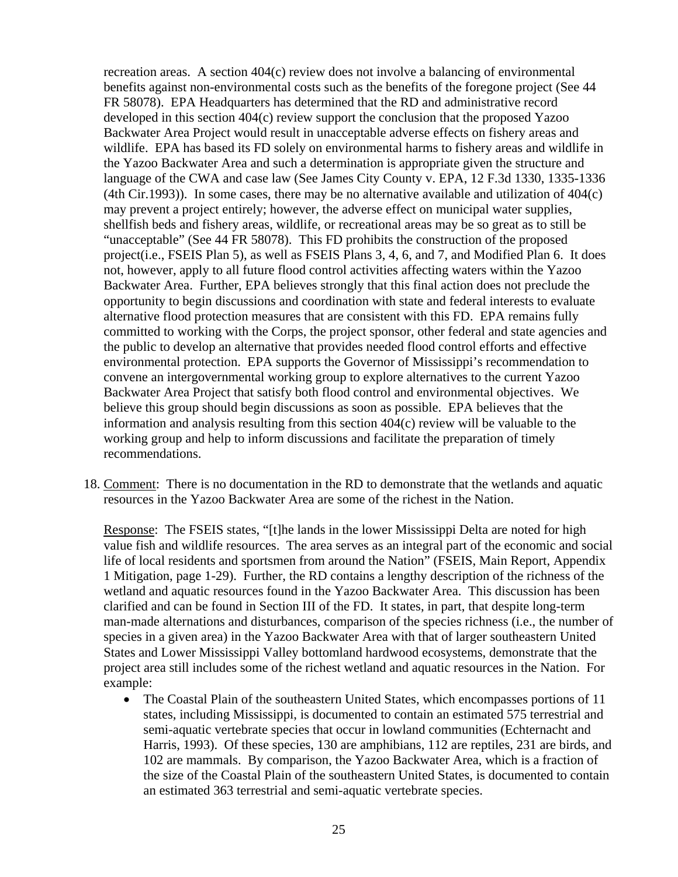recreation areas. A section 404(c) review does not involve a balancing of environmental benefits against non-environmental costs such as the benefits of the foregone project (See 44 FR 58078). EPA Headquarters has determined that the RD and administrative record developed in this section 404(c) review support the conclusion that the proposed Yazoo Backwater Area Project would result in unacceptable adverse effects on fishery areas and wildlife. EPA has based its FD solely on environmental harms to fishery areas and wildlife in the Yazoo Backwater Area and such a determination is appropriate given the structure and language of the CWA and case law (See James City County v. EPA, 12 F.3d 1330, 1335-1336 (4th Cir.1993)). In some cases, there may be no alternative available and utilization of 404(c) may prevent a project entirely; however, the adverse effect on municipal water supplies, shellfish beds and fishery areas, wildlife, or recreational areas may be so great as to still be "unacceptable" (See 44 FR 58078). This FD prohibits the construction of the proposed project(i.e., FSEIS Plan 5), as well as FSEIS Plans 3, 4, 6, and 7, and Modified Plan 6. It does not, however, apply to all future flood control activities affecting waters within the Yazoo Backwater Area. Further, EPA believes strongly that this final action does not preclude the opportunity to begin discussions and coordination with state and federal interests to evaluate alternative flood protection measures that are consistent with this FD. EPA remains fully committed to working with the Corps, the project sponsor, other federal and state agencies and the public to develop an alternative that provides needed flood control efforts and effective environmental protection. EPA supports the Governor of Mississippi's recommendation to convene an intergovernmental working group to explore alternatives to the current Yazoo Backwater Area Project that satisfy both flood control and environmental objectives. We believe this group should begin discussions as soon as possible. EPA believes that the information and analysis resulting from this section 404(c) review will be valuable to the working group and help to inform discussions and facilitate the preparation of timely recommendations.

18. Comment: There is no documentation in the RD to demonstrate that the wetlands and aquatic resources in the Yazoo Backwater Area are some of the richest in the Nation.

Response: The FSEIS states, "[t]he lands in the lower Mississippi Delta are noted for high value fish and wildlife resources. The area serves as an integral part of the economic and social life of local residents and sportsmen from around the Nation" (FSEIS, Main Report, Appendix 1 Mitigation, page 1-29). Further, the RD contains a lengthy description of the richness of the wetland and aquatic resources found in the Yazoo Backwater Area. This discussion has been clarified and can be found in Section III of the FD. It states, in part, that despite long-term man-made alternations and disturbances, comparison of the species richness (i.e., the number of species in a given area) in the Yazoo Backwater Area with that of larger southeastern United States and Lower Mississippi Valley bottomland hardwood ecosystems, demonstrate that the project area still includes some of the richest wetland and aquatic resources in the Nation. For example:

• The Coastal Plain of the southeastern United States, which encompasses portions of 11 states, including Mississippi, is documented to contain an estimated 575 terrestrial and semi-aquatic vertebrate species that occur in lowland communities (Echternacht and Harris, 1993). Of these species, 130 are amphibians, 112 are reptiles, 231 are birds, and 102 are mammals. By comparison, the Yazoo Backwater Area, which is a fraction of the size of the Coastal Plain of the southeastern United States, is documented to contain an estimated 363 terrestrial and semi-aquatic vertebrate species.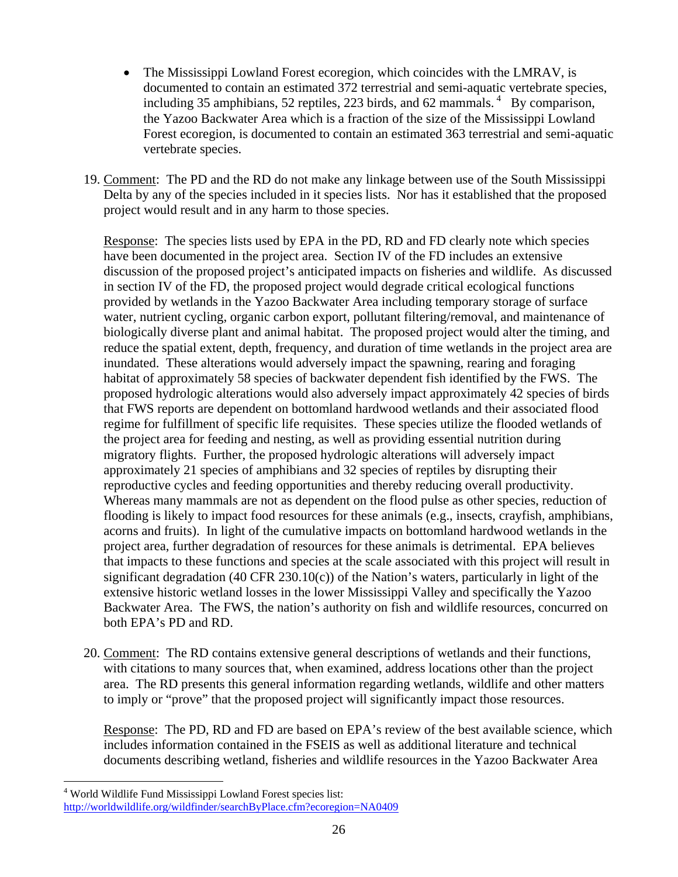- The Mississippi Lowland Forest ecoregion, which coincides with the LMRAV, is documented to contain an estimated 372 terrestrial and semi-aquatic vertebrate species, including 35 amphibians, 52 reptiles, 223 birds, and 62 mammals.  $4\overline{a}$  By comparison, the Yazoo Backwater Area which is a fraction of the size of the Mississippi Lowland Forest ecoregion, is documented to contain an estimated 363 terrestrial and semi-aquatic vertebrate species.
- 19. Comment: The PD and the RD do not make any linkage between use of the South Mississippi Delta by any of the species included in it species lists. Nor has it established that the proposed project would result and in any harm to those species.

Response: The species lists used by EPA in the PD, RD and FD clearly note which species have been documented in the project area. Section IV of the FD includes an extensive discussion of the proposed project's anticipated impacts on fisheries and wildlife. As discussed in section IV of the FD, the proposed project would degrade critical ecological functions provided by wetlands in the Yazoo Backwater Area including temporary storage of surface water, nutrient cycling, organic carbon export, pollutant filtering/removal, and maintenance of biologically diverse plant and animal habitat. The proposed project would alter the timing, and reduce the spatial extent, depth, frequency, and duration of time wetlands in the project area are inundated. These alterations would adversely impact the spawning, rearing and foraging habitat of approximately 58 species of backwater dependent fish identified by the FWS. The proposed hydrologic alterations would also adversely impact approximately 42 species of birds that FWS reports are dependent on bottomland hardwood wetlands and their associated flood regime for fulfillment of specific life requisites. These species utilize the flooded wetlands of the project area for feeding and nesting, as well as providing essential nutrition during migratory flights. Further, the proposed hydrologic alterations will adversely impact approximately 21 species of amphibians and 32 species of reptiles by disrupting their reproductive cycles and feeding opportunities and thereby reducing overall productivity. Whereas many mammals are not as dependent on the flood pulse as other species, reduction of flooding is likely to impact food resources for these animals (e.g., insects, crayfish, amphibians, acorns and fruits). In light of the cumulative impacts on bottomland hardwood wetlands in the project area, further degradation of resources for these animals is detrimental. EPA believes that impacts to these functions and species at the scale associated with this project will result in significant degradation (40 CFR 230.10(c)) of the Nation's waters, particularly in light of the extensive historic wetland losses in the lower Mississippi Valley and specifically the Yazoo Backwater Area. The FWS, the nation's authority on fish and wildlife resources, concurred on both EPA's PD and RD.

20. Comment: The RD contains extensive general descriptions of wetlands and their functions, with citations to many sources that, when examined, address locations other than the project area. The RD presents this general information regarding wetlands, wildlife and other matters to imply or "prove" that the proposed project will significantly impact those resources.

Response: The PD, RD and FD are based on EPA's review of the best available science, which includes information contained in the FSEIS as well as additional literature and technical documents describing wetland, fisheries and wildlife resources in the Yazoo Backwater Area

 $\overline{a}$ 

<sup>4</sup> World Wildlife Fund Mississippi Lowland Forest species list: http://worldwildlife.org/wildfinder/searchByPlace.cfm?ecoregion=NA0409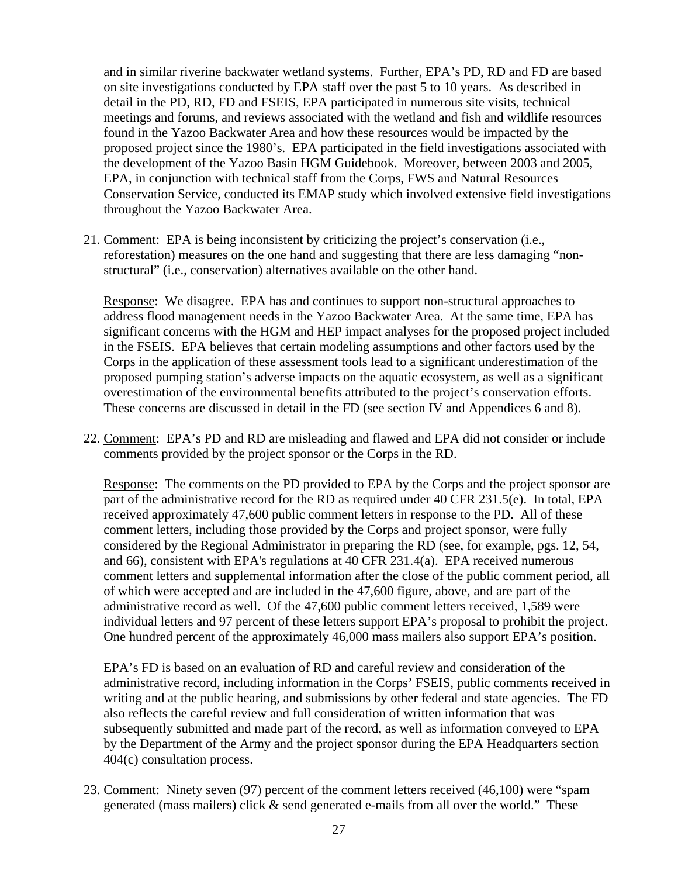and in similar riverine backwater wetland systems. Further, EPA's PD, RD and FD are based on site investigations conducted by EPA staff over the past 5 to 10 years. As described in detail in the PD, RD, FD and FSEIS, EPA participated in numerous site visits, technical meetings and forums, and reviews associated with the wetland and fish and wildlife resources found in the Yazoo Backwater Area and how these resources would be impacted by the proposed project since the 1980's. EPA participated in the field investigations associated with the development of the Yazoo Basin HGM Guidebook. Moreover, between 2003 and 2005, EPA, in conjunction with technical staff from the Corps, FWS and Natural Resources Conservation Service, conducted its EMAP study which involved extensive field investigations throughout the Yazoo Backwater Area.

21. Comment: EPA is being inconsistent by criticizing the project's conservation (i.e., reforestation) measures on the one hand and suggesting that there are less damaging "nonstructural" (i.e., conservation) alternatives available on the other hand.

Response: We disagree. EPA has and continues to support non-structural approaches to address flood management needs in the Yazoo Backwater Area. At the same time, EPA has significant concerns with the HGM and HEP impact analyses for the proposed project included in the FSEIS. EPA believes that certain modeling assumptions and other factors used by the Corps in the application of these assessment tools lead to a significant underestimation of the proposed pumping station's adverse impacts on the aquatic ecosystem, as well as a significant overestimation of the environmental benefits attributed to the project's conservation efforts. These concerns are discussed in detail in the FD (see section IV and Appendices 6 and 8).

22. Comment: EPA's PD and RD are misleading and flawed and EPA did not consider or include comments provided by the project sponsor or the Corps in the RD.

Response: The comments on the PD provided to EPA by the Corps and the project sponsor are part of the administrative record for the RD as required under 40 CFR 231.5(e). In total, EPA received approximately 47,600 public comment letters in response to the PD. All of these comment letters, including those provided by the Corps and project sponsor, were fully considered by the Regional Administrator in preparing the RD (see, for example, pgs. 12, 54, and 66), consistent with EPA's regulations at 40 CFR 231.4(a). EPA received numerous comment letters and supplemental information after the close of the public comment period, all of which were accepted and are included in the 47,600 figure, above, and are part of the administrative record as well. Of the 47,600 public comment letters received, 1,589 were individual letters and 97 percent of these letters support EPA's proposal to prohibit the project. One hundred percent of the approximately 46,000 mass mailers also support EPA's position.

EPA's FD is based on an evaluation of RD and careful review and consideration of the administrative record, including information in the Corps' FSEIS, public comments received in writing and at the public hearing, and submissions by other federal and state agencies. The FD also reflects the careful review and full consideration of written information that was subsequently submitted and made part of the record, as well as information conveyed to EPA by the Department of the Army and the project sponsor during the EPA Headquarters section 404(c) consultation process.

23. Comment: Ninety seven (97) percent of the comment letters received (46,100) were "spam generated (mass mailers) click & send generated e-mails from all over the world." These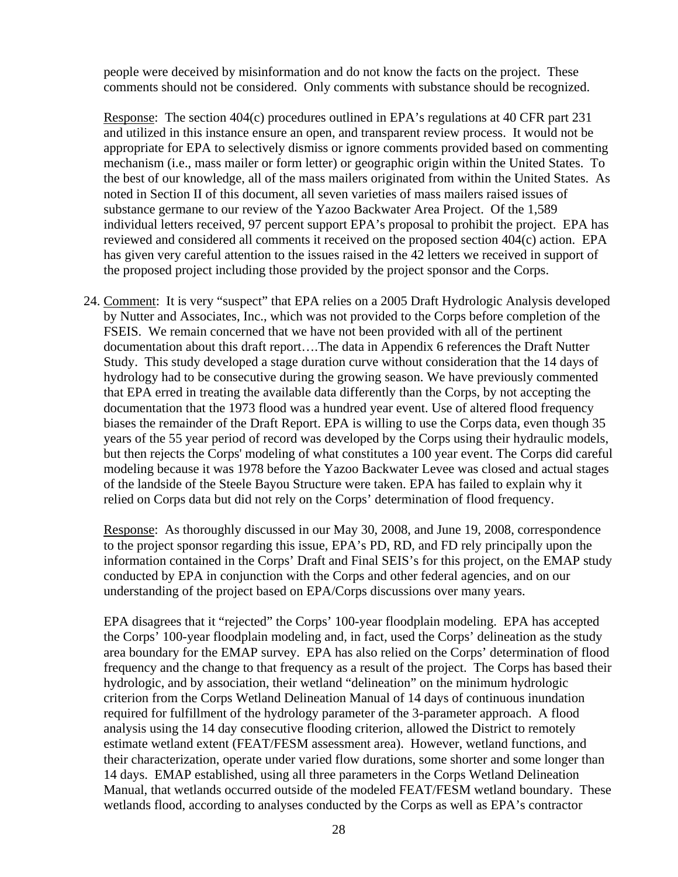people were deceived by misinformation and do not know the facts on the project. These comments should not be considered. Only comments with substance should be recognized.

Response: The section 404(c) procedures outlined in EPA's regulations at 40 CFR part 231 and utilized in this instance ensure an open, and transparent review process. It would not be appropriate for EPA to selectively dismiss or ignore comments provided based on commenting mechanism (i.e., mass mailer or form letter) or geographic origin within the United States. To the best of our knowledge, all of the mass mailers originated from within the United States. As noted in Section II of this document, all seven varieties of mass mailers raised issues of substance germane to our review of the Yazoo Backwater Area Project. Of the 1,589 individual letters received, 97 percent support EPA's proposal to prohibit the project. EPA has reviewed and considered all comments it received on the proposed section 404(c) action. EPA has given very careful attention to the issues raised in the 42 letters we received in support of the proposed project including those provided by the project sponsor and the Corps.

24. Comment: It is very "suspect" that EPA relies on a 2005 Draft Hydrologic Analysis developed by Nutter and Associates, Inc., which was not provided to the Corps before completion of the FSEIS. We remain concerned that we have not been provided with all of the pertinent documentation about this draft report….The data in Appendix 6 references the Draft Nutter Study. This study developed a stage duration curve without consideration that the 14 days of hydrology had to be consecutive during the growing season. We have previously commented that EPA erred in treating the available data differently than the Corps, by not accepting the documentation that the 1973 flood was a hundred year event. Use of altered flood frequency biases the remainder of the Draft Report. EPA is willing to use the Corps data, even though 35 years of the 55 year period of record was developed by the Corps using their hydraulic models, but then rejects the Corps' modeling of what constitutes a 100 year event. The Corps did careful modeling because it was 1978 before the Yazoo Backwater Levee was closed and actual stages of the landside of the Steele Bayou Structure were taken. EPA has failed to explain why it relied on Corps data but did not rely on the Corps' determination of flood frequency.

Response: As thoroughly discussed in our May 30, 2008, and June 19, 2008, correspondence to the project sponsor regarding this issue, EPA's PD, RD, and FD rely principally upon the information contained in the Corps' Draft and Final SEIS's for this project, on the EMAP study conducted by EPA in conjunction with the Corps and other federal agencies, and on our understanding of the project based on EPA/Corps discussions over many years.

EPA disagrees that it "rejected" the Corps' 100-year floodplain modeling. EPA has accepted the Corps' 100-year floodplain modeling and, in fact, used the Corps' delineation as the study area boundary for the EMAP survey. EPA has also relied on the Corps' determination of flood frequency and the change to that frequency as a result of the project. The Corps has based their hydrologic, and by association, their wetland "delineation" on the minimum hydrologic criterion from the Corps Wetland Delineation Manual of 14 days of continuous inundation required for fulfillment of the hydrology parameter of the 3-parameter approach. A flood analysis using the 14 day consecutive flooding criterion, allowed the District to remotely estimate wetland extent (FEAT/FESM assessment area). However, wetland functions, and their characterization, operate under varied flow durations, some shorter and some longer than 14 days. EMAP established, using all three parameters in the Corps Wetland Delineation Manual, that wetlands occurred outside of the modeled FEAT/FESM wetland boundary. These wetlands flood, according to analyses conducted by the Corps as well as EPA's contractor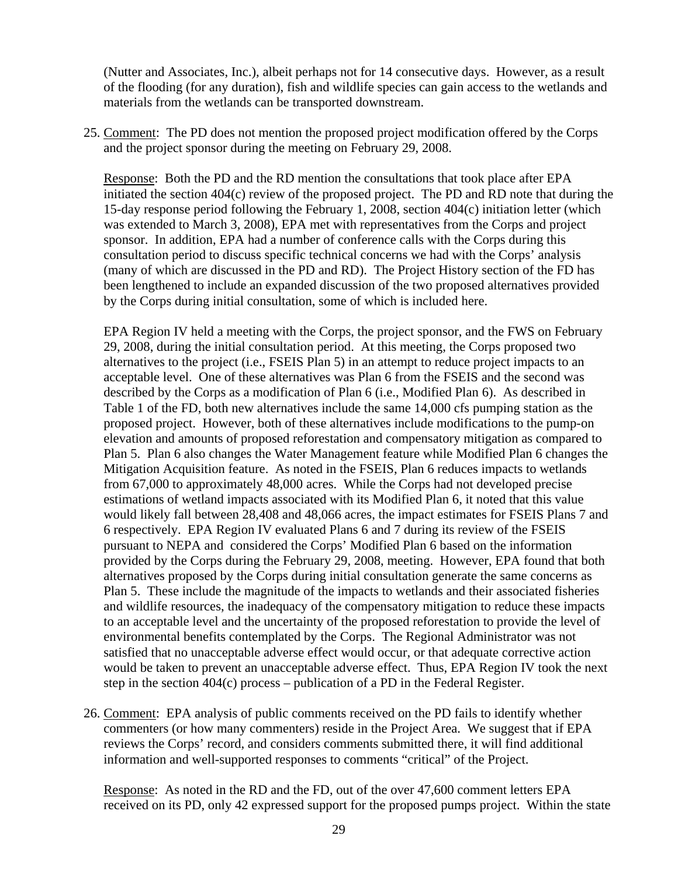(Nutter and Associates, Inc.), albeit perhaps not for 14 consecutive days. However, as a result of the flooding (for any duration), fish and wildlife species can gain access to the wetlands and materials from the wetlands can be transported downstream.

25. Comment: The PD does not mention the proposed project modification offered by the Corps and the project sponsor during the meeting on February 29, 2008.

Response: Both the PD and the RD mention the consultations that took place after EPA initiated the section 404(c) review of the proposed project. The PD and RD note that during the 15-day response period following the February 1, 2008, section 404(c) initiation letter (which was extended to March 3, 2008), EPA met with representatives from the Corps and project sponsor. In addition, EPA had a number of conference calls with the Corps during this consultation period to discuss specific technical concerns we had with the Corps' analysis (many of which are discussed in the PD and RD). The Project History section of the FD has been lengthened to include an expanded discussion of the two proposed alternatives provided by the Corps during initial consultation, some of which is included here.

EPA Region IV held a meeting with the Corps, the project sponsor, and the FWS on February 29, 2008, during the initial consultation period. At this meeting, the Corps proposed two alternatives to the project (i.e., FSEIS Plan 5) in an attempt to reduce project impacts to an acceptable level. One of these alternatives was Plan 6 from the FSEIS and the second was described by the Corps as a modification of Plan 6 (i.e., Modified Plan 6). As described in Table 1 of the FD, both new alternatives include the same 14,000 cfs pumping station as the proposed project. However, both of these alternatives include modifications to the pump-on elevation and amounts of proposed reforestation and compensatory mitigation as compared to Plan 5. Plan 6 also changes the Water Management feature while Modified Plan 6 changes the Mitigation Acquisition feature. As noted in the FSEIS, Plan 6 reduces impacts to wetlands from 67,000 to approximately 48,000 acres. While the Corps had not developed precise estimations of wetland impacts associated with its Modified Plan 6, it noted that this value would likely fall between 28,408 and 48,066 acres, the impact estimates for FSEIS Plans 7 and 6 respectively. EPA Region IV evaluated Plans 6 and 7 during its review of the FSEIS pursuant to NEPA and considered the Corps' Modified Plan 6 based on the information provided by the Corps during the February 29, 2008, meeting. However, EPA found that both alternatives proposed by the Corps during initial consultation generate the same concerns as Plan 5. These include the magnitude of the impacts to wetlands and their associated fisheries and wildlife resources, the inadequacy of the compensatory mitigation to reduce these impacts to an acceptable level and the uncertainty of the proposed reforestation to provide the level of environmental benefits contemplated by the Corps. The Regional Administrator was not satisfied that no unacceptable adverse effect would occur, or that adequate corrective action would be taken to prevent an unacceptable adverse effect. Thus, EPA Region IV took the next step in the section 404(c) process – publication of a PD in the Federal Register.

26. Comment: EPA analysis of public comments received on the PD fails to identify whether commenters (or how many commenters) reside in the Project Area. We suggest that if EPA reviews the Corps' record, and considers comments submitted there, it will find additional information and well-supported responses to comments "critical" of the Project.

Response: As noted in the RD and the FD, out of the over 47,600 comment letters EPA received on its PD, only 42 expressed support for the proposed pumps project. Within the state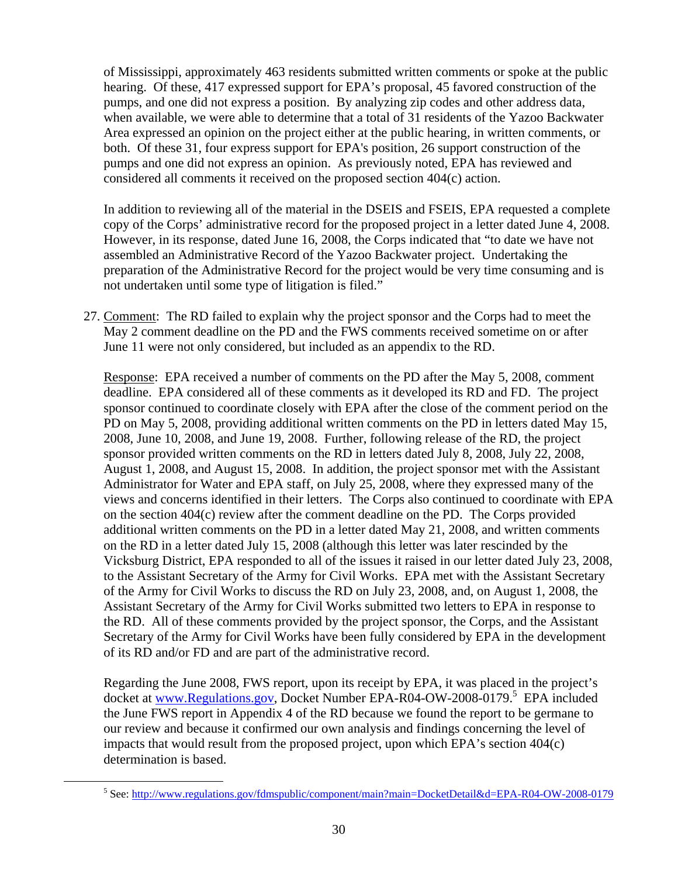of Mississippi, approximately 463 residents submitted written comments or spoke at the public hearing. Of these, 417 expressed support for EPA's proposal, 45 favored construction of the pumps, and one did not express a position. By analyzing zip codes and other address data, when available, we were able to determine that a total of 31 residents of the Yazoo Backwater Area expressed an opinion on the project either at the public hearing, in written comments, or both. Of these 31, four express support for EPA's position, 26 support construction of the pumps and one did not express an opinion. As previously noted, EPA has reviewed and considered all comments it received on the proposed section 404(c) action.

In addition to reviewing all of the material in the DSEIS and FSEIS, EPA requested a complete copy of the Corps' administrative record for the proposed project in a letter dated June 4, 2008. However, in its response, dated June 16, 2008, the Corps indicated that "to date we have not assembled an Administrative Record of the Yazoo Backwater project. Undertaking the preparation of the Administrative Record for the project would be very time consuming and is not undertaken until some type of litigation is filed."

27. Comment: The RD failed to explain why the project sponsor and the Corps had to meet the May 2 comment deadline on the PD and the FWS comments received sometime on or after June 11 were not only considered, but included as an appendix to the RD.

Response: EPA received a number of comments on the PD after the May 5, 2008, comment deadline. EPA considered all of these comments as it developed its RD and FD. The project sponsor continued to coordinate closely with EPA after the close of the comment period on the PD on May 5, 2008, providing additional written comments on the PD in letters dated May 15, 2008, June 10, 2008, and June 19, 2008. Further, following release of the RD, the project sponsor provided written comments on the RD in letters dated July 8, 2008, July 22, 2008, August 1, 2008, and August 15, 2008. In addition, the project sponsor met with the Assistant Administrator for Water and EPA staff, on July 25, 2008, where they expressed many of the views and concerns identified in their letters. The Corps also continued to coordinate with EPA on the section 404(c) review after the comment deadline on the PD. The Corps provided additional written comments on the PD in a letter dated May 21, 2008, and written comments on the RD in a letter dated July 15, 2008 (although this letter was later rescinded by the Vicksburg District, EPA responded to all of the issues it raised in our letter dated July 23, 2008, to the Assistant Secretary of the Army for Civil Works. EPA met with the Assistant Secretary of the Army for Civil Works to discuss the RD on July 23, 2008, and, on August 1, 2008, the Assistant Secretary of the Army for Civil Works submitted two letters to EPA in response to the RD. All of these comments provided by the project sponsor, the Corps, and the Assistant Secretary of the Army for Civil Works have been fully considered by EPA in the development of its RD and/or FD and are part of the administrative record.

Regarding the June 2008, FWS report, upon its receipt by EPA, it was placed in the project's docket at www.Regulations.gov, Docket Number EPA-R04-OW-2008-0179.<sup>5</sup> EPA included the June FWS report in Appendix 4 of the RD because we found the report to be germane to our review and because it confirmed our own analysis and findings concerning the level of impacts that would result from the proposed project, upon which EPA's section 404(c) determination is based.

 $rac{1}{5}$ See: http://www.regulations.gov/fdmspublic/component/main?main=DocketDetail&d=EPA-R04-OW-2008-0179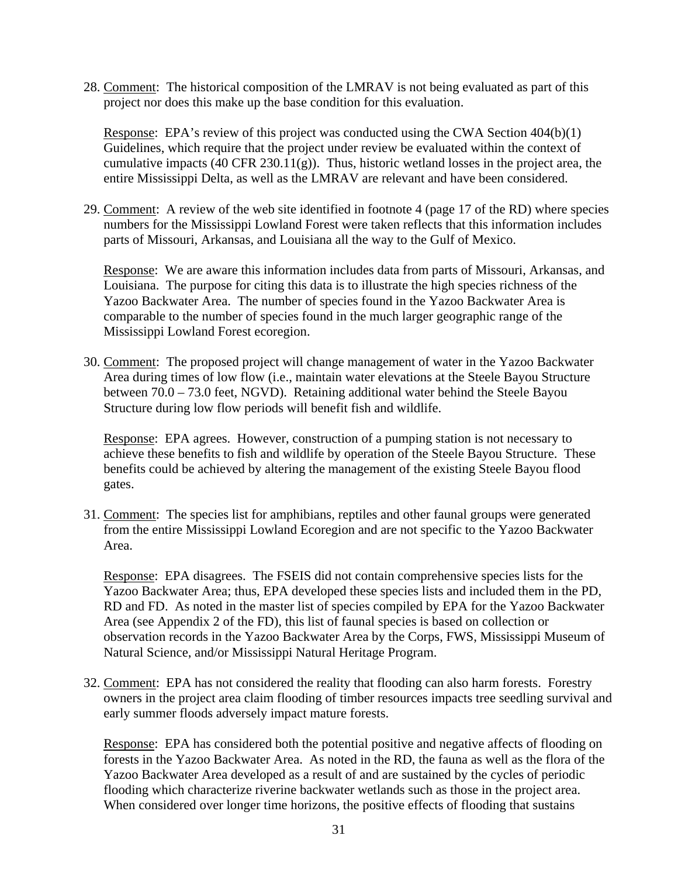28. Comment: The historical composition of the LMRAV is not being evaluated as part of this project nor does this make up the base condition for this evaluation.

Response: EPA's review of this project was conducted using the CWA Section 404(b)(1) Guidelines, which require that the project under review be evaluated within the context of cumulative impacts (40 CFR 230.11(g)). Thus, historic wetland losses in the project area, the entire Mississippi Delta, as well as the LMRAV are relevant and have been considered.

29. Comment: A review of the web site identified in footnote 4 (page 17 of the RD) where species numbers for the Mississippi Lowland Forest were taken reflects that this information includes parts of Missouri, Arkansas, and Louisiana all the way to the Gulf of Mexico.

Response: We are aware this information includes data from parts of Missouri, Arkansas, and Louisiana. The purpose for citing this data is to illustrate the high species richness of the Yazoo Backwater Area. The number of species found in the Yazoo Backwater Area is comparable to the number of species found in the much larger geographic range of the Mississippi Lowland Forest ecoregion.

30. Comment: The proposed project will change management of water in the Yazoo Backwater Area during times of low flow (i.e., maintain water elevations at the Steele Bayou Structure between 70.0 – 73.0 feet, NGVD). Retaining additional water behind the Steele Bayou Structure during low flow periods will benefit fish and wildlife.

Response: EPA agrees. However, construction of a pumping station is not necessary to achieve these benefits to fish and wildlife by operation of the Steele Bayou Structure. These benefits could be achieved by altering the management of the existing Steele Bayou flood gates.

31. Comment: The species list for amphibians, reptiles and other faunal groups were generated from the entire Mississippi Lowland Ecoregion and are not specific to the Yazoo Backwater Area.

Response: EPA disagrees. The FSEIS did not contain comprehensive species lists for the Yazoo Backwater Area; thus, EPA developed these species lists and included them in the PD, RD and FD. As noted in the master list of species compiled by EPA for the Yazoo Backwater Area (see Appendix 2 of the FD), this list of faunal species is based on collection or observation records in the Yazoo Backwater Area by the Corps, FWS, Mississippi Museum of Natural Science, and/or Mississippi Natural Heritage Program.

32. Comment: EPA has not considered the reality that flooding can also harm forests. Forestry owners in the project area claim flooding of timber resources impacts tree seedling survival and early summer floods adversely impact mature forests.

Response: EPA has considered both the potential positive and negative affects of flooding on forests in the Yazoo Backwater Area. As noted in the RD, the fauna as well as the flora of the Yazoo Backwater Area developed as a result of and are sustained by the cycles of periodic flooding which characterize riverine backwater wetlands such as those in the project area. When considered over longer time horizons, the positive effects of flooding that sustains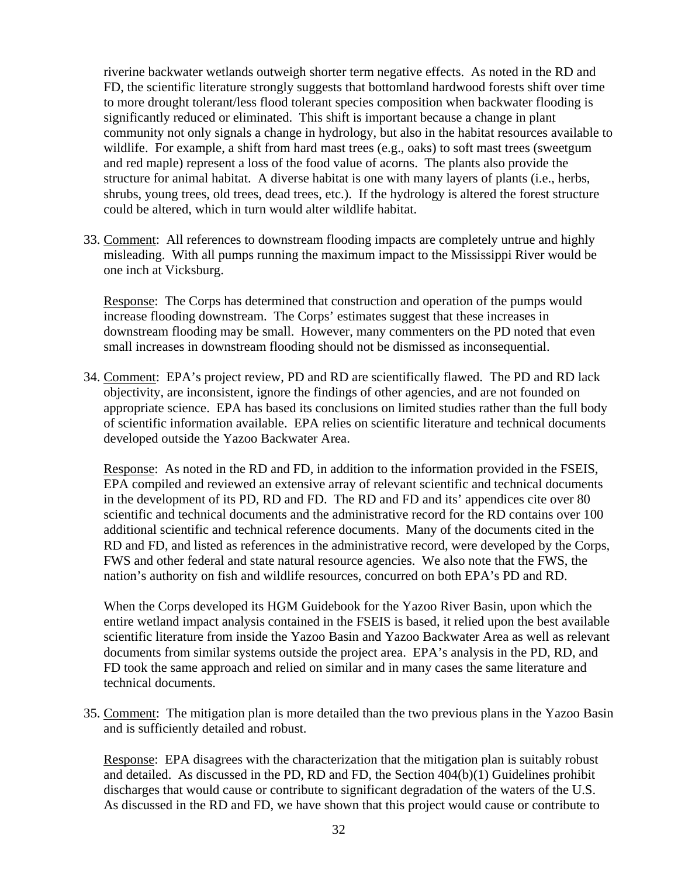riverine backwater wetlands outweigh shorter term negative effects. As noted in the RD and FD, the scientific literature strongly suggests that bottomland hardwood forests shift over time to more drought tolerant/less flood tolerant species composition when backwater flooding is significantly reduced or eliminated. This shift is important because a change in plant community not only signals a change in hydrology, but also in the habitat resources available to wildlife. For example, a shift from hard mast trees (e.g., oaks) to soft mast trees (sweetgum and red maple) represent a loss of the food value of acorns. The plants also provide the structure for animal habitat. A diverse habitat is one with many layers of plants (i.e., herbs, shrubs, young trees, old trees, dead trees, etc.). If the hydrology is altered the forest structure could be altered, which in turn would alter wildlife habitat.

33. Comment: All references to downstream flooding impacts are completely untrue and highly misleading. With all pumps running the maximum impact to the Mississippi River would be one inch at Vicksburg.

Response: The Corps has determined that construction and operation of the pumps would increase flooding downstream. The Corps' estimates suggest that these increases in downstream flooding may be small. However, many commenters on the PD noted that even small increases in downstream flooding should not be dismissed as inconsequential.

34. Comment: EPA's project review, PD and RD are scientifically flawed. The PD and RD lack objectivity, are inconsistent, ignore the findings of other agencies, and are not founded on appropriate science. EPA has based its conclusions on limited studies rather than the full body of scientific information available. EPA relies on scientific literature and technical documents developed outside the Yazoo Backwater Area.

Response: As noted in the RD and FD, in addition to the information provided in the FSEIS, EPA compiled and reviewed an extensive array of relevant scientific and technical documents in the development of its PD, RD and FD. The RD and FD and its' appendices cite over 80 scientific and technical documents and the administrative record for the RD contains over 100 additional scientific and technical reference documents. Many of the documents cited in the RD and FD, and listed as references in the administrative record, were developed by the Corps, FWS and other federal and state natural resource agencies. We also note that the FWS, the nation's authority on fish and wildlife resources, concurred on both EPA's PD and RD.

When the Corps developed its HGM Guidebook for the Yazoo River Basin, upon which the entire wetland impact analysis contained in the FSEIS is based, it relied upon the best available scientific literature from inside the Yazoo Basin and Yazoo Backwater Area as well as relevant documents from similar systems outside the project area. EPA's analysis in the PD, RD, and FD took the same approach and relied on similar and in many cases the same literature and technical documents.

35. Comment: The mitigation plan is more detailed than the two previous plans in the Yazoo Basin and is sufficiently detailed and robust.

Response: EPA disagrees with the characterization that the mitigation plan is suitably robust and detailed. As discussed in the PD, RD and FD, the Section 404(b)(1) Guidelines prohibit discharges that would cause or contribute to significant degradation of the waters of the U.S. As discussed in the RD and FD, we have shown that this project would cause or contribute to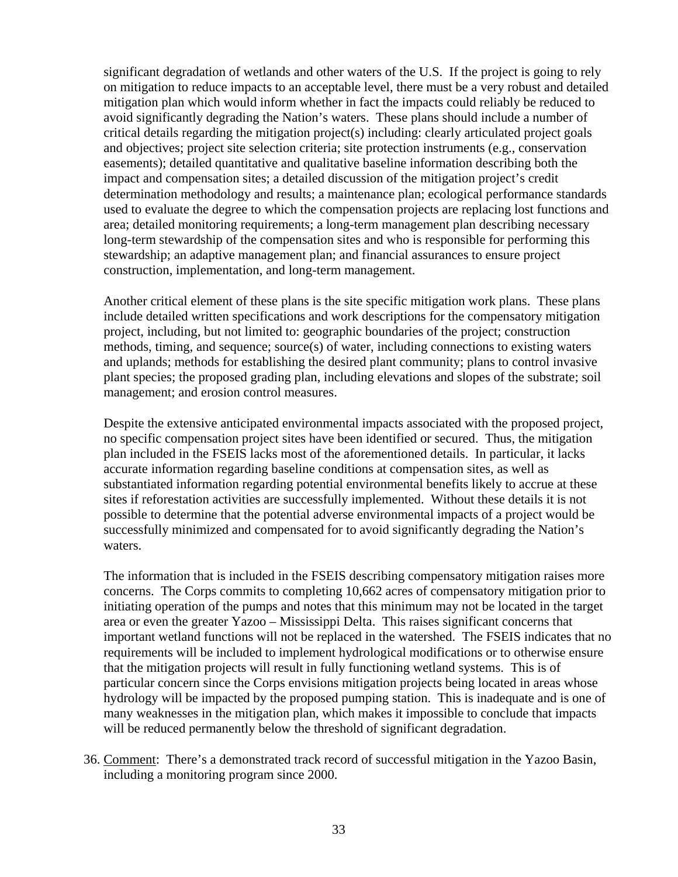significant degradation of wetlands and other waters of the U.S. If the project is going to rely on mitigation to reduce impacts to an acceptable level, there must be a very robust and detailed mitigation plan which would inform whether in fact the impacts could reliably be reduced to avoid significantly degrading the Nation's waters. These plans should include a number of critical details regarding the mitigation project(s) including: clearly articulated project goals and objectives; project site selection criteria; site protection instruments (e.g., conservation easements); detailed quantitative and qualitative baseline information describing both the impact and compensation sites; a detailed discussion of the mitigation project's credit determination methodology and results; a maintenance plan; ecological performance standards used to evaluate the degree to which the compensation projects are replacing lost functions and area; detailed monitoring requirements; a long-term management plan describing necessary long-term stewardship of the compensation sites and who is responsible for performing this stewardship; an adaptive management plan; and financial assurances to ensure project construction, implementation, and long-term management.

Another critical element of these plans is the site specific mitigation work plans. These plans include detailed written specifications and work descriptions for the compensatory mitigation project, including, but not limited to: geographic boundaries of the project; construction methods, timing, and sequence; source(s) of water, including connections to existing waters and uplands; methods for establishing the desired plant community; plans to control invasive plant species; the proposed grading plan, including elevations and slopes of the substrate; soil management; and erosion control measures.

Despite the extensive anticipated environmental impacts associated with the proposed project, no specific compensation project sites have been identified or secured. Thus, the mitigation plan included in the FSEIS lacks most of the aforementioned details. In particular, it lacks accurate information regarding baseline conditions at compensation sites, as well as substantiated information regarding potential environmental benefits likely to accrue at these sites if reforestation activities are successfully implemented. Without these details it is not possible to determine that the potential adverse environmental impacts of a project would be successfully minimized and compensated for to avoid significantly degrading the Nation's waters.

The information that is included in the FSEIS describing compensatory mitigation raises more concerns. The Corps commits to completing 10,662 acres of compensatory mitigation prior to initiating operation of the pumps and notes that this minimum may not be located in the target area or even the greater Yazoo – Mississippi Delta. This raises significant concerns that important wetland functions will not be replaced in the watershed. The FSEIS indicates that no requirements will be included to implement hydrological modifications or to otherwise ensure that the mitigation projects will result in fully functioning wetland systems. This is of particular concern since the Corps envisions mitigation projects being located in areas whose hydrology will be impacted by the proposed pumping station. This is inadequate and is one of many weaknesses in the mitigation plan, which makes it impossible to conclude that impacts will be reduced permanently below the threshold of significant degradation.

36. Comment: There's a demonstrated track record of successful mitigation in the Yazoo Basin, including a monitoring program since 2000.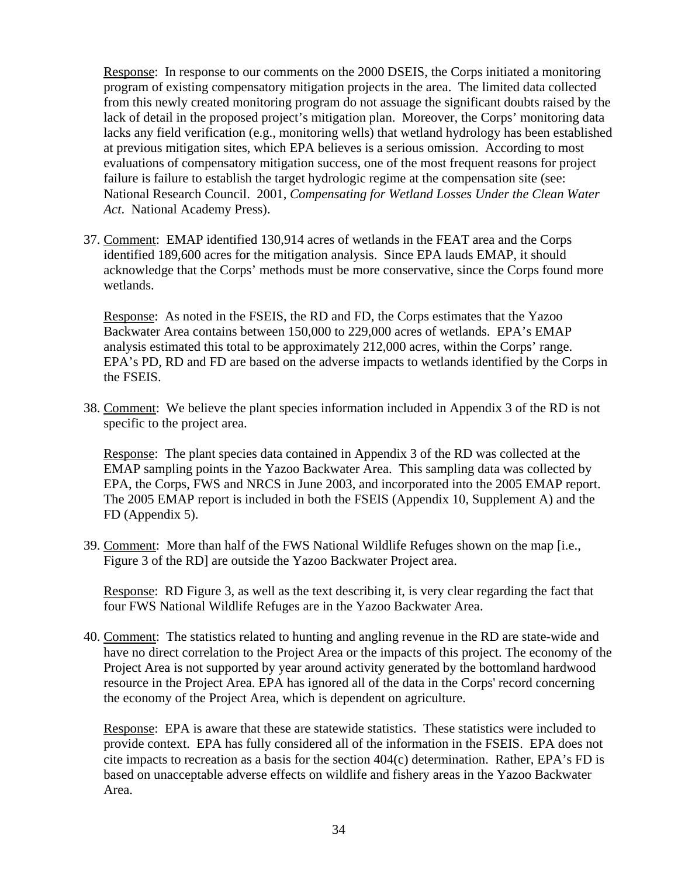Response: In response to our comments on the 2000 DSEIS, the Corps initiated a monitoring program of existing compensatory mitigation projects in the area. The limited data collected from this newly created monitoring program do not assuage the significant doubts raised by the lack of detail in the proposed project's mitigation plan. Moreover, the Corps' monitoring data lacks any field verification (e.g., monitoring wells) that wetland hydrology has been established at previous mitigation sites, which EPA believes is a serious omission. According to most evaluations of compensatory mitigation success, one of the most frequent reasons for project failure is failure to establish the target hydrologic regime at the compensation site (see: National Research Council. 2001, *Compensating for Wetland Losses Under the Clean Water Act*. National Academy Press).

37. Comment: EMAP identified 130,914 acres of wetlands in the FEAT area and the Corps identified 189,600 acres for the mitigation analysis. Since EPA lauds EMAP, it should acknowledge that the Corps' methods must be more conservative, since the Corps found more wetlands.

Response: As noted in the FSEIS, the RD and FD, the Corps estimates that the Yazoo Backwater Area contains between 150,000 to 229,000 acres of wetlands. EPA's EMAP analysis estimated this total to be approximately 212,000 acres, within the Corps' range. EPA's PD, RD and FD are based on the adverse impacts to wetlands identified by the Corps in the FSEIS.

38. Comment: We believe the plant species information included in Appendix 3 of the RD is not specific to the project area.

Response: The plant species data contained in Appendix 3 of the RD was collected at the EMAP sampling points in the Yazoo Backwater Area. This sampling data was collected by EPA, the Corps, FWS and NRCS in June 2003, and incorporated into the 2005 EMAP report. The 2005 EMAP report is included in both the FSEIS (Appendix 10, Supplement A) and the FD (Appendix 5).

39. Comment: More than half of the FWS National Wildlife Refuges shown on the map [i.e., Figure 3 of the RD] are outside the Yazoo Backwater Project area.

Response: RD Figure 3, as well as the text describing it, is very clear regarding the fact that four FWS National Wildlife Refuges are in the Yazoo Backwater Area.

40. Comment: The statistics related to hunting and angling revenue in the RD are state-wide and have no direct correlation to the Project Area or the impacts of this project. The economy of the Project Area is not supported by year around activity generated by the bottomland hardwood resource in the Project Area. EPA has ignored all of the data in the Corps' record concerning the economy of the Project Area, which is dependent on agriculture.

Response: EPA is aware that these are statewide statistics. These statistics were included to provide context. EPA has fully considered all of the information in the FSEIS. EPA does not cite impacts to recreation as a basis for the section 404(c) determination. Rather, EPA's FD is based on unacceptable adverse effects on wildlife and fishery areas in the Yazoo Backwater Area.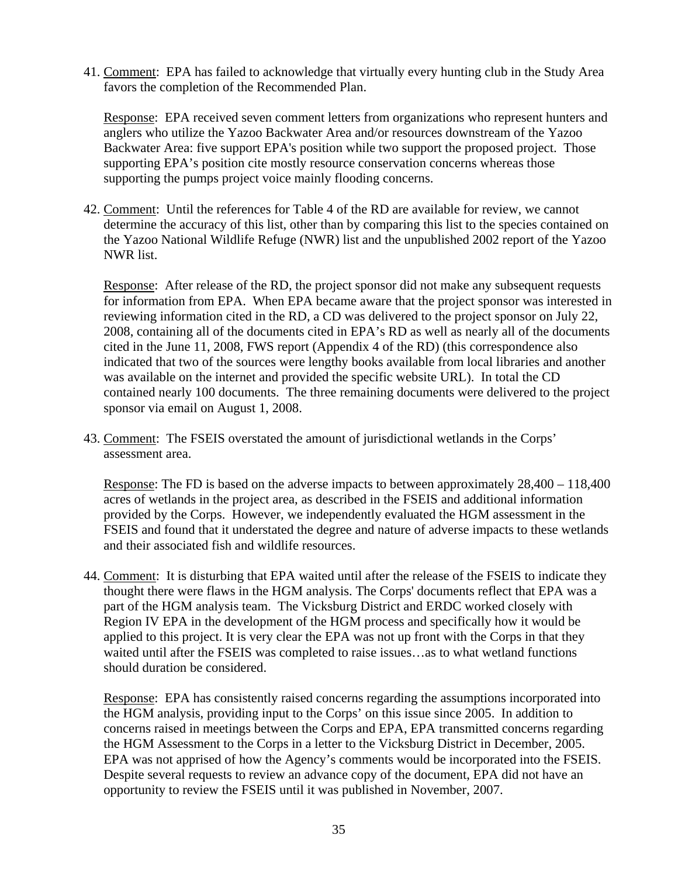41. Comment: EPA has failed to acknowledge that virtually every hunting club in the Study Area favors the completion of the Recommended Plan.

Response: EPA received seven comment letters from organizations who represent hunters and anglers who utilize the Yazoo Backwater Area and/or resources downstream of the Yazoo Backwater Area: five support EPA's position while two support the proposed project. Those supporting EPA's position cite mostly resource conservation concerns whereas those supporting the pumps project voice mainly flooding concerns.

42. Comment: Until the references for Table 4 of the RD are available for review, we cannot determine the accuracy of this list, other than by comparing this list to the species contained on the Yazoo National Wildlife Refuge (NWR) list and the unpublished 2002 report of the Yazoo NWR list.

Response: After release of the RD, the project sponsor did not make any subsequent requests for information from EPA. When EPA became aware that the project sponsor was interested in reviewing information cited in the RD, a CD was delivered to the project sponsor on July 22, 2008, containing all of the documents cited in EPA's RD as well as nearly all of the documents cited in the June 11, 2008, FWS report (Appendix 4 of the RD) (this correspondence also indicated that two of the sources were lengthy books available from local libraries and another was available on the internet and provided the specific website URL). In total the CD contained nearly 100 documents. The three remaining documents were delivered to the project sponsor via email on August 1, 2008.

43. Comment: The FSEIS overstated the amount of jurisdictional wetlands in the Corps' assessment area.

Response: The FD is based on the adverse impacts to between approximately 28,400 – 118,400 acres of wetlands in the project area, as described in the FSEIS and additional information provided by the Corps. However, we independently evaluated the HGM assessment in the FSEIS and found that it understated the degree and nature of adverse impacts to these wetlands and their associated fish and wildlife resources.

44. Comment: It is disturbing that EPA waited until after the release of the FSEIS to indicate they thought there were flaws in the HGM analysis. The Corps' documents reflect that EPA was a part of the HGM analysis team. The Vicksburg District and ERDC worked closely with Region IV EPA in the development of the HGM process and specifically how it would be applied to this project. It is very clear the EPA was not up front with the Corps in that they waited until after the FSEIS was completed to raise issues…as to what wetland functions should duration be considered.

Response: EPA has consistently raised concerns regarding the assumptions incorporated into the HGM analysis, providing input to the Corps' on this issue since 2005. In addition to concerns raised in meetings between the Corps and EPA, EPA transmitted concerns regarding the HGM Assessment to the Corps in a letter to the Vicksburg District in December, 2005. EPA was not apprised of how the Agency's comments would be incorporated into the FSEIS. Despite several requests to review an advance copy of the document, EPA did not have an opportunity to review the FSEIS until it was published in November, 2007.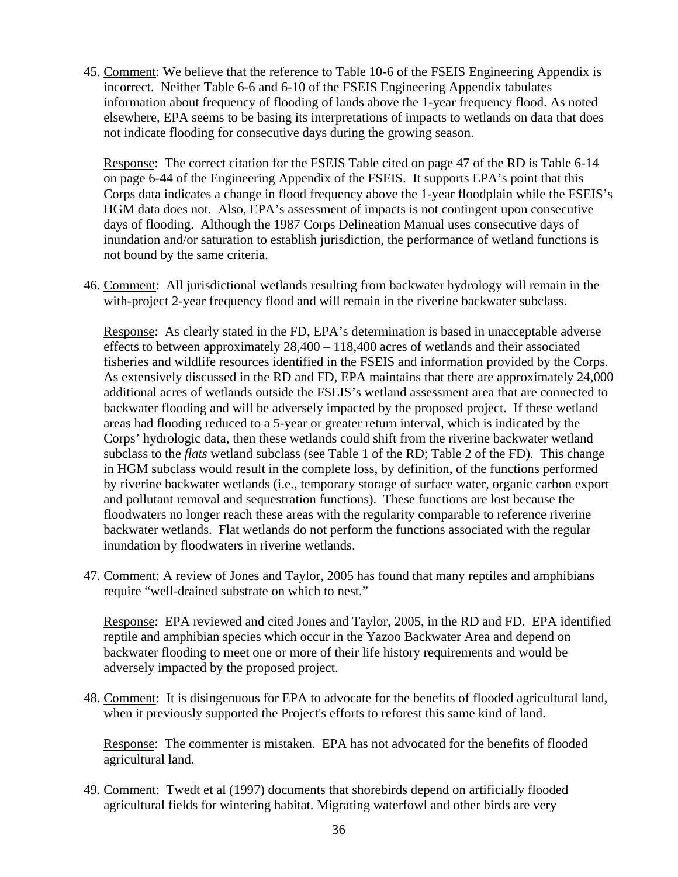45. Comment: We believe that the reference to Table 10-6 of the FSEIS Engineering Appendix is incorrect. Neither Table 6-6 and 6-10 of the FSEIS Engineering Appendix tabulates information about frequency of flooding of lands above the 1-year frequency flood. As noted elsewhere, EPA seems to be basing its interpretations of impacts to wetlands on data that does not indicate flooding for consecutive days during the growing season.

Response: The correct citation for the FSEIS Table cited on page 47 of the RD is Table 6-14 on page 6-44 of the Engineering Appendix of the FSEIS. It supports EPA's point that this Corps data indicates a change in flood frequency above the 1-year floodplain while the FSEIS's HGM data does not. Also, EPA's assessment of impacts is not contingent upon consecutive days of flooding. Although the 1987 Corps Delineation Manual uses consecutive days of inundation and/or saturation to establish jurisdiction, the performance of wetland functions is not bound by the same criteria.

46. Comment: All jurisdictional wetlands resulting from backwater hydrology will remain in the with-project 2-year frequency flood and will remain in the riverine backwater subclass.

Response: As clearly stated in the FD, EPA's determination is based in unacceptable adverse effects to between approximately 28,400 – 118,400 acres of wetlands and their associated fisheries and wildlife resources identified in the FSEIS and information provided by the Corps. As extensively discussed in the RD and FD, EPA maintains that there are approximately 24,000 additional acres of wetlands outside the FSEIS's wetland assessment area that are connected to backwater flooding and will be adversely impacted by the proposed project. If these wetland areas had flooding reduced to a 5-year or greater return interval, which is indicated by the Corps' hydrologic data, then these wetlands could shift from the riverine backwater wetland subclass to the *flats* wetland subclass (see Table 1 of the RD; Table 2 of the FD). This change in HGM subclass would result in the complete loss, by definition, of the functions performed by riverine backwater wetlands (i.e., temporary storage of surface water, organic carbon export and pollutant removal and sequestration functions). These functions are lost because the floodwaters no longer reach these areas with the regularity comparable to reference riverine backwater wetlands. Flat wetlands do not perform the functions associated with the regular inundation by floodwaters in riverine wetlands.

47. Comment: A review of Jones and Taylor, 2005 has found that many reptiles and amphibians require "well-drained substrate on which to nest."

Response: EPA reviewed and cited Jones and Taylor, 2005, in the RD and FD. EPA identified reptile and amphibian species which occur in the Yazoo Backwater Area and depend on backwater flooding to meet one or more of their life history requirements and would be adversely impacted by the proposed project.

48. Comment: It is disingenuous for EPA to advocate for the benefits of flooded agricultural land, when it previously supported the Project's efforts to reforest this same kind of land.

Response: The commenter is mistaken. EPA has not advocated for the benefits of flooded agricultural land.

49. Comment: Twedt et al (1997) documents that shorebirds depend on artificially flooded agricultural fields for wintering habitat. Migrating waterfowl and other birds are very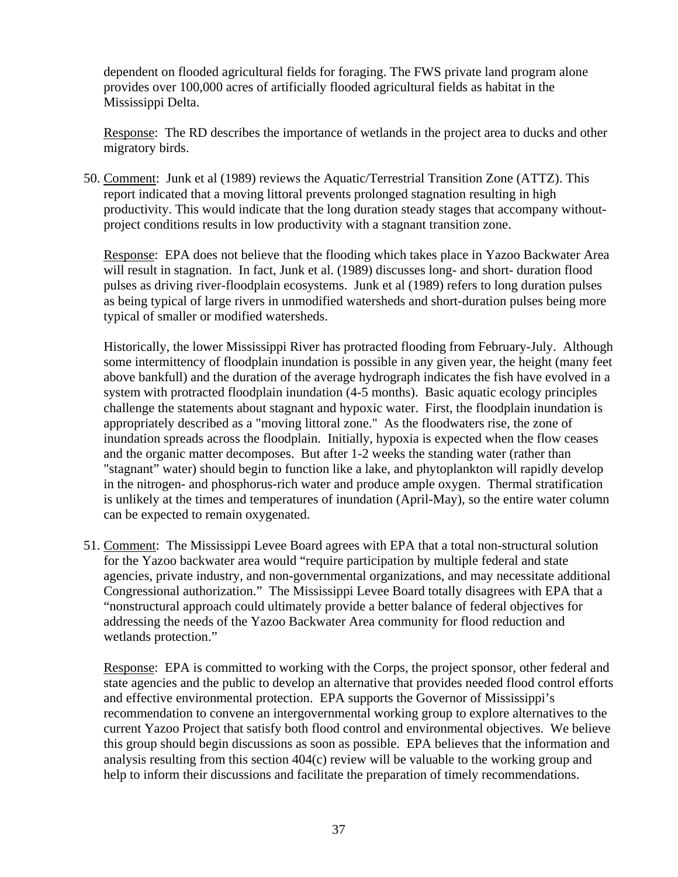dependent on flooded agricultural fields for foraging. The FWS private land program alone provides over 100,000 acres of artificially flooded agricultural fields as habitat in the Mississippi Delta.

Response: The RD describes the importance of wetlands in the project area to ducks and other migratory birds.

50. Comment: Junk et al (1989) reviews the Aquatic/Terrestrial Transition Zone (ATTZ). This report indicated that a moving littoral prevents prolonged stagnation resulting in high productivity. This would indicate that the long duration steady stages that accompany withoutproject conditions results in low productivity with a stagnant transition zone.

Response: EPA does not believe that the flooding which takes place in Yazoo Backwater Area will result in stagnation. In fact, Junk et al. (1989) discusses long- and short- duration flood pulses as driving river-floodplain ecosystems. Junk et al (1989) refers to long duration pulses as being typical of large rivers in unmodified watersheds and short-duration pulses being more typical of smaller or modified watersheds.

Historically, the lower Mississippi River has protracted flooding from February-July. Although some intermittency of floodplain inundation is possible in any given year, the height (many feet above bankfull) and the duration of the average hydrograph indicates the fish have evolved in a system with protracted floodplain inundation (4-5 months). Basic aquatic ecology principles challenge the statements about stagnant and hypoxic water. First, the floodplain inundation is appropriately described as a "moving littoral zone." As the floodwaters rise, the zone of inundation spreads across the floodplain. Initially, hypoxia is expected when the flow ceases and the organic matter decomposes. But after 1-2 weeks the standing water (rather than "stagnant" water) should begin to function like a lake, and phytoplankton will rapidly develop in the nitrogen- and phosphorus-rich water and produce ample oxygen. Thermal stratification is unlikely at the times and temperatures of inundation (April-May), so the entire water column can be expected to remain oxygenated.

51. Comment: The Mississippi Levee Board agrees with EPA that a total non-structural solution for the Yazoo backwater area would "require participation by multiple federal and state agencies, private industry, and non-governmental organizations, and may necessitate additional Congressional authorization." The Mississippi Levee Board totally disagrees with EPA that a "nonstructural approach could ultimately provide a better balance of federal objectives for addressing the needs of the Yazoo Backwater Area community for flood reduction and wetlands protection."

Response: EPA is committed to working with the Corps, the project sponsor, other federal and state agencies and the public to develop an alternative that provides needed flood control efforts and effective environmental protection. EPA supports the Governor of Mississippi's recommendation to convene an intergovernmental working group to explore alternatives to the current Yazoo Project that satisfy both flood control and environmental objectives. We believe this group should begin discussions as soon as possible. EPA believes that the information and analysis resulting from this section 404(c) review will be valuable to the working group and help to inform their discussions and facilitate the preparation of timely recommendations.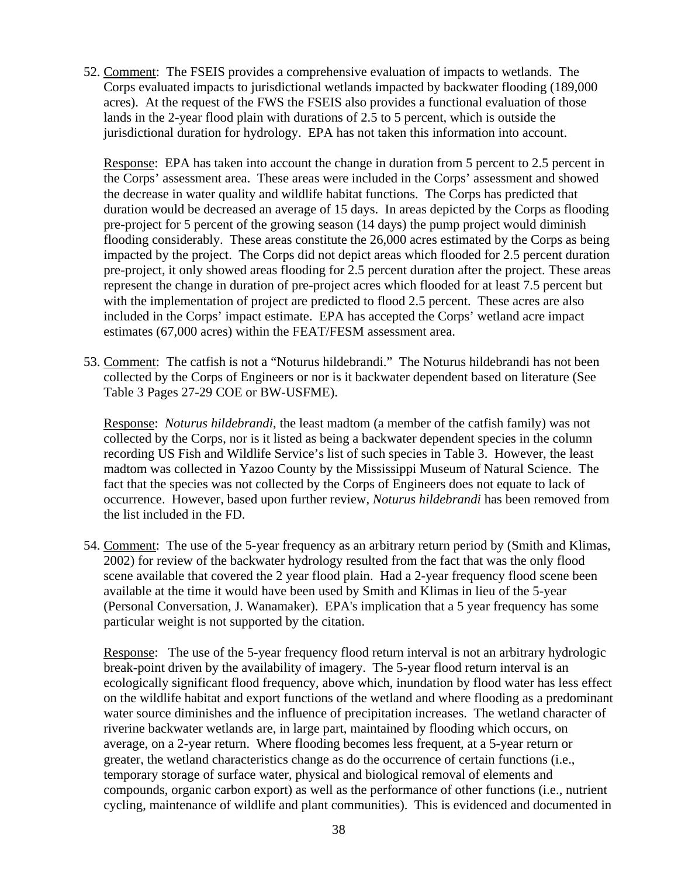52. Comment: The FSEIS provides a comprehensive evaluation of impacts to wetlands. The Corps evaluated impacts to jurisdictional wetlands impacted by backwater flooding (189,000 acres). At the request of the FWS the FSEIS also provides a functional evaluation of those lands in the 2-year flood plain with durations of 2.5 to 5 percent, which is outside the jurisdictional duration for hydrology. EPA has not taken this information into account.

Response: EPA has taken into account the change in duration from 5 percent to 2.5 percent in the Corps' assessment area. These areas were included in the Corps' assessment and showed the decrease in water quality and wildlife habitat functions. The Corps has predicted that duration would be decreased an average of 15 days. In areas depicted by the Corps as flooding pre-project for 5 percent of the growing season (14 days) the pump project would diminish flooding considerably. These areas constitute the 26,000 acres estimated by the Corps as being impacted by the project. The Corps did not depict areas which flooded for 2.5 percent duration pre-project, it only showed areas flooding for 2.5 percent duration after the project. These areas represent the change in duration of pre-project acres which flooded for at least 7.5 percent but with the implementation of project are predicted to flood 2.5 percent. These acres are also included in the Corps' impact estimate. EPA has accepted the Corps' wetland acre impact estimates (67,000 acres) within the FEAT/FESM assessment area.

53. Comment: The catfish is not a "Noturus hildebrandi." The Noturus hildebrandi has not been collected by the Corps of Engineers or nor is it backwater dependent based on literature (See Table 3 Pages 27-29 COE or BW-USFME).

Response: *Noturus hildebrandi*, the least madtom (a member of the catfish family) was not collected by the Corps, nor is it listed as being a backwater dependent species in the column recording US Fish and Wildlife Service's list of such species in Table 3. However, the least madtom was collected in Yazoo County by the Mississippi Museum of Natural Science. The fact that the species was not collected by the Corps of Engineers does not equate to lack of occurrence. However, based upon further review, *Noturus hildebrandi* has been removed from the list included in the FD.

54. Comment: The use of the 5-year frequency as an arbitrary return period by (Smith and Klimas, 2002) for review of the backwater hydrology resulted from the fact that was the only flood scene available that covered the 2 year flood plain. Had a 2-year frequency flood scene been available at the time it would have been used by Smith and Klimas in lieu of the 5-year (Personal Conversation, J. Wanamaker). EPA's implication that a 5 year frequency has some particular weight is not supported by the citation.

Response: The use of the 5-year frequency flood return interval is not an arbitrary hydrologic break-point driven by the availability of imagery. The 5-year flood return interval is an ecologically significant flood frequency, above which, inundation by flood water has less effect on the wildlife habitat and export functions of the wetland and where flooding as a predominant water source diminishes and the influence of precipitation increases. The wetland character of riverine backwater wetlands are, in large part, maintained by flooding which occurs, on average, on a 2-year return. Where flooding becomes less frequent, at a 5-year return or greater, the wetland characteristics change as do the occurrence of certain functions (i.e., temporary storage of surface water, physical and biological removal of elements and compounds, organic carbon export) as well as the performance of other functions (i.e., nutrient cycling, maintenance of wildlife and plant communities). This is evidenced and documented in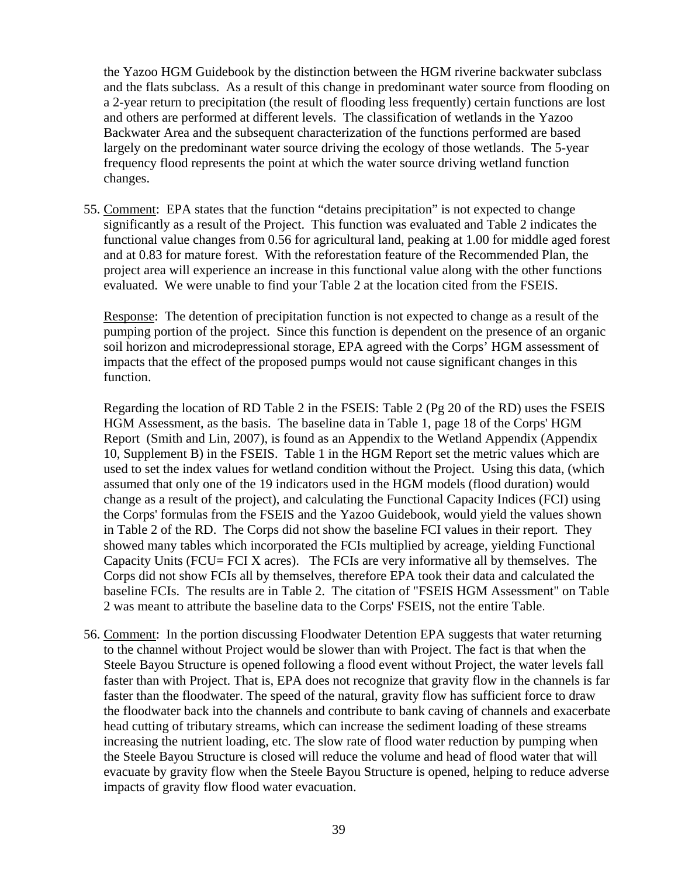the Yazoo HGM Guidebook by the distinction between the HGM riverine backwater subclass and the flats subclass. As a result of this change in predominant water source from flooding on a 2-year return to precipitation (the result of flooding less frequently) certain functions are lost and others are performed at different levels. The classification of wetlands in the Yazoo Backwater Area and the subsequent characterization of the functions performed are based largely on the predominant water source driving the ecology of those wetlands. The 5-year frequency flood represents the point at which the water source driving wetland function changes.

55. Comment: EPA states that the function "detains precipitation" is not expected to change significantly as a result of the Project. This function was evaluated and Table 2 indicates the functional value changes from 0.56 for agricultural land, peaking at 1.00 for middle aged forest and at 0.83 for mature forest. With the reforestation feature of the Recommended Plan, the project area will experience an increase in this functional value along with the other functions evaluated. We were unable to find your Table 2 at the location cited from the FSEIS.

Response: The detention of precipitation function is not expected to change as a result of the pumping portion of the project. Since this function is dependent on the presence of an organic soil horizon and microdepressional storage, EPA agreed with the Corps' HGM assessment of impacts that the effect of the proposed pumps would not cause significant changes in this function.

Regarding the location of RD Table 2 in the FSEIS: Table 2 (Pg 20 of the RD) uses the FSEIS HGM Assessment, as the basis. The baseline data in Table 1, page 18 of the Corps' HGM Report (Smith and Lin, 2007), is found as an Appendix to the Wetland Appendix (Appendix 10, Supplement B) in the FSEIS. Table 1 in the HGM Report set the metric values which are used to set the index values for wetland condition without the Project. Using this data, (which assumed that only one of the 19 indicators used in the HGM models (flood duration) would change as a result of the project), and calculating the Functional Capacity Indices (FCI) using the Corps' formulas from the FSEIS and the Yazoo Guidebook, would yield the values shown in Table 2 of the RD. The Corps did not show the baseline FCI values in their report. They showed many tables which incorporated the FCIs multiplied by acreage, yielding Functional Capacity Units (FCU= FCI X acres). The FCIs are very informative all by themselves. The Corps did not show FCIs all by themselves, therefore EPA took their data and calculated the baseline FCIs. The results are in Table 2. The citation of "FSEIS HGM Assessment" on Table 2 was meant to attribute the baseline data to the Corps' FSEIS, not the entire Table.

56. Comment: In the portion discussing Floodwater Detention EPA suggests that water returning to the channel without Project would be slower than with Project. The fact is that when the Steele Bayou Structure is opened following a flood event without Project, the water levels fall faster than with Project. That is, EPA does not recognize that gravity flow in the channels is far faster than the floodwater. The speed of the natural, gravity flow has sufficient force to draw the floodwater back into the channels and contribute to bank caving of channels and exacerbate head cutting of tributary streams, which can increase the sediment loading of these streams increasing the nutrient loading, etc. The slow rate of flood water reduction by pumping when the Steele Bayou Structure is closed will reduce the volume and head of flood water that will evacuate by gravity flow when the Steele Bayou Structure is opened, helping to reduce adverse impacts of gravity flow flood water evacuation.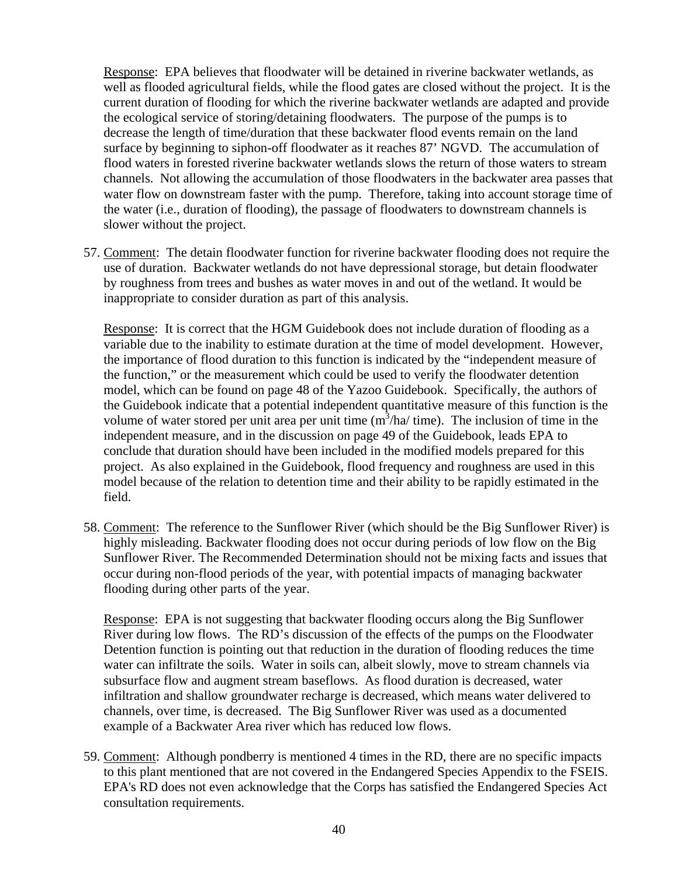Response: EPA believes that floodwater will be detained in riverine backwater wetlands, as well as flooded agricultural fields, while the flood gates are closed without the project. It is the current duration of flooding for which the riverine backwater wetlands are adapted and provide the ecological service of storing/detaining floodwaters. The purpose of the pumps is to decrease the length of time/duration that these backwater flood events remain on the land surface by beginning to siphon-off floodwater as it reaches 87' NGVD. The accumulation of flood waters in forested riverine backwater wetlands slows the return of those waters to stream channels. Not allowing the accumulation of those floodwaters in the backwater area passes that water flow on downstream faster with the pump. Therefore, taking into account storage time of the water (i.e., duration of flooding), the passage of floodwaters to downstream channels is slower without the project.

57. Comment: The detain floodwater function for riverine backwater flooding does not require the use of duration. Backwater wetlands do not have depressional storage, but detain floodwater by roughness from trees and bushes as water moves in and out of the wetland. It would be inappropriate to consider duration as part of this analysis.

Response: It is correct that the HGM Guidebook does not include duration of flooding as a variable due to the inability to estimate duration at the time of model development. However, the importance of flood duration to this function is indicated by the "independent measure of the function," or the measurement which could be used to verify the floodwater detention model, which can be found on page 48 of the Yazoo Guidebook. Specifically, the authors of the Guidebook indicate that a potential independent quantitative measure of this function is the volume of water stored per unit area per unit time  $(m^3/ha/\text{time})$ . The inclusion of time in the independent measure, and in the discussion on page 49 of the Guidebook, leads EPA to conclude that duration should have been included in the modified models prepared for this project. As also explained in the Guidebook, flood frequency and roughness are used in this model because of the relation to detention time and their ability to be rapidly estimated in the field.

58. Comment: The reference to the Sunflower River (which should be the Big Sunflower River) is highly misleading. Backwater flooding does not occur during periods of low flow on the Big Sunflower River. The Recommended Determination should not be mixing facts and issues that occur during non-flood periods of the year, with potential impacts of managing backwater flooding during other parts of the year.

Response: EPA is not suggesting that backwater flooding occurs along the Big Sunflower River during low flows. The RD's discussion of the effects of the pumps on the Floodwater Detention function is pointing out that reduction in the duration of flooding reduces the time water can infiltrate the soils. Water in soils can, albeit slowly, move to stream channels via subsurface flow and augment stream baseflows. As flood duration is decreased, water infiltration and shallow groundwater recharge is decreased, which means water delivered to channels, over time, is decreased. The Big Sunflower River was used as a documented example of a Backwater Area river which has reduced low flows.

59. Comment: Although pondberry is mentioned 4 times in the RD, there are no specific impacts to this plant mentioned that are not covered in the Endangered Species Appendix to the FSEIS. EPA's RD does not even acknowledge that the Corps has satisfied the Endangered Species Act consultation requirements.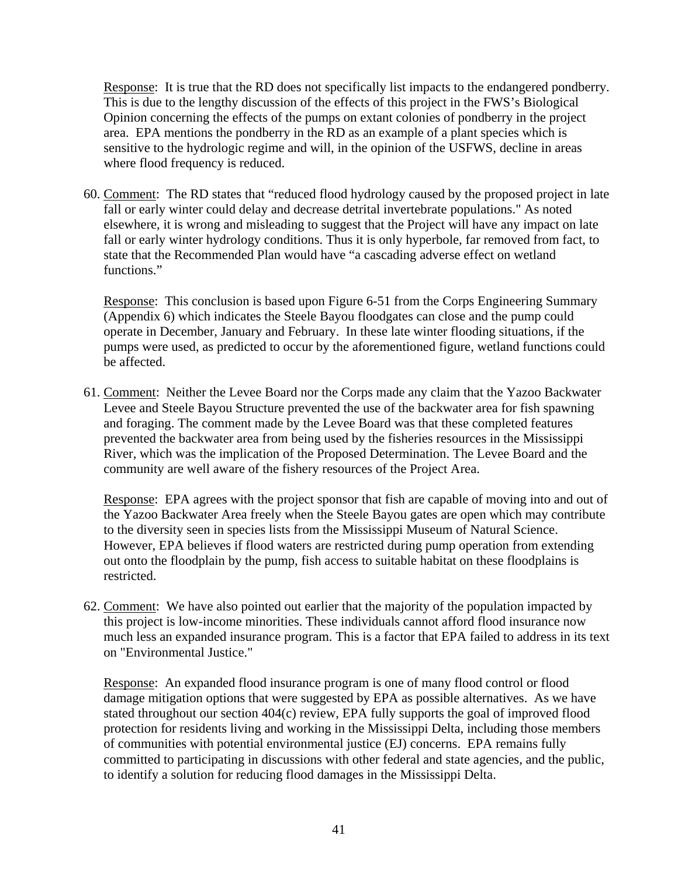Response: It is true that the RD does not specifically list impacts to the endangered pondberry. This is due to the lengthy discussion of the effects of this project in the FWS's Biological Opinion concerning the effects of the pumps on extant colonies of pondberry in the project area. EPA mentions the pondberry in the RD as an example of a plant species which is sensitive to the hydrologic regime and will, in the opinion of the USFWS, decline in areas where flood frequency is reduced.

60. Comment: The RD states that "reduced flood hydrology caused by the proposed project in late fall or early winter could delay and decrease detrital invertebrate populations." As noted elsewhere, it is wrong and misleading to suggest that the Project will have any impact on late fall or early winter hydrology conditions. Thus it is only hyperbole, far removed from fact, to state that the Recommended Plan would have "a cascading adverse effect on wetland functions."

Response: This conclusion is based upon Figure 6-51 from the Corps Engineering Summary (Appendix 6) which indicates the Steele Bayou floodgates can close and the pump could operate in December, January and February. In these late winter flooding situations, if the pumps were used, as predicted to occur by the aforementioned figure, wetland functions could be affected.

61. Comment: Neither the Levee Board nor the Corps made any claim that the Yazoo Backwater Levee and Steele Bayou Structure prevented the use of the backwater area for fish spawning and foraging. The comment made by the Levee Board was that these completed features prevented the backwater area from being used by the fisheries resources in the Mississippi River, which was the implication of the Proposed Determination. The Levee Board and the community are well aware of the fishery resources of the Project Area.

Response: EPA agrees with the project sponsor that fish are capable of moving into and out of the Yazoo Backwater Area freely when the Steele Bayou gates are open which may contribute to the diversity seen in species lists from the Mississippi Museum of Natural Science. However, EPA believes if flood waters are restricted during pump operation from extending out onto the floodplain by the pump, fish access to suitable habitat on these floodplains is restricted.

62. Comment: We have also pointed out earlier that the majority of the population impacted by this project is low-income minorities. These individuals cannot afford flood insurance now much less an expanded insurance program. This is a factor that EPA failed to address in its text on "Environmental Justice."

Response: An expanded flood insurance program is one of many flood control or flood damage mitigation options that were suggested by EPA as possible alternatives. As we have stated throughout our section 404(c) review, EPA fully supports the goal of improved flood protection for residents living and working in the Mississippi Delta, including those members of communities with potential environmental justice (EJ) concerns. EPA remains fully committed to participating in discussions with other federal and state agencies, and the public, to identify a solution for reducing flood damages in the Mississippi Delta.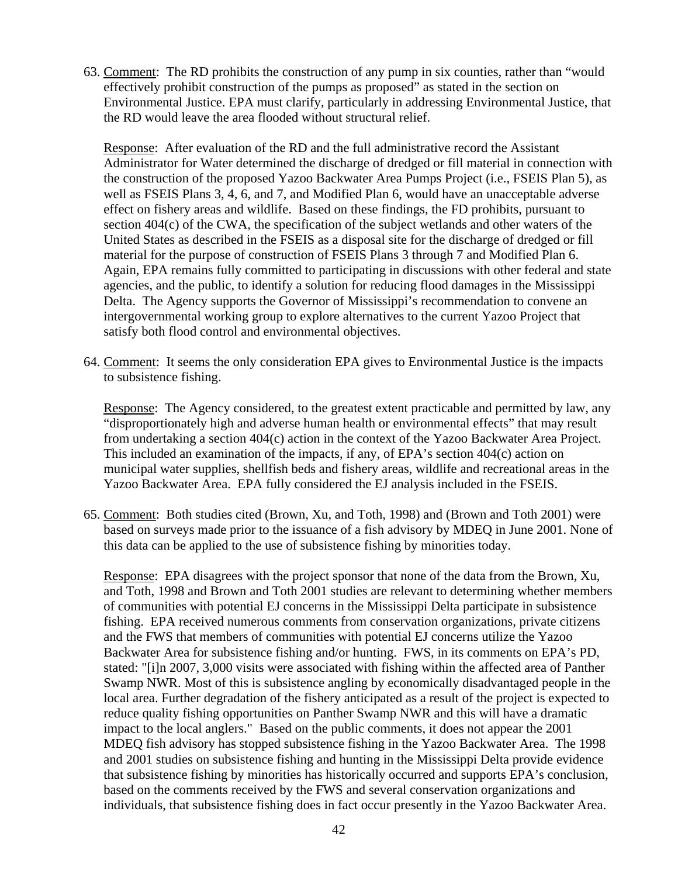63. Comment: The RD prohibits the construction of any pump in six counties, rather than "would effectively prohibit construction of the pumps as proposed" as stated in the section on Environmental Justice. EPA must clarify, particularly in addressing Environmental Justice, that the RD would leave the area flooded without structural relief.

Response: After evaluation of the RD and the full administrative record the Assistant Administrator for Water determined the discharge of dredged or fill material in connection with the construction of the proposed Yazoo Backwater Area Pumps Project (i.e., FSEIS Plan 5), as well as FSEIS Plans 3, 4, 6, and 7, and Modified Plan 6, would have an unacceptable adverse effect on fishery areas and wildlife. Based on these findings, the FD prohibits, pursuant to section 404(c) of the CWA, the specification of the subject wetlands and other waters of the United States as described in the FSEIS as a disposal site for the discharge of dredged or fill material for the purpose of construction of FSEIS Plans 3 through 7 and Modified Plan 6. Again, EPA remains fully committed to participating in discussions with other federal and state agencies, and the public, to identify a solution for reducing flood damages in the Mississippi Delta. The Agency supports the Governor of Mississippi's recommendation to convene an intergovernmental working group to explore alternatives to the current Yazoo Project that satisfy both flood control and environmental objectives.

64. Comment: It seems the only consideration EPA gives to Environmental Justice is the impacts to subsistence fishing.

Response: The Agency considered, to the greatest extent practicable and permitted by law, any "disproportionately high and adverse human health or environmental effects" that may result from undertaking a section 404(c) action in the context of the Yazoo Backwater Area Project. This included an examination of the impacts, if any, of EPA's section 404(c) action on municipal water supplies, shellfish beds and fishery areas, wildlife and recreational areas in the Yazoo Backwater Area. EPA fully considered the EJ analysis included in the FSEIS.

65. Comment: Both studies cited (Brown, Xu, and Toth, 1998) and (Brown and Toth 2001) were based on surveys made prior to the issuance of a fish advisory by MDEQ in June 2001. None of this data can be applied to the use of subsistence fishing by minorities today.

Response: EPA disagrees with the project sponsor that none of the data from the Brown, Xu, and Toth, 1998 and Brown and Toth 2001 studies are relevant to determining whether members of communities with potential EJ concerns in the Mississippi Delta participate in subsistence fishing. EPA received numerous comments from conservation organizations, private citizens and the FWS that members of communities with potential EJ concerns utilize the Yazoo Backwater Area for subsistence fishing and/or hunting. FWS, in its comments on EPA's PD, stated: "[i]n 2007, 3,000 visits were associated with fishing within the affected area of Panther Swamp NWR. Most of this is subsistence angling by economically disadvantaged people in the local area. Further degradation of the fishery anticipated as a result of the project is expected to reduce quality fishing opportunities on Panther Swamp NWR and this will have a dramatic impact to the local anglers." Based on the public comments, it does not appear the 2001 MDEQ fish advisory has stopped subsistence fishing in the Yazoo Backwater Area. The 1998 and 2001 studies on subsistence fishing and hunting in the Mississippi Delta provide evidence that subsistence fishing by minorities has historically occurred and supports EPA's conclusion, based on the comments received by the FWS and several conservation organizations and individuals, that subsistence fishing does in fact occur presently in the Yazoo Backwater Area.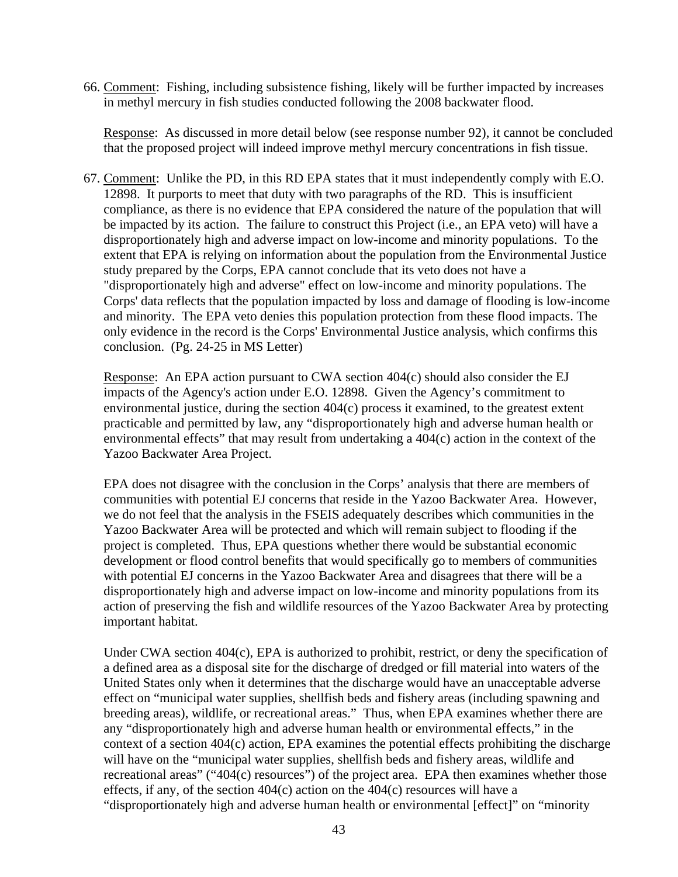66. Comment: Fishing, including subsistence fishing, likely will be further impacted by increases in methyl mercury in fish studies conducted following the 2008 backwater flood.

Response: As discussed in more detail below (see response number 92), it cannot be concluded that the proposed project will indeed improve methyl mercury concentrations in fish tissue.

67. Comment: Unlike the PD, in this RD EPA states that it must independently comply with E.O. 12898. It purports to meet that duty with two paragraphs of the RD. This is insufficient compliance, as there is no evidence that EPA considered the nature of the population that will be impacted by its action. The failure to construct this Project (i.e., an EPA veto) will have a disproportionately high and adverse impact on low-income and minority populations. To the extent that EPA is relying on information about the population from the Environmental Justice study prepared by the Corps, EPA cannot conclude that its veto does not have a "disproportionately high and adverse" effect on low-income and minority populations. The Corps' data reflects that the population impacted by loss and damage of flooding is low-income and minority. The EPA veto denies this population protection from these flood impacts. The only evidence in the record is the Corps' Environmental Justice analysis, which confirms this conclusion. (Pg. 24-25 in MS Letter)

Response: An EPA action pursuant to CWA section 404(c) should also consider the EJ impacts of the Agency's action under E.O. 12898. Given the Agency's commitment to environmental justice, during the section 404(c) process it examined, to the greatest extent practicable and permitted by law, any "disproportionately high and adverse human health or environmental effects" that may result from undertaking a 404(c) action in the context of the Yazoo Backwater Area Project.

EPA does not disagree with the conclusion in the Corps' analysis that there are members of communities with potential EJ concerns that reside in the Yazoo Backwater Area. However, we do not feel that the analysis in the FSEIS adequately describes which communities in the Yazoo Backwater Area will be protected and which will remain subject to flooding if the project is completed. Thus, EPA questions whether there would be substantial economic development or flood control benefits that would specifically go to members of communities with potential EJ concerns in the Yazoo Backwater Area and disagrees that there will be a disproportionately high and adverse impact on low-income and minority populations from its action of preserving the fish and wildlife resources of the Yazoo Backwater Area by protecting important habitat.

Under CWA section 404(c), EPA is authorized to prohibit, restrict, or deny the specification of a defined area as a disposal site for the discharge of dredged or fill material into waters of the United States only when it determines that the discharge would have an unacceptable adverse effect on "municipal water supplies, shellfish beds and fishery areas (including spawning and breeding areas), wildlife, or recreational areas." Thus, when EPA examines whether there are any "disproportionately high and adverse human health or environmental effects," in the context of a section 404(c) action, EPA examines the potential effects prohibiting the discharge will have on the "municipal water supplies, shellfish beds and fishery areas, wildlife and recreational areas" ("404(c) resources") of the project area. EPA then examines whether those effects, if any, of the section 404(c) action on the 404(c) resources will have a "disproportionately high and adverse human health or environmental [effect]" on "minority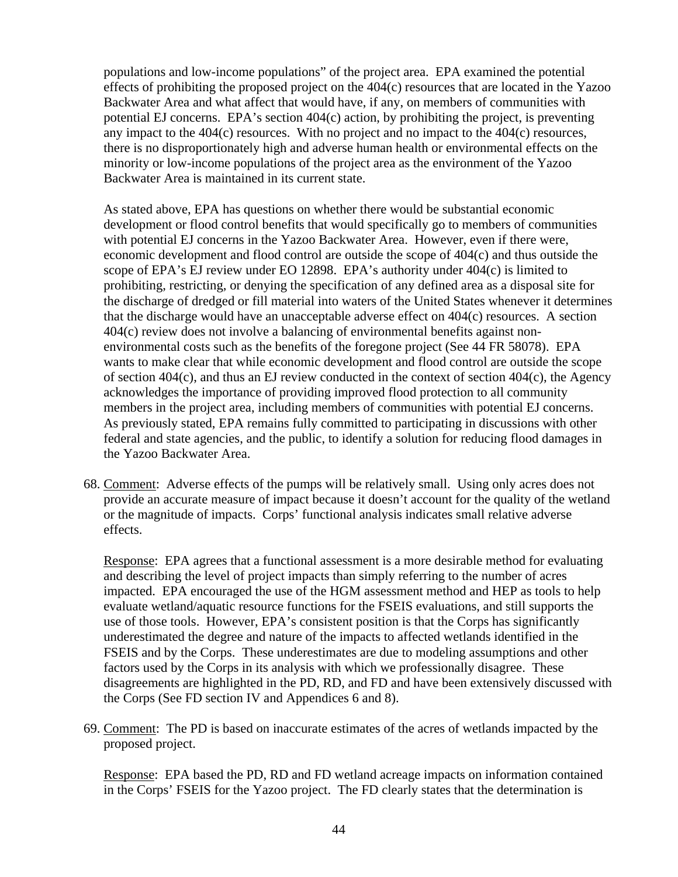populations and low-income populations" of the project area. EPA examined the potential effects of prohibiting the proposed project on the 404(c) resources that are located in the Yazoo Backwater Area and what affect that would have, if any, on members of communities with potential EJ concerns. EPA's section 404(c) action, by prohibiting the project, is preventing any impact to the 404(c) resources. With no project and no impact to the 404(c) resources, there is no disproportionately high and adverse human health or environmental effects on the minority or low-income populations of the project area as the environment of the Yazoo Backwater Area is maintained in its current state.

As stated above, EPA has questions on whether there would be substantial economic development or flood control benefits that would specifically go to members of communities with potential EJ concerns in the Yazoo Backwater Area. However, even if there were, economic development and flood control are outside the scope of 404(c) and thus outside the scope of EPA's EJ review under EO 12898. EPA's authority under 404(c) is limited to prohibiting, restricting, or denying the specification of any defined area as a disposal site for the discharge of dredged or fill material into waters of the United States whenever it determines that the discharge would have an unacceptable adverse effect on 404(c) resources. A section 404(c) review does not involve a balancing of environmental benefits against nonenvironmental costs such as the benefits of the foregone project (See 44 FR 58078). EPA wants to make clear that while economic development and flood control are outside the scope of section 404(c), and thus an EJ review conducted in the context of section 404(c), the Agency acknowledges the importance of providing improved flood protection to all community members in the project area, including members of communities with potential EJ concerns. As previously stated, EPA remains fully committed to participating in discussions with other federal and state agencies, and the public, to identify a solution for reducing flood damages in the Yazoo Backwater Area.

68. Comment: Adverse effects of the pumps will be relatively small. Using only acres does not provide an accurate measure of impact because it doesn't account for the quality of the wetland or the magnitude of impacts. Corps' functional analysis indicates small relative adverse effects.

Response: EPA agrees that a functional assessment is a more desirable method for evaluating and describing the level of project impacts than simply referring to the number of acres impacted. EPA encouraged the use of the HGM assessment method and HEP as tools to help evaluate wetland/aquatic resource functions for the FSEIS evaluations, and still supports the use of those tools. However, EPA's consistent position is that the Corps has significantly underestimated the degree and nature of the impacts to affected wetlands identified in the FSEIS and by the Corps. These underestimates are due to modeling assumptions and other factors used by the Corps in its analysis with which we professionally disagree. These disagreements are highlighted in the PD, RD, and FD and have been extensively discussed with the Corps (See FD section IV and Appendices 6 and 8).

69. Comment: The PD is based on inaccurate estimates of the acres of wetlands impacted by the proposed project.

Response: EPA based the PD, RD and FD wetland acreage impacts on information contained in the Corps' FSEIS for the Yazoo project. The FD clearly states that the determination is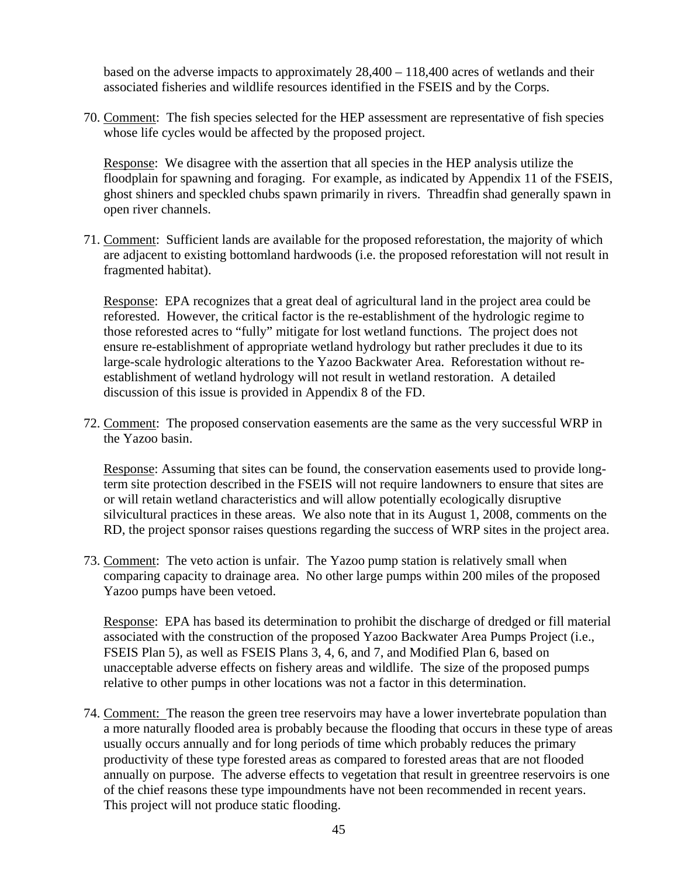based on the adverse impacts to approximately 28,400 – 118,400 acres of wetlands and their associated fisheries and wildlife resources identified in the FSEIS and by the Corps.

70. Comment: The fish species selected for the HEP assessment are representative of fish species whose life cycles would be affected by the proposed project.

Response: We disagree with the assertion that all species in the HEP analysis utilize the floodplain for spawning and foraging. For example, as indicated by Appendix 11 of the FSEIS, ghost shiners and speckled chubs spawn primarily in rivers. Threadfin shad generally spawn in open river channels.

71. Comment: Sufficient lands are available for the proposed reforestation, the majority of which are adjacent to existing bottomland hardwoods (i.e. the proposed reforestation will not result in fragmented habitat).

Response: EPA recognizes that a great deal of agricultural land in the project area could be reforested. However, the critical factor is the re-establishment of the hydrologic regime to those reforested acres to "fully" mitigate for lost wetland functions. The project does not ensure re-establishment of appropriate wetland hydrology but rather precludes it due to its large-scale hydrologic alterations to the Yazoo Backwater Area. Reforestation without reestablishment of wetland hydrology will not result in wetland restoration. A detailed discussion of this issue is provided in Appendix 8 of the FD.

72. Comment: The proposed conservation easements are the same as the very successful WRP in the Yazoo basin.

Response: Assuming that sites can be found, the conservation easements used to provide longterm site protection described in the FSEIS will not require landowners to ensure that sites are or will retain wetland characteristics and will allow potentially ecologically disruptive silvicultural practices in these areas. We also note that in its August 1, 2008, comments on the RD, the project sponsor raises questions regarding the success of WRP sites in the project area.

73. Comment: The veto action is unfair. The Yazoo pump station is relatively small when comparing capacity to drainage area. No other large pumps within 200 miles of the proposed Yazoo pumps have been vetoed.

Response: EPA has based its determination to prohibit the discharge of dredged or fill material associated with the construction of the proposed Yazoo Backwater Area Pumps Project (i.e., FSEIS Plan 5), as well as FSEIS Plans 3, 4, 6, and 7, and Modified Plan 6, based on unacceptable adverse effects on fishery areas and wildlife. The size of the proposed pumps relative to other pumps in other locations was not a factor in this determination.

74. Comment: The reason the green tree reservoirs may have a lower invertebrate population than a more naturally flooded area is probably because the flooding that occurs in these type of areas usually occurs annually and for long periods of time which probably reduces the primary productivity of these type forested areas as compared to forested areas that are not flooded annually on purpose. The adverse effects to vegetation that result in greentree reservoirs is one of the chief reasons these type impoundments have not been recommended in recent years. This project will not produce static flooding.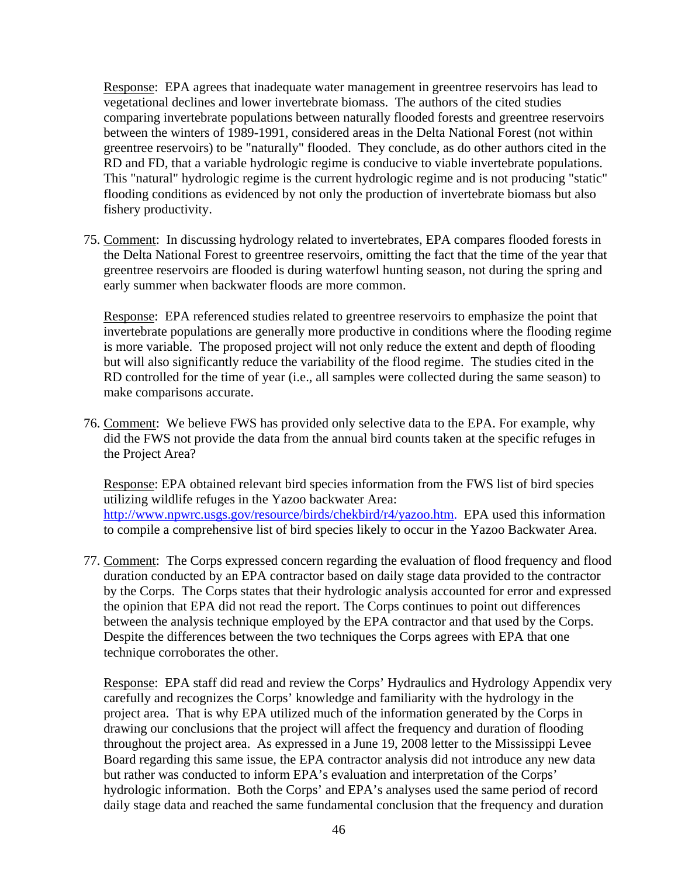Response: EPA agrees that inadequate water management in greentree reservoirs has lead to vegetational declines and lower invertebrate biomass. The authors of the cited studies comparing invertebrate populations between naturally flooded forests and greentree reservoirs between the winters of 1989-1991, considered areas in the Delta National Forest (not within greentree reservoirs) to be "naturally" flooded. They conclude, as do other authors cited in the RD and FD, that a variable hydrologic regime is conducive to viable invertebrate populations. This "natural" hydrologic regime is the current hydrologic regime and is not producing "static" flooding conditions as evidenced by not only the production of invertebrate biomass but also fishery productivity.

75. Comment: In discussing hydrology related to invertebrates, EPA compares flooded forests in the Delta National Forest to greentree reservoirs, omitting the fact that the time of the year that greentree reservoirs are flooded is during waterfowl hunting season, not during the spring and early summer when backwater floods are more common.

Response: EPA referenced studies related to greentree reservoirs to emphasize the point that invertebrate populations are generally more productive in conditions where the flooding regime is more variable. The proposed project will not only reduce the extent and depth of flooding but will also significantly reduce the variability of the flood regime. The studies cited in the RD controlled for the time of year (i.e., all samples were collected during the same season) to make comparisons accurate.

76. Comment: We believe FWS has provided only selective data to the EPA. For example, why did the FWS not provide the data from the annual bird counts taken at the specific refuges in the Project Area?

Response: EPA obtained relevant bird species information from the FWS list of bird species utilizing wildlife refuges in the Yazoo backwater Area: http://www.npwrc.usgs.gov/resource/birds/chekbird/r4/yazoo.htm. EPA used this information to compile a comprehensive list of bird species likely to occur in the Yazoo Backwater Area.

77. Comment: The Corps expressed concern regarding the evaluation of flood frequency and flood duration conducted by an EPA contractor based on daily stage data provided to the contractor by the Corps. The Corps states that their hydrologic analysis accounted for error and expressed the opinion that EPA did not read the report. The Corps continues to point out differences between the analysis technique employed by the EPA contractor and that used by the Corps. Despite the differences between the two techniques the Corps agrees with EPA that one technique corroborates the other.

Response: EPA staff did read and review the Corps' Hydraulics and Hydrology Appendix very carefully and recognizes the Corps' knowledge and familiarity with the hydrology in the project area. That is why EPA utilized much of the information generated by the Corps in drawing our conclusions that the project will affect the frequency and duration of flooding throughout the project area. As expressed in a June 19, 2008 letter to the Mississippi Levee Board regarding this same issue, the EPA contractor analysis did not introduce any new data but rather was conducted to inform EPA's evaluation and interpretation of the Corps' hydrologic information. Both the Corps' and EPA's analyses used the same period of record daily stage data and reached the same fundamental conclusion that the frequency and duration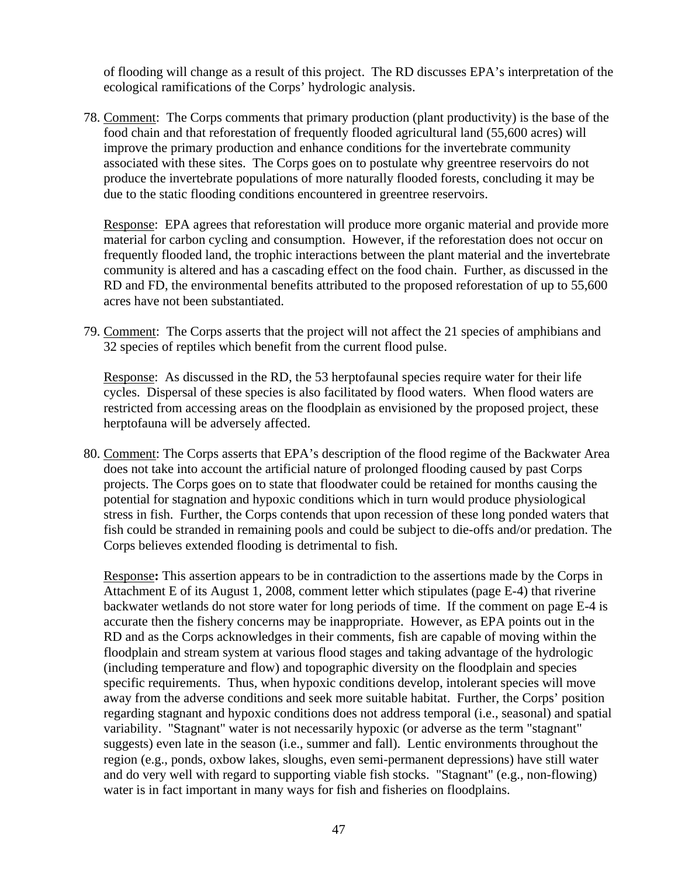of flooding will change as a result of this project. The RD discusses EPA's interpretation of the ecological ramifications of the Corps' hydrologic analysis.

78. Comment: The Corps comments that primary production (plant productivity) is the base of the food chain and that reforestation of frequently flooded agricultural land (55,600 acres) will improve the primary production and enhance conditions for the invertebrate community associated with these sites. The Corps goes on to postulate why greentree reservoirs do not produce the invertebrate populations of more naturally flooded forests, concluding it may be due to the static flooding conditions encountered in greentree reservoirs.

Response: EPA agrees that reforestation will produce more organic material and provide more material for carbon cycling and consumption. However, if the reforestation does not occur on frequently flooded land, the trophic interactions between the plant material and the invertebrate community is altered and has a cascading effect on the food chain. Further, as discussed in the RD and FD, the environmental benefits attributed to the proposed reforestation of up to 55,600 acres have not been substantiated.

79. Comment: The Corps asserts that the project will not affect the 21 species of amphibians and 32 species of reptiles which benefit from the current flood pulse.

Response: As discussed in the RD, the 53 herptofaunal species require water for their life cycles. Dispersal of these species is also facilitated by flood waters. When flood waters are restricted from accessing areas on the floodplain as envisioned by the proposed project, these herptofauna will be adversely affected.

80. Comment: The Corps asserts that EPA's description of the flood regime of the Backwater Area does not take into account the artificial nature of prolonged flooding caused by past Corps projects. The Corps goes on to state that floodwater could be retained for months causing the potential for stagnation and hypoxic conditions which in turn would produce physiological stress in fish. Further, the Corps contends that upon recession of these long ponded waters that fish could be stranded in remaining pools and could be subject to die-offs and/or predation. The Corps believes extended flooding is detrimental to fish.

Response**:** This assertion appears to be in contradiction to the assertions made by the Corps in Attachment E of its August 1, 2008, comment letter which stipulates (page E-4) that riverine backwater wetlands do not store water for long periods of time. If the comment on page E-4 is accurate then the fishery concerns may be inappropriate. However, as EPA points out in the RD and as the Corps acknowledges in their comments, fish are capable of moving within the floodplain and stream system at various flood stages and taking advantage of the hydrologic (including temperature and flow) and topographic diversity on the floodplain and species specific requirements. Thus, when hypoxic conditions develop, intolerant species will move away from the adverse conditions and seek more suitable habitat. Further, the Corps' position regarding stagnant and hypoxic conditions does not address temporal (i.e., seasonal) and spatial variability. "Stagnant" water is not necessarily hypoxic (or adverse as the term "stagnant" suggests) even late in the season (i.e., summer and fall). Lentic environments throughout the region (e.g., ponds, oxbow lakes, sloughs, even semi-permanent depressions) have still water and do very well with regard to supporting viable fish stocks. "Stagnant" (e.g., non-flowing) water is in fact important in many ways for fish and fisheries on floodplains.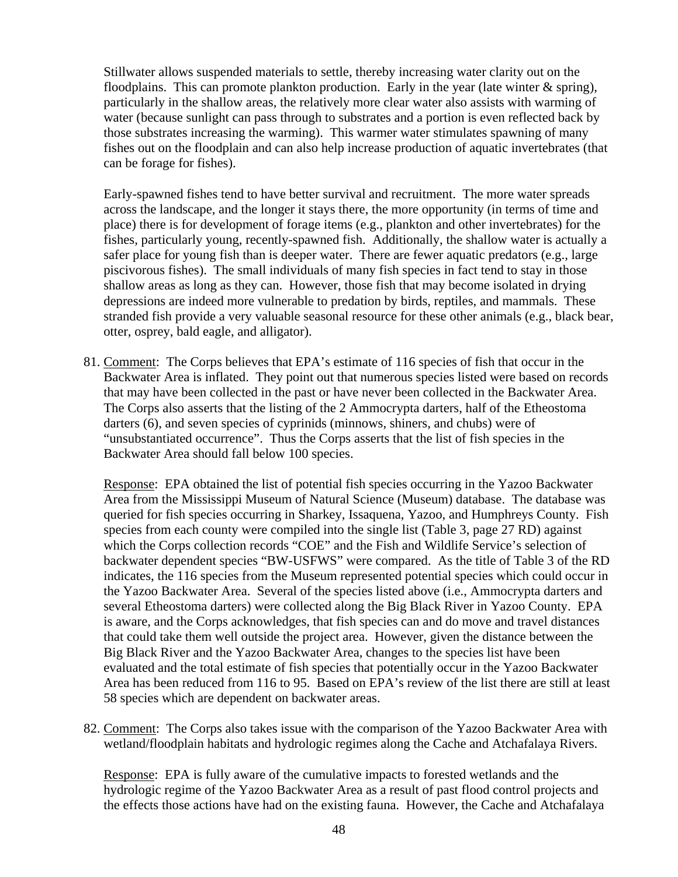Stillwater allows suspended materials to settle, thereby increasing water clarity out on the floodplains. This can promote plankton production. Early in the year (late winter  $\&$  spring), particularly in the shallow areas, the relatively more clear water also assists with warming of water (because sunlight can pass through to substrates and a portion is even reflected back by those substrates increasing the warming). This warmer water stimulates spawning of many fishes out on the floodplain and can also help increase production of aquatic invertebrates (that can be forage for fishes).

Early-spawned fishes tend to have better survival and recruitment. The more water spreads across the landscape, and the longer it stays there, the more opportunity (in terms of time and place) there is for development of forage items (e.g., plankton and other invertebrates) for the fishes, particularly young, recently-spawned fish. Additionally, the shallow water is actually a safer place for young fish than is deeper water. There are fewer aquatic predators (e.g., large piscivorous fishes). The small individuals of many fish species in fact tend to stay in those shallow areas as long as they can. However, those fish that may become isolated in drying depressions are indeed more vulnerable to predation by birds, reptiles, and mammals. These stranded fish provide a very valuable seasonal resource for these other animals (e.g., black bear, otter, osprey, bald eagle, and alligator).

81. Comment:The Corps believes that EPA's estimate of 116 species of fish that occur in the Backwater Area is inflated. They point out that numerous species listed were based on records that may have been collected in the past or have never been collected in the Backwater Area. The Corps also asserts that the listing of the 2 Ammocrypta darters, half of the Etheostoma darters (6), and seven species of cyprinids (minnows, shiners, and chubs) were of "unsubstantiated occurrence". Thus the Corps asserts that the list of fish species in the Backwater Area should fall below 100 species.

Response: EPA obtained the list of potential fish species occurring in the Yazoo Backwater Area from the Mississippi Museum of Natural Science (Museum) database. The database was queried for fish species occurring in Sharkey, Issaquena, Yazoo, and Humphreys County. Fish species from each county were compiled into the single list (Table 3, page 27 RD) against which the Corps collection records "COE" and the Fish and Wildlife Service's selection of backwater dependent species "BW-USFWS" were compared. As the title of Table 3 of the RD indicates, the 116 species from the Museum represented potential species which could occur in the Yazoo Backwater Area. Several of the species listed above (i.e., Ammocrypta darters and several Etheostoma darters) were collected along the Big Black River in Yazoo County. EPA is aware, and the Corps acknowledges, that fish species can and do move and travel distances that could take them well outside the project area. However, given the distance between the Big Black River and the Yazoo Backwater Area, changes to the species list have been evaluated and the total estimate of fish species that potentially occur in the Yazoo Backwater Area has been reduced from 116 to 95. Based on EPA's review of the list there are still at least 58 species which are dependent on backwater areas.

82. Comment: The Corps also takes issue with the comparison of the Yazoo Backwater Area with wetland/floodplain habitats and hydrologic regimes along the Cache and Atchafalaya Rivers.

Response: EPA is fully aware of the cumulative impacts to forested wetlands and the hydrologic regime of the Yazoo Backwater Area as a result of past flood control projects and the effects those actions have had on the existing fauna. However, the Cache and Atchafalaya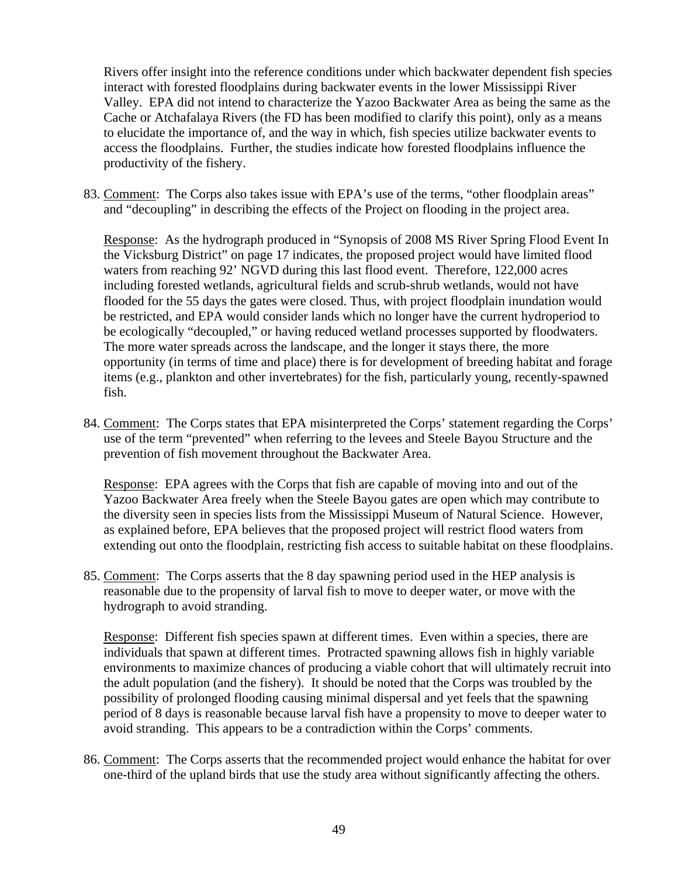Rivers offer insight into the reference conditions under which backwater dependent fish species interact with forested floodplains during backwater events in the lower Mississippi River Valley. EPA did not intend to characterize the Yazoo Backwater Area as being the same as the Cache or Atchafalaya Rivers (the FD has been modified to clarify this point), only as a means to elucidate the importance of, and the way in which, fish species utilize backwater events to access the floodplains. Further, the studies indicate how forested floodplains influence the productivity of the fishery.

83. Comment: The Corps also takes issue with EPA's use of the terms, "other floodplain areas" and "decoupling" in describing the effects of the Project on flooding in the project area.

Response: As the hydrograph produced in "Synopsis of 2008 MS River Spring Flood Event In the Vicksburg District" on page 17 indicates, the proposed project would have limited flood waters from reaching 92' NGVD during this last flood event. Therefore, 122,000 acres including forested wetlands, agricultural fields and scrub-shrub wetlands, would not have flooded for the 55 days the gates were closed. Thus, with project floodplain inundation would be restricted, and EPA would consider lands which no longer have the current hydroperiod to be ecologically "decoupled," or having reduced wetland processes supported by floodwaters. The more water spreads across the landscape, and the longer it stays there, the more opportunity (in terms of time and place) there is for development of breeding habitat and forage items (e.g., plankton and other invertebrates) for the fish, particularly young, recently-spawned fish.

84. Comment: The Corps states that EPA misinterpreted the Corps' statement regarding the Corps' use of the term "prevented" when referring to the levees and Steele Bayou Structure and the prevention of fish movement throughout the Backwater Area.

Response: EPA agrees with the Corps that fish are capable of moving into and out of the Yazoo Backwater Area freely when the Steele Bayou gates are open which may contribute to the diversity seen in species lists from the Mississippi Museum of Natural Science. However, as explained before, EPA believes that the proposed project will restrict flood waters from extending out onto the floodplain, restricting fish access to suitable habitat on these floodplains.

85. Comment: The Corps asserts that the 8 day spawning period used in the HEP analysis is reasonable due to the propensity of larval fish to move to deeper water, or move with the hydrograph to avoid stranding.

Response: Different fish species spawn at different times. Even within a species, there are individuals that spawn at different times. Protracted spawning allows fish in highly variable environments to maximize chances of producing a viable cohort that will ultimately recruit into the adult population (and the fishery). It should be noted that the Corps was troubled by the possibility of prolonged flooding causing minimal dispersal and yet feels that the spawning period of 8 days is reasonable because larval fish have a propensity to move to deeper water to avoid stranding. This appears to be a contradiction within the Corps' comments.

86. Comment: The Corps asserts that the recommended project would enhance the habitat for over one-third of the upland birds that use the study area without significantly affecting the others.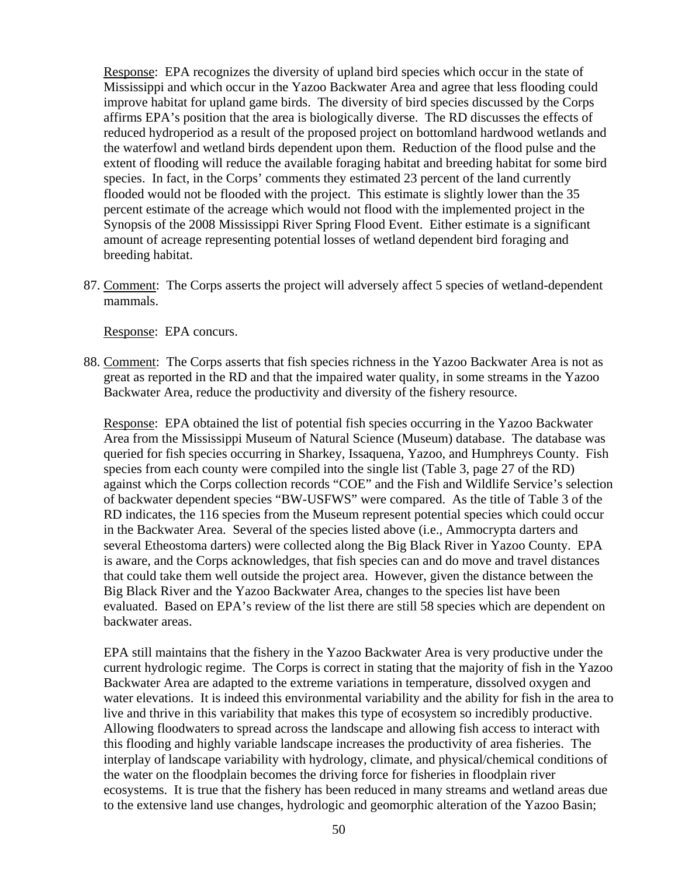Response: EPA recognizes the diversity of upland bird species which occur in the state of Mississippi and which occur in the Yazoo Backwater Area and agree that less flooding could improve habitat for upland game birds. The diversity of bird species discussed by the Corps affirms EPA's position that the area is biologically diverse. The RD discusses the effects of reduced hydroperiod as a result of the proposed project on bottomland hardwood wetlands and the waterfowl and wetland birds dependent upon them. Reduction of the flood pulse and the extent of flooding will reduce the available foraging habitat and breeding habitat for some bird species. In fact, in the Corps' comments they estimated 23 percent of the land currently flooded would not be flooded with the project. This estimate is slightly lower than the 35 percent estimate of the acreage which would not flood with the implemented project in the Synopsis of the 2008 Mississippi River Spring Flood Event. Either estimate is a significant amount of acreage representing potential losses of wetland dependent bird foraging and breeding habitat.

87. Comment: The Corps asserts the project will adversely affect 5 species of wetland-dependent mammals.

Response: EPA concurs.

88. Comment: The Corps asserts that fish species richness in the Yazoo Backwater Area is not as great as reported in the RD and that the impaired water quality, in some streams in the Yazoo Backwater Area, reduce the productivity and diversity of the fishery resource.

Response: EPA obtained the list of potential fish species occurring in the Yazoo Backwater Area from the Mississippi Museum of Natural Science (Museum) database. The database was queried for fish species occurring in Sharkey, Issaquena, Yazoo, and Humphreys County. Fish species from each county were compiled into the single list (Table 3, page 27 of the RD) against which the Corps collection records "COE" and the Fish and Wildlife Service's selection of backwater dependent species "BW-USFWS" were compared. As the title of Table 3 of the RD indicates, the 116 species from the Museum represent potential species which could occur in the Backwater Area. Several of the species listed above (i.e., Ammocrypta darters and several Etheostoma darters) were collected along the Big Black River in Yazoo County. EPA is aware, and the Corps acknowledges, that fish species can and do move and travel distances that could take them well outside the project area. However, given the distance between the Big Black River and the Yazoo Backwater Area, changes to the species list have been evaluated. Based on EPA's review of the list there are still 58 species which are dependent on backwater areas.

EPA still maintains that the fishery in the Yazoo Backwater Area is very productive under the current hydrologic regime. The Corps is correct in stating that the majority of fish in the Yazoo Backwater Area are adapted to the extreme variations in temperature, dissolved oxygen and water elevations. It is indeed this environmental variability and the ability for fish in the area to live and thrive in this variability that makes this type of ecosystem so incredibly productive. Allowing floodwaters to spread across the landscape and allowing fish access to interact with this flooding and highly variable landscape increases the productivity of area fisheries. The interplay of landscape variability with hydrology, climate, and physical/chemical conditions of the water on the floodplain becomes the driving force for fisheries in floodplain river ecosystems. It is true that the fishery has been reduced in many streams and wetland areas due to the extensive land use changes, hydrologic and geomorphic alteration of the Yazoo Basin;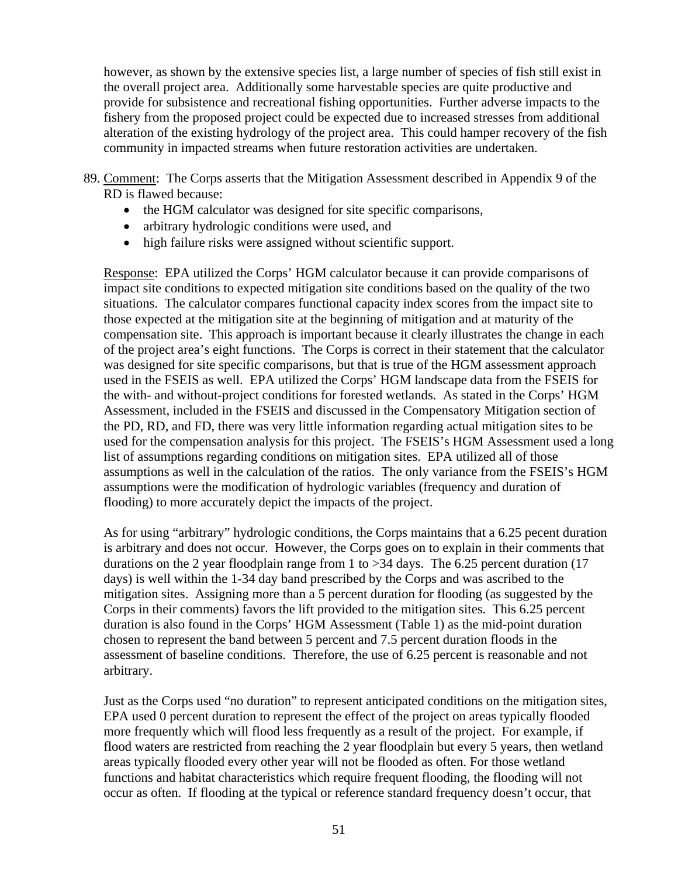however, as shown by the extensive species list, a large number of species of fish still exist in the overall project area. Additionally some harvestable species are quite productive and provide for subsistence and recreational fishing opportunities. Further adverse impacts to the fishery from the proposed project could be expected due to increased stresses from additional alteration of the existing hydrology of the project area. This could hamper recovery of the fish community in impacted streams when future restoration activities are undertaken.

- 89. Comment: The Corps asserts that the Mitigation Assessment described in Appendix 9 of the RD is flawed because:
	- the HGM calculator was designed for site specific comparisons,
	- arbitrary hydrologic conditions were used, and
	- high failure risks were assigned without scientific support.

Response: EPA utilized the Corps' HGM calculator because it can provide comparisons of impact site conditions to expected mitigation site conditions based on the quality of the two situations. The calculator compares functional capacity index scores from the impact site to those expected at the mitigation site at the beginning of mitigation and at maturity of the compensation site. This approach is important because it clearly illustrates the change in each of the project area's eight functions. The Corps is correct in their statement that the calculator was designed for site specific comparisons, but that is true of the HGM assessment approach used in the FSEIS as well. EPA utilized the Corps' HGM landscape data from the FSEIS for the with- and without-project conditions for forested wetlands. As stated in the Corps' HGM Assessment, included in the FSEIS and discussed in the Compensatory Mitigation section of the PD, RD, and FD, there was very little information regarding actual mitigation sites to be used for the compensation analysis for this project. The FSEIS's HGM Assessment used a long list of assumptions regarding conditions on mitigation sites. EPA utilized all of those assumptions as well in the calculation of the ratios. The only variance from the FSEIS's HGM assumptions were the modification of hydrologic variables (frequency and duration of flooding) to more accurately depict the impacts of the project.

As for using "arbitrary" hydrologic conditions, the Corps maintains that a 6.25 pecent duration is arbitrary and does not occur. However, the Corps goes on to explain in their comments that durations on the 2 year floodplain range from 1 to >34 days. The 6.25 percent duration (17 days) is well within the 1-34 day band prescribed by the Corps and was ascribed to the mitigation sites. Assigning more than a 5 percent duration for flooding (as suggested by the Corps in their comments) favors the lift provided to the mitigation sites. This 6.25 percent duration is also found in the Corps' HGM Assessment (Table 1) as the mid-point duration chosen to represent the band between 5 percent and 7.5 percent duration floods in the assessment of baseline conditions. Therefore, the use of 6.25 percent is reasonable and not arbitrary.

Just as the Corps used "no duration" to represent anticipated conditions on the mitigation sites, EPA used 0 percent duration to represent the effect of the project on areas typically flooded more frequently which will flood less frequently as a result of the project. For example, if flood waters are restricted from reaching the 2 year floodplain but every 5 years, then wetland areas typically flooded every other year will not be flooded as often. For those wetland functions and habitat characteristics which require frequent flooding, the flooding will not occur as often. If flooding at the typical or reference standard frequency doesn't occur, that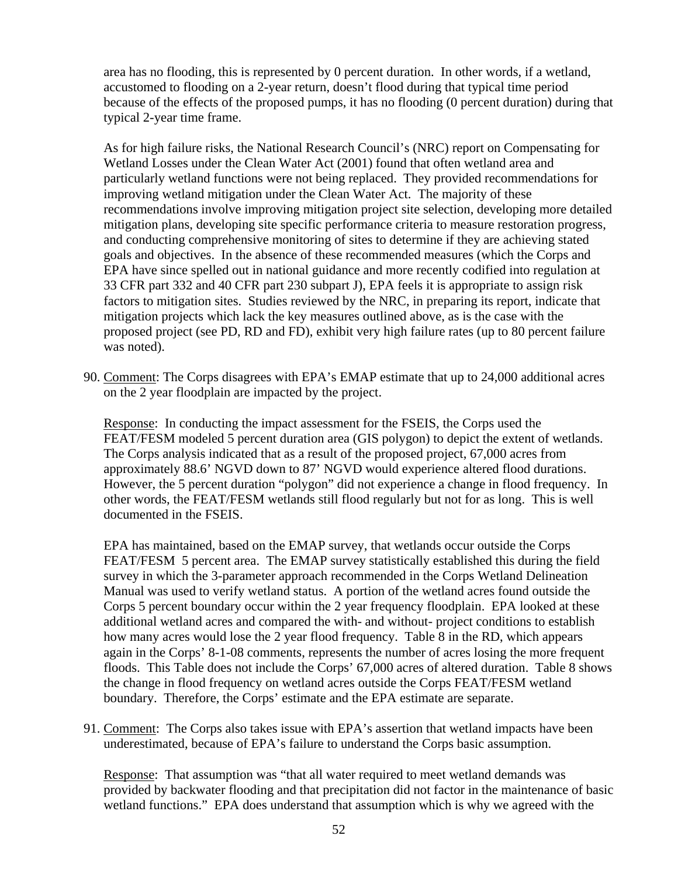area has no flooding, this is represented by 0 percent duration. In other words, if a wetland, accustomed to flooding on a 2-year return, doesn't flood during that typical time period because of the effects of the proposed pumps, it has no flooding (0 percent duration) during that typical 2-year time frame.

As for high failure risks, the National Research Council's (NRC) report on Compensating for Wetland Losses under the Clean Water Act (2001) found that often wetland area and particularly wetland functions were not being replaced. They provided recommendations for improving wetland mitigation under the Clean Water Act. The majority of these recommendations involve improving mitigation project site selection, developing more detailed mitigation plans, developing site specific performance criteria to measure restoration progress, and conducting comprehensive monitoring of sites to determine if they are achieving stated goals and objectives. In the absence of these recommended measures (which the Corps and EPA have since spelled out in national guidance and more recently codified into regulation at 33 CFR part 332 and 40 CFR part 230 subpart J), EPA feels it is appropriate to assign risk factors to mitigation sites. Studies reviewed by the NRC, in preparing its report, indicate that mitigation projects which lack the key measures outlined above, as is the case with the proposed project (see PD, RD and FD), exhibit very high failure rates (up to 80 percent failure was noted).

90. Comment: The Corps disagrees with EPA's EMAP estimate that up to 24,000 additional acres on the 2 year floodplain are impacted by the project.

Response: In conducting the impact assessment for the FSEIS, the Corps used the FEAT/FESM modeled 5 percent duration area (GIS polygon) to depict the extent of wetlands. The Corps analysis indicated that as a result of the proposed project, 67,000 acres from approximately 88.6' NGVD down to 87' NGVD would experience altered flood durations. However, the 5 percent duration "polygon" did not experience a change in flood frequency. In other words, the FEAT/FESM wetlands still flood regularly but not for as long. This is well documented in the FSEIS.

EPA has maintained, based on the EMAP survey, that wetlands occur outside the Corps FEAT/FESM 5 percent area. The EMAP survey statistically established this during the field survey in which the 3-parameter approach recommended in the Corps Wetland Delineation Manual was used to verify wetland status. A portion of the wetland acres found outside the Corps 5 percent boundary occur within the 2 year frequency floodplain. EPA looked at these additional wetland acres and compared the with- and without- project conditions to establish how many acres would lose the 2 year flood frequency. Table 8 in the RD, which appears again in the Corps' 8-1-08 comments, represents the number of acres losing the more frequent floods. This Table does not include the Corps' 67,000 acres of altered duration. Table 8 shows the change in flood frequency on wetland acres outside the Corps FEAT/FESM wetland boundary. Therefore, the Corps' estimate and the EPA estimate are separate.

91. Comment: The Corps also takes issue with EPA's assertion that wetland impacts have been underestimated, because of EPA's failure to understand the Corps basic assumption.

Response: That assumption was "that all water required to meet wetland demands was provided by backwater flooding and that precipitation did not factor in the maintenance of basic wetland functions." EPA does understand that assumption which is why we agreed with the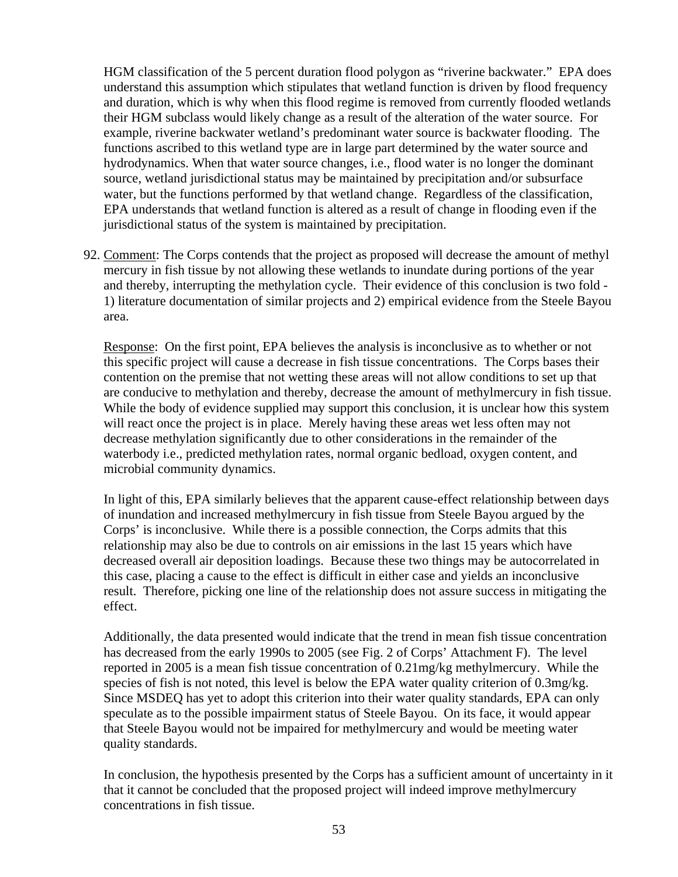HGM classification of the 5 percent duration flood polygon as "riverine backwater." EPA does understand this assumption which stipulates that wetland function is driven by flood frequency and duration, which is why when this flood regime is removed from currently flooded wetlands their HGM subclass would likely change as a result of the alteration of the water source. For example, riverine backwater wetland's predominant water source is backwater flooding. The functions ascribed to this wetland type are in large part determined by the water source and hydrodynamics. When that water source changes, i.e., flood water is no longer the dominant source, wetland jurisdictional status may be maintained by precipitation and/or subsurface water, but the functions performed by that wetland change. Regardless of the classification, EPA understands that wetland function is altered as a result of change in flooding even if the jurisdictional status of the system is maintained by precipitation.

92. Comment: The Corps contends that the project as proposed will decrease the amount of methyl mercury in fish tissue by not allowing these wetlands to inundate during portions of the year and thereby, interrupting the methylation cycle. Their evidence of this conclusion is two fold - 1) literature documentation of similar projects and 2) empirical evidence from the Steele Bayou area.

Response: On the first point, EPA believes the analysis is inconclusive as to whether or not this specific project will cause a decrease in fish tissue concentrations. The Corps bases their contention on the premise that not wetting these areas will not allow conditions to set up that are conducive to methylation and thereby, decrease the amount of methylmercury in fish tissue. While the body of evidence supplied may support this conclusion, it is unclear how this system will react once the project is in place. Merely having these areas wet less often may not decrease methylation significantly due to other considerations in the remainder of the waterbody i.e., predicted methylation rates, normal organic bedload, oxygen content, and microbial community dynamics.

In light of this, EPA similarly believes that the apparent cause-effect relationship between days of inundation and increased methylmercury in fish tissue from Steele Bayou argued by the Corps' is inconclusive. While there is a possible connection, the Corps admits that this relationship may also be due to controls on air emissions in the last 15 years which have decreased overall air deposition loadings. Because these two things may be autocorrelated in this case, placing a cause to the effect is difficult in either case and yields an inconclusive result. Therefore, picking one line of the relationship does not assure success in mitigating the effect.

Additionally, the data presented would indicate that the trend in mean fish tissue concentration has decreased from the early 1990s to 2005 (see Fig. 2 of Corps' Attachment F). The level reported in 2005 is a mean fish tissue concentration of 0.21mg/kg methylmercury. While the species of fish is not noted, this level is below the EPA water quality criterion of 0.3mg/kg. Since MSDEQ has yet to adopt this criterion into their water quality standards, EPA can only speculate as to the possible impairment status of Steele Bayou. On its face, it would appear that Steele Bayou would not be impaired for methylmercury and would be meeting water quality standards.

In conclusion, the hypothesis presented by the Corps has a sufficient amount of uncertainty in it that it cannot be concluded that the proposed project will indeed improve methylmercury concentrations in fish tissue.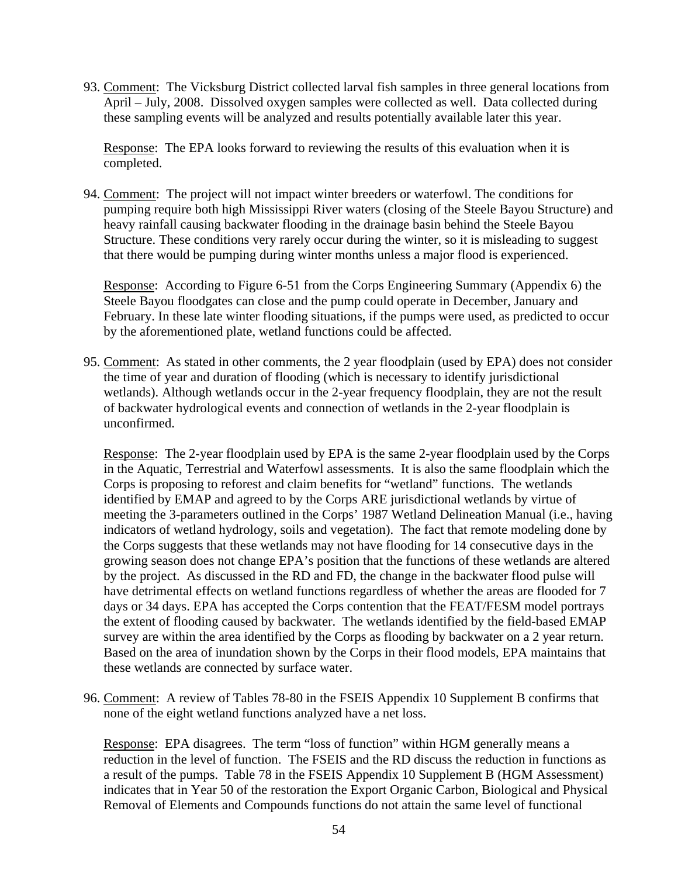93. Comment: The Vicksburg District collected larval fish samples in three general locations from April – July, 2008. Dissolved oxygen samples were collected as well. Data collected during these sampling events will be analyzed and results potentially available later this year.

Response: The EPA looks forward to reviewing the results of this evaluation when it is completed.

94. Comment: The project will not impact winter breeders or waterfowl. The conditions for pumping require both high Mississippi River waters (closing of the Steele Bayou Structure) and heavy rainfall causing backwater flooding in the drainage basin behind the Steele Bayou Structure. These conditions very rarely occur during the winter, so it is misleading to suggest that there would be pumping during winter months unless a major flood is experienced.

Response: According to Figure 6-51 from the Corps Engineering Summary (Appendix 6) the Steele Bayou floodgates can close and the pump could operate in December, January and February. In these late winter flooding situations, if the pumps were used, as predicted to occur by the aforementioned plate, wetland functions could be affected.

95. Comment: As stated in other comments, the 2 year floodplain (used by EPA) does not consider the time of year and duration of flooding (which is necessary to identify jurisdictional wetlands). Although wetlands occur in the 2-year frequency floodplain, they are not the result of backwater hydrological events and connection of wetlands in the 2-year floodplain is unconfirmed.

Response: The 2-year floodplain used by EPA is the same 2-year floodplain used by the Corps in the Aquatic, Terrestrial and Waterfowl assessments. It is also the same floodplain which the Corps is proposing to reforest and claim benefits for "wetland" functions. The wetlands identified by EMAP and agreed to by the Corps ARE jurisdictional wetlands by virtue of meeting the 3-parameters outlined in the Corps' 1987 Wetland Delineation Manual (i.e., having indicators of wetland hydrology, soils and vegetation). The fact that remote modeling done by the Corps suggests that these wetlands may not have flooding for 14 consecutive days in the growing season does not change EPA's position that the functions of these wetlands are altered by the project. As discussed in the RD and FD, the change in the backwater flood pulse will have detrimental effects on wetland functions regardless of whether the areas are flooded for 7 days or 34 days. EPA has accepted the Corps contention that the FEAT/FESM model portrays the extent of flooding caused by backwater. The wetlands identified by the field-based EMAP survey are within the area identified by the Corps as flooding by backwater on a 2 year return. Based on the area of inundation shown by the Corps in their flood models, EPA maintains that these wetlands are connected by surface water.

96. Comment: A review of Tables 78-80 in the FSEIS Appendix 10 Supplement B confirms that none of the eight wetland functions analyzed have a net loss.

Response: EPA disagrees. The term "loss of function" within HGM generally means a reduction in the level of function. The FSEIS and the RD discuss the reduction in functions as a result of the pumps. Table 78 in the FSEIS Appendix 10 Supplement B (HGM Assessment) indicates that in Year 50 of the restoration the Export Organic Carbon, Biological and Physical Removal of Elements and Compounds functions do not attain the same level of functional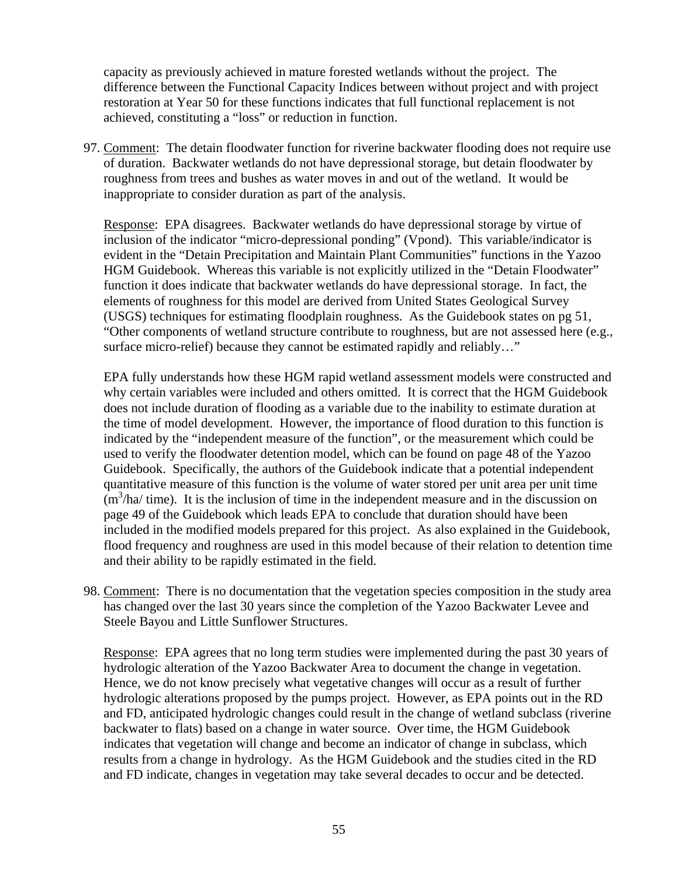capacity as previously achieved in mature forested wetlands without the project. The difference between the Functional Capacity Indices between without project and with project restoration at Year 50 for these functions indicates that full functional replacement is not achieved, constituting a "loss" or reduction in function.

97. Comment: The detain floodwater function for riverine backwater flooding does not require use of duration. Backwater wetlands do not have depressional storage, but detain floodwater by roughness from trees and bushes as water moves in and out of the wetland. It would be inappropriate to consider duration as part of the analysis.

Response: EPA disagrees. Backwater wetlands do have depressional storage by virtue of inclusion of the indicator "micro-depressional ponding" (Vpond). This variable/indicator is evident in the "Detain Precipitation and Maintain Plant Communities" functions in the Yazoo HGM Guidebook. Whereas this variable is not explicitly utilized in the "Detain Floodwater" function it does indicate that backwater wetlands do have depressional storage. In fact, the elements of roughness for this model are derived from United States Geological Survey (USGS) techniques for estimating floodplain roughness. As the Guidebook states on pg 51, "Other components of wetland structure contribute to roughness, but are not assessed here (e.g., surface micro-relief) because they cannot be estimated rapidly and reliably..."

EPA fully understands how these HGM rapid wetland assessment models were constructed and why certain variables were included and others omitted. It is correct that the HGM Guidebook does not include duration of flooding as a variable due to the inability to estimate duration at the time of model development. However, the importance of flood duration to this function is indicated by the "independent measure of the function", or the measurement which could be used to verify the floodwater detention model, which can be found on page 48 of the Yazoo Guidebook. Specifically, the authors of the Guidebook indicate that a potential independent quantitative measure of this function is the volume of water stored per unit area per unit time  $(m<sup>3</sup>/ha/$  time). It is the inclusion of time in the independent measure and in the discussion on page 49 of the Guidebook which leads EPA to conclude that duration should have been included in the modified models prepared for this project. As also explained in the Guidebook, flood frequency and roughness are used in this model because of their relation to detention time and their ability to be rapidly estimated in the field.

98. Comment: There is no documentation that the vegetation species composition in the study area has changed over the last 30 years since the completion of the Yazoo Backwater Levee and Steele Bayou and Little Sunflower Structures.

Response: EPA agrees that no long term studies were implemented during the past 30 years of hydrologic alteration of the Yazoo Backwater Area to document the change in vegetation. Hence, we do not know precisely what vegetative changes will occur as a result of further hydrologic alterations proposed by the pumps project. However, as EPA points out in the RD and FD, anticipated hydrologic changes could result in the change of wetland subclass (riverine backwater to flats) based on a change in water source. Over time, the HGM Guidebook indicates that vegetation will change and become an indicator of change in subclass, which results from a change in hydrology. As the HGM Guidebook and the studies cited in the RD and FD indicate, changes in vegetation may take several decades to occur and be detected.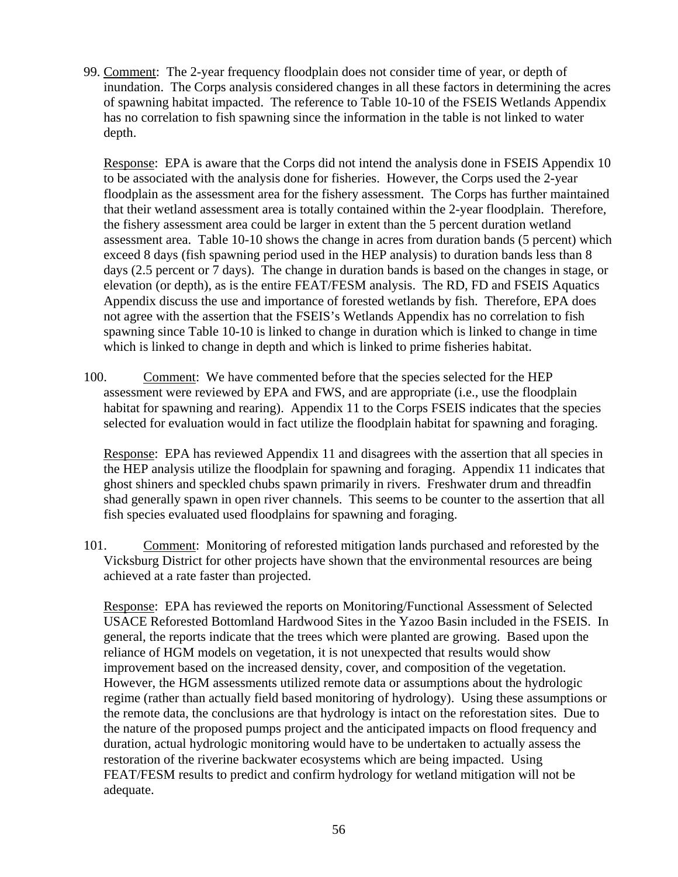99. Comment: The 2-year frequency floodplain does not consider time of year, or depth of inundation. The Corps analysis considered changes in all these factors in determining the acres of spawning habitat impacted. The reference to Table 10-10 of the FSEIS Wetlands Appendix has no correlation to fish spawning since the information in the table is not linked to water depth.

Response: EPA is aware that the Corps did not intend the analysis done in FSEIS Appendix 10 to be associated with the analysis done for fisheries. However, the Corps used the 2-year floodplain as the assessment area for the fishery assessment. The Corps has further maintained that their wetland assessment area is totally contained within the 2-year floodplain. Therefore, the fishery assessment area could be larger in extent than the 5 percent duration wetland assessment area. Table 10-10 shows the change in acres from duration bands (5 percent) which exceed 8 days (fish spawning period used in the HEP analysis) to duration bands less than 8 days (2.5 percent or 7 days). The change in duration bands is based on the changes in stage, or elevation (or depth), as is the entire FEAT/FESM analysis. The RD, FD and FSEIS Aquatics Appendix discuss the use and importance of forested wetlands by fish. Therefore, EPA does not agree with the assertion that the FSEIS's Wetlands Appendix has no correlation to fish spawning since Table 10-10 is linked to change in duration which is linked to change in time which is linked to change in depth and which is linked to prime fisheries habitat.

100. Comment: We have commented before that the species selected for the HEP assessment were reviewed by EPA and FWS, and are appropriate (i.e., use the floodplain habitat for spawning and rearing). Appendix 11 to the Corps FSEIS indicates that the species selected for evaluation would in fact utilize the floodplain habitat for spawning and foraging.

Response: EPA has reviewed Appendix 11 and disagrees with the assertion that all species in the HEP analysis utilize the floodplain for spawning and foraging. Appendix 11 indicates that ghost shiners and speckled chubs spawn primarily in rivers. Freshwater drum and threadfin shad generally spawn in open river channels. This seems to be counter to the assertion that all fish species evaluated used floodplains for spawning and foraging.

101. Comment: Monitoring of reforested mitigation lands purchased and reforested by the Vicksburg District for other projects have shown that the environmental resources are being achieved at a rate faster than projected.

Response: EPA has reviewed the reports on Monitoring/Functional Assessment of Selected USACE Reforested Bottomland Hardwood Sites in the Yazoo Basin included in the FSEIS. In general, the reports indicate that the trees which were planted are growing. Based upon the reliance of HGM models on vegetation, it is not unexpected that results would show improvement based on the increased density, cover, and composition of the vegetation. However, the HGM assessments utilized remote data or assumptions about the hydrologic regime (rather than actually field based monitoring of hydrology). Using these assumptions or the remote data, the conclusions are that hydrology is intact on the reforestation sites. Due to the nature of the proposed pumps project and the anticipated impacts on flood frequency and duration, actual hydrologic monitoring would have to be undertaken to actually assess the restoration of the riverine backwater ecosystems which are being impacted. Using FEAT/FESM results to predict and confirm hydrology for wetland mitigation will not be adequate.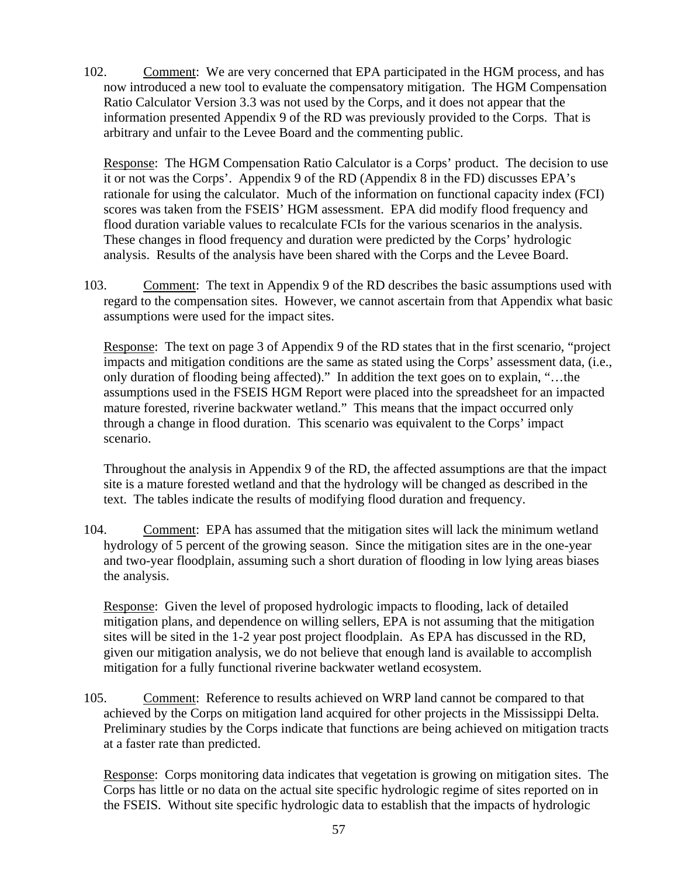102. Comment: We are very concerned that EPA participated in the HGM process, and has now introduced a new tool to evaluate the compensatory mitigation. The HGM Compensation Ratio Calculator Version 3.3 was not used by the Corps, and it does not appear that the information presented Appendix 9 of the RD was previously provided to the Corps. That is arbitrary and unfair to the Levee Board and the commenting public.

Response: The HGM Compensation Ratio Calculator is a Corps' product. The decision to use it or not was the Corps'. Appendix 9 of the RD (Appendix 8 in the FD) discusses EPA's rationale for using the calculator. Much of the information on functional capacity index (FCI) scores was taken from the FSEIS' HGM assessment. EPA did modify flood frequency and flood duration variable values to recalculate FCIs for the various scenarios in the analysis. These changes in flood frequency and duration were predicted by the Corps' hydrologic analysis. Results of the analysis have been shared with the Corps and the Levee Board.

103. Comment: The text in Appendix 9 of the RD describes the basic assumptions used with regard to the compensation sites. However, we cannot ascertain from that Appendix what basic assumptions were used for the impact sites.

Response: The text on page 3 of Appendix 9 of the RD states that in the first scenario, "project impacts and mitigation conditions are the same as stated using the Corps' assessment data, (i.e., only duration of flooding being affected)." In addition the text goes on to explain, "…the assumptions used in the FSEIS HGM Report were placed into the spreadsheet for an impacted mature forested, riverine backwater wetland." This means that the impact occurred only through a change in flood duration. This scenario was equivalent to the Corps' impact scenario.

Throughout the analysis in Appendix 9 of the RD, the affected assumptions are that the impact site is a mature forested wetland and that the hydrology will be changed as described in the text. The tables indicate the results of modifying flood duration and frequency.

104. Comment: EPA has assumed that the mitigation sites will lack the minimum wetland hydrology of 5 percent of the growing season. Since the mitigation sites are in the one-year and two-year floodplain, assuming such a short duration of flooding in low lying areas biases the analysis.

Response: Given the level of proposed hydrologic impacts to flooding, lack of detailed mitigation plans, and dependence on willing sellers, EPA is not assuming that the mitigation sites will be sited in the 1-2 year post project floodplain. As EPA has discussed in the RD, given our mitigation analysis, we do not believe that enough land is available to accomplish mitigation for a fully functional riverine backwater wetland ecosystem.

105. Comment: Reference to results achieved on WRP land cannot be compared to that achieved by the Corps on mitigation land acquired for other projects in the Mississippi Delta. Preliminary studies by the Corps indicate that functions are being achieved on mitigation tracts at a faster rate than predicted.

Response: Corps monitoring data indicates that vegetation is growing on mitigation sites. The Corps has little or no data on the actual site specific hydrologic regime of sites reported on in the FSEIS. Without site specific hydrologic data to establish that the impacts of hydrologic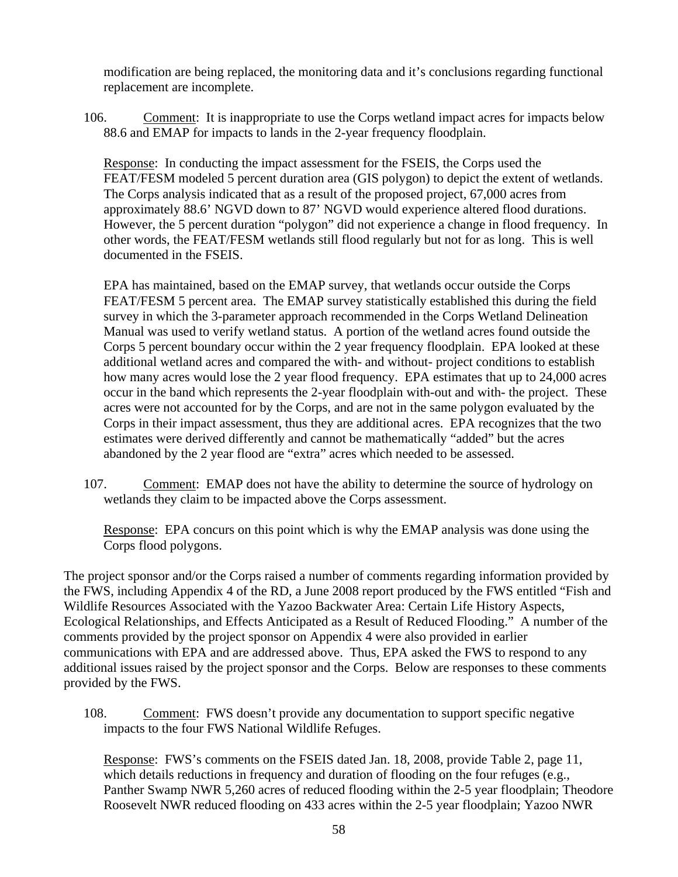modification are being replaced, the monitoring data and it's conclusions regarding functional replacement are incomplete.

106. Comment: It is inappropriate to use the Corps wetland impact acres for impacts below 88.6 and EMAP for impacts to lands in the 2-year frequency floodplain.

Response: In conducting the impact assessment for the FSEIS, the Corps used the FEAT/FESM modeled 5 percent duration area (GIS polygon) to depict the extent of wetlands. The Corps analysis indicated that as a result of the proposed project, 67,000 acres from approximately 88.6' NGVD down to 87' NGVD would experience altered flood durations. However, the 5 percent duration "polygon" did not experience a change in flood frequency. In other words, the FEAT/FESM wetlands still flood regularly but not for as long. This is well documented in the FSEIS.

EPA has maintained, based on the EMAP survey, that wetlands occur outside the Corps FEAT/FESM 5 percent area. The EMAP survey statistically established this during the field survey in which the 3-parameter approach recommended in the Corps Wetland Delineation Manual was used to verify wetland status. A portion of the wetland acres found outside the Corps 5 percent boundary occur within the 2 year frequency floodplain. EPA looked at these additional wetland acres and compared the with- and without- project conditions to establish how many acres would lose the 2 year flood frequency. EPA estimates that up to 24,000 acres occur in the band which represents the 2-year floodplain with-out and with- the project. These acres were not accounted for by the Corps, and are not in the same polygon evaluated by the Corps in their impact assessment, thus they are additional acres. EPA recognizes that the two estimates were derived differently and cannot be mathematically "added" but the acres abandoned by the 2 year flood are "extra" acres which needed to be assessed.

107. Comment: EMAP does not have the ability to determine the source of hydrology on wetlands they claim to be impacted above the Corps assessment.

Response: EPA concurs on this point which is why the EMAP analysis was done using the Corps flood polygons.

The project sponsor and/or the Corps raised a number of comments regarding information provided by the FWS, including Appendix 4 of the RD, a June 2008 report produced by the FWS entitled "Fish and Wildlife Resources Associated with the Yazoo Backwater Area: Certain Life History Aspects, Ecological Relationships, and Effects Anticipated as a Result of Reduced Flooding." A number of the comments provided by the project sponsor on Appendix 4 were also provided in earlier communications with EPA and are addressed above. Thus, EPA asked the FWS to respond to any additional issues raised by the project sponsor and the Corps. Below are responses to these comments provided by the FWS.

108. Comment: FWS doesn't provide any documentation to support specific negative impacts to the four FWS National Wildlife Refuges.

Response: FWS's comments on the FSEIS dated Jan. 18, 2008, provide Table 2, page 11, which details reductions in frequency and duration of flooding on the four refuges (e.g., Panther Swamp NWR 5,260 acres of reduced flooding within the 2-5 year floodplain; Theodore Roosevelt NWR reduced flooding on 433 acres within the 2-5 year floodplain; Yazoo NWR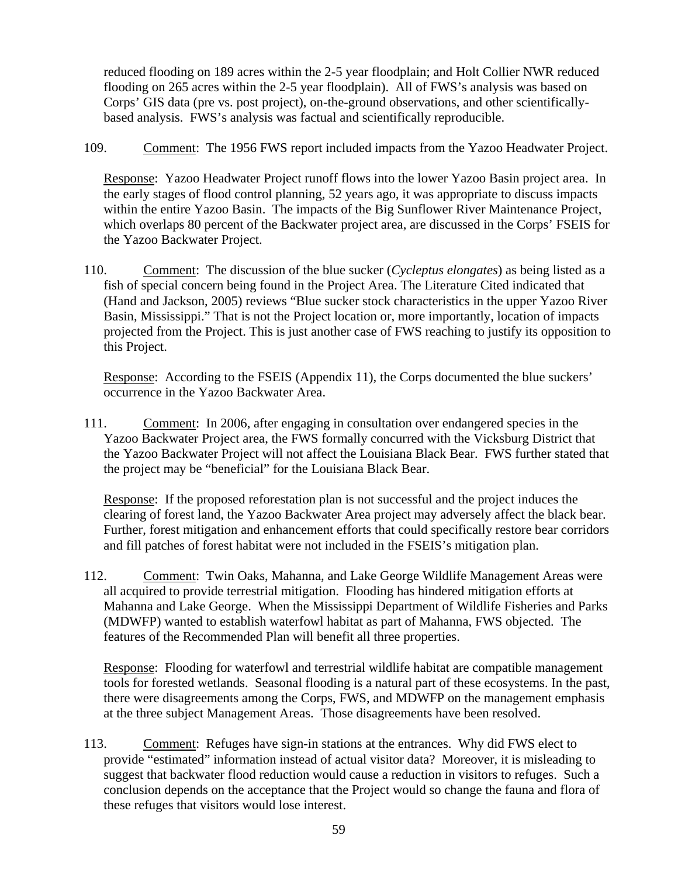reduced flooding on 189 acres within the 2-5 year floodplain; and Holt Collier NWR reduced flooding on 265 acres within the 2-5 year floodplain). All of FWS's analysis was based on Corps' GIS data (pre vs. post project), on-the-ground observations, and other scientificallybased analysis. FWS's analysis was factual and scientifically reproducible.

109. Comment: The 1956 FWS report included impacts from the Yazoo Headwater Project.

Response: Yazoo Headwater Project runoff flows into the lower Yazoo Basin project area. In the early stages of flood control planning, 52 years ago, it was appropriate to discuss impacts within the entire Yazoo Basin. The impacts of the Big Sunflower River Maintenance Project, which overlaps 80 percent of the Backwater project area, are discussed in the Corps' FSEIS for the Yazoo Backwater Project.

110. Comment: The discussion of the blue sucker (*Cycleptus elongates*) as being listed as a fish of special concern being found in the Project Area. The Literature Cited indicated that (Hand and Jackson, 2005) reviews "Blue sucker stock characteristics in the upper Yazoo River Basin, Mississippi." That is not the Project location or, more importantly, location of impacts projected from the Project. This is just another case of FWS reaching to justify its opposition to this Project.

Response: According to the FSEIS (Appendix 11), the Corps documented the blue suckers' occurrence in the Yazoo Backwater Area.

111. Comment: In 2006, after engaging in consultation over endangered species in the Yazoo Backwater Project area, the FWS formally concurred with the Vicksburg District that the Yazoo Backwater Project will not affect the Louisiana Black Bear. FWS further stated that the project may be "beneficial" for the Louisiana Black Bear.

Response: If the proposed reforestation plan is not successful and the project induces the clearing of forest land, the Yazoo Backwater Area project may adversely affect the black bear. Further, forest mitigation and enhancement efforts that could specifically restore bear corridors and fill patches of forest habitat were not included in the FSEIS's mitigation plan.

112. Comment: Twin Oaks, Mahanna, and Lake George Wildlife Management Areas were all acquired to provide terrestrial mitigation. Flooding has hindered mitigation efforts at Mahanna and Lake George. When the Mississippi Department of Wildlife Fisheries and Parks (MDWFP) wanted to establish waterfowl habitat as part of Mahanna, FWS objected. The features of the Recommended Plan will benefit all three properties.

Response: Flooding for waterfowl and terrestrial wildlife habitat are compatible management tools for forested wetlands. Seasonal flooding is a natural part of these ecosystems. In the past, there were disagreements among the Corps, FWS, and MDWFP on the management emphasis at the three subject Management Areas. Those disagreements have been resolved.

113. Comment: Refuges have sign-in stations at the entrances. Why did FWS elect to provide "estimated" information instead of actual visitor data? Moreover, it is misleading to suggest that backwater flood reduction would cause a reduction in visitors to refuges. Such a conclusion depends on the acceptance that the Project would so change the fauna and flora of these refuges that visitors would lose interest.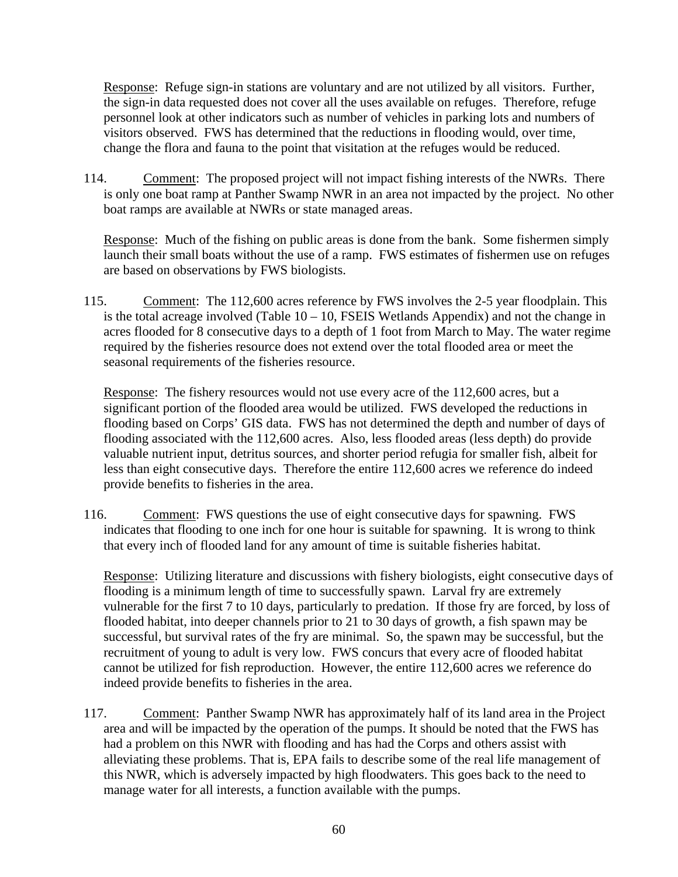Response: Refuge sign-in stations are voluntary and are not utilized by all visitors. Further, the sign-in data requested does not cover all the uses available on refuges. Therefore, refuge personnel look at other indicators such as number of vehicles in parking lots and numbers of visitors observed. FWS has determined that the reductions in flooding would, over time, change the flora and fauna to the point that visitation at the refuges would be reduced.

114. Comment: The proposed project will not impact fishing interests of the NWRs. There is only one boat ramp at Panther Swamp NWR in an area not impacted by the project. No other boat ramps are available at NWRs or state managed areas.

Response: Much of the fishing on public areas is done from the bank. Some fishermen simply launch their small boats without the use of a ramp. FWS estimates of fishermen use on refuges are based on observations by FWS biologists.

115. Comment: The 112,600 acres reference by FWS involves the 2-5 year floodplain. This is the total acreage involved (Table  $10 - 10$ , FSEIS Wetlands Appendix) and not the change in acres flooded for 8 consecutive days to a depth of 1 foot from March to May. The water regime required by the fisheries resource does not extend over the total flooded area or meet the seasonal requirements of the fisheries resource.

Response: The fishery resources would not use every acre of the 112,600 acres, but a significant portion of the flooded area would be utilized. FWS developed the reductions in flooding based on Corps' GIS data. FWS has not determined the depth and number of days of flooding associated with the 112,600 acres. Also, less flooded areas (less depth) do provide valuable nutrient input, detritus sources, and shorter period refugia for smaller fish, albeit for less than eight consecutive days. Therefore the entire 112,600 acres we reference do indeed provide benefits to fisheries in the area.

116. Comment: FWS questions the use of eight consecutive days for spawning. FWS indicates that flooding to one inch for one hour is suitable for spawning. It is wrong to think that every inch of flooded land for any amount of time is suitable fisheries habitat.

Response: Utilizing literature and discussions with fishery biologists, eight consecutive days of flooding is a minimum length of time to successfully spawn. Larval fry are extremely vulnerable for the first 7 to 10 days, particularly to predation. If those fry are forced, by loss of flooded habitat, into deeper channels prior to 21 to 30 days of growth, a fish spawn may be successful, but survival rates of the fry are minimal. So, the spawn may be successful, but the recruitment of young to adult is very low. FWS concurs that every acre of flooded habitat cannot be utilized for fish reproduction. However, the entire 112,600 acres we reference do indeed provide benefits to fisheries in the area.

117. Comment: Panther Swamp NWR has approximately half of its land area in the Project area and will be impacted by the operation of the pumps. It should be noted that the FWS has had a problem on this NWR with flooding and has had the Corps and others assist with alleviating these problems. That is, EPA fails to describe some of the real life management of this NWR, which is adversely impacted by high floodwaters. This goes back to the need to manage water for all interests, a function available with the pumps.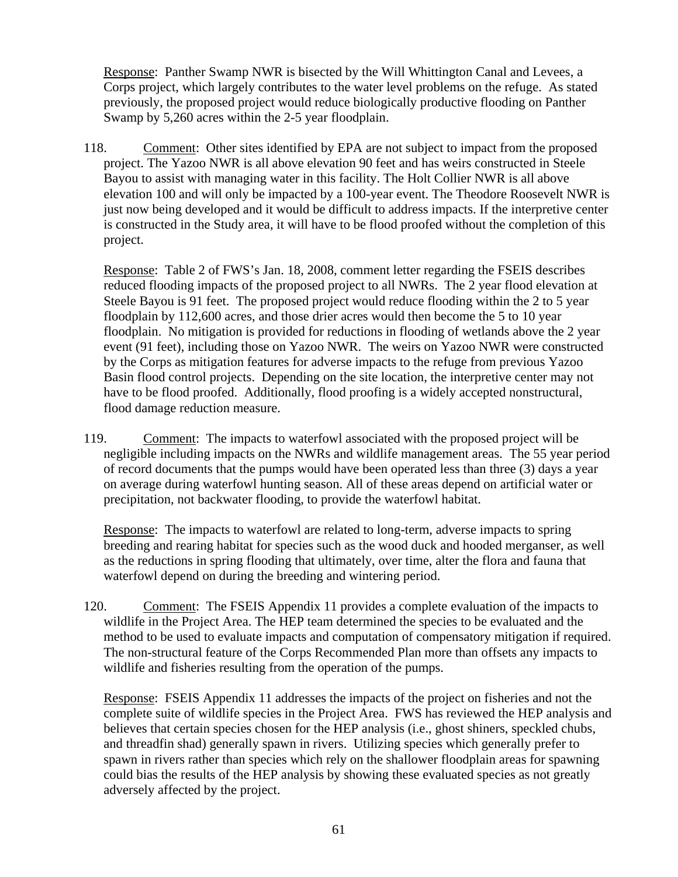Response: Panther Swamp NWR is bisected by the Will Whittington Canal and Levees, a Corps project, which largely contributes to the water level problems on the refuge. As stated previously, the proposed project would reduce biologically productive flooding on Panther Swamp by 5,260 acres within the 2-5 year floodplain.

118. Comment: Other sites identified by EPA are not subject to impact from the proposed project. The Yazoo NWR is all above elevation 90 feet and has weirs constructed in Steele Bayou to assist with managing water in this facility. The Holt Collier NWR is all above elevation 100 and will only be impacted by a 100-year event. The Theodore Roosevelt NWR is just now being developed and it would be difficult to address impacts. If the interpretive center is constructed in the Study area, it will have to be flood proofed without the completion of this project.

Response: Table 2 of FWS's Jan. 18, 2008, comment letter regarding the FSEIS describes reduced flooding impacts of the proposed project to all NWRs. The 2 year flood elevation at Steele Bayou is 91 feet. The proposed project would reduce flooding within the 2 to 5 year floodplain by 112,600 acres, and those drier acres would then become the 5 to 10 year floodplain. No mitigation is provided for reductions in flooding of wetlands above the 2 year event (91 feet), including those on Yazoo NWR. The weirs on Yazoo NWR were constructed by the Corps as mitigation features for adverse impacts to the refuge from previous Yazoo Basin flood control projects. Depending on the site location, the interpretive center may not have to be flood proofed. Additionally, flood proofing is a widely accepted nonstructural, flood damage reduction measure.

119. Comment: The impacts to waterfowl associated with the proposed project will be negligible including impacts on the NWRs and wildlife management areas. The 55 year period of record documents that the pumps would have been operated less than three (3) days a year on average during waterfowl hunting season. All of these areas depend on artificial water or precipitation, not backwater flooding, to provide the waterfowl habitat.

Response: The impacts to waterfowl are related to long-term, adverse impacts to spring breeding and rearing habitat for species such as the wood duck and hooded merganser, as well as the reductions in spring flooding that ultimately, over time, alter the flora and fauna that waterfowl depend on during the breeding and wintering period.

120. Comment: The FSEIS Appendix 11 provides a complete evaluation of the impacts to wildlife in the Project Area. The HEP team determined the species to be evaluated and the method to be used to evaluate impacts and computation of compensatory mitigation if required. The non-structural feature of the Corps Recommended Plan more than offsets any impacts to wildlife and fisheries resulting from the operation of the pumps.

Response: FSEIS Appendix 11 addresses the impacts of the project on fisheries and not the complete suite of wildlife species in the Project Area. FWS has reviewed the HEP analysis and believes that certain species chosen for the HEP analysis (i.e., ghost shiners, speckled chubs, and threadfin shad) generally spawn in rivers. Utilizing species which generally prefer to spawn in rivers rather than species which rely on the shallower floodplain areas for spawning could bias the results of the HEP analysis by showing these evaluated species as not greatly adversely affected by the project.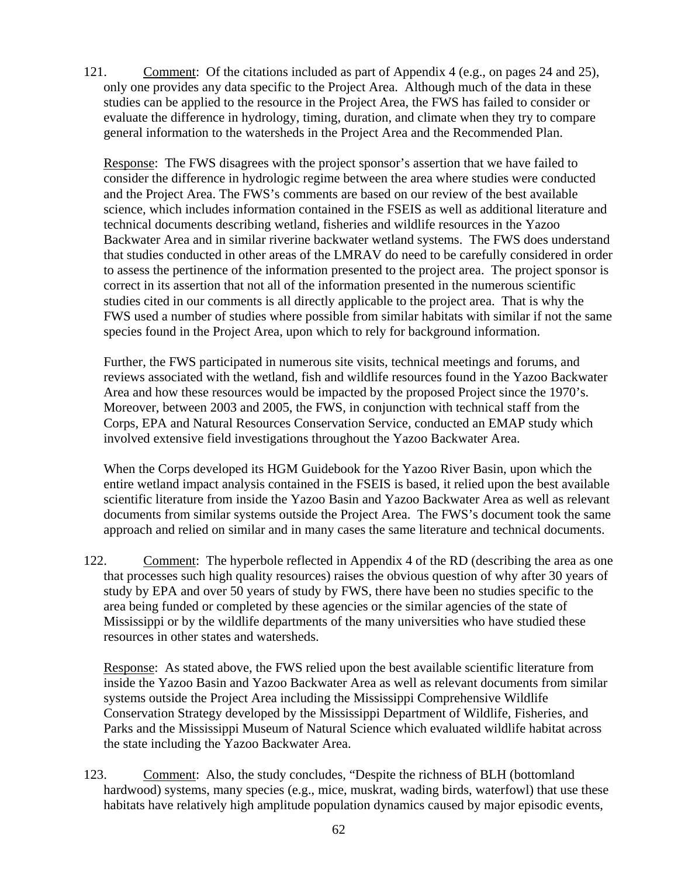121. Comment: Of the citations included as part of Appendix 4 (e.g., on pages 24 and 25), only one provides any data specific to the Project Area. Although much of the data in these studies can be applied to the resource in the Project Area, the FWS has failed to consider or evaluate the difference in hydrology, timing, duration, and climate when they try to compare general information to the watersheds in the Project Area and the Recommended Plan.

Response: The FWS disagrees with the project sponsor's assertion that we have failed to consider the difference in hydrologic regime between the area where studies were conducted and the Project Area. The FWS's comments are based on our review of the best available science, which includes information contained in the FSEIS as well as additional literature and technical documents describing wetland, fisheries and wildlife resources in the Yazoo Backwater Area and in similar riverine backwater wetland systems. The FWS does understand that studies conducted in other areas of the LMRAV do need to be carefully considered in order to assess the pertinence of the information presented to the project area. The project sponsor is correct in its assertion that not all of the information presented in the numerous scientific studies cited in our comments is all directly applicable to the project area. That is why the FWS used a number of studies where possible from similar habitats with similar if not the same species found in the Project Area, upon which to rely for background information.

Further, the FWS participated in numerous site visits, technical meetings and forums, and reviews associated with the wetland, fish and wildlife resources found in the Yazoo Backwater Area and how these resources would be impacted by the proposed Project since the 1970's. Moreover, between 2003 and 2005, the FWS, in conjunction with technical staff from the Corps, EPA and Natural Resources Conservation Service, conducted an EMAP study which involved extensive field investigations throughout the Yazoo Backwater Area.

When the Corps developed its HGM Guidebook for the Yazoo River Basin, upon which the entire wetland impact analysis contained in the FSEIS is based, it relied upon the best available scientific literature from inside the Yazoo Basin and Yazoo Backwater Area as well as relevant documents from similar systems outside the Project Area. The FWS's document took the same approach and relied on similar and in many cases the same literature and technical documents.

122. Comment: The hyperbole reflected in Appendix 4 of the RD (describing the area as one that processes such high quality resources) raises the obvious question of why after 30 years of study by EPA and over 50 years of study by FWS, there have been no studies specific to the area being funded or completed by these agencies or the similar agencies of the state of Mississippi or by the wildlife departments of the many universities who have studied these resources in other states and watersheds.

Response: As stated above, the FWS relied upon the best available scientific literature from inside the Yazoo Basin and Yazoo Backwater Area as well as relevant documents from similar systems outside the Project Area including the Mississippi Comprehensive Wildlife Conservation Strategy developed by the Mississippi Department of Wildlife, Fisheries, and Parks and the Mississippi Museum of Natural Science which evaluated wildlife habitat across the state including the Yazoo Backwater Area.

123. Comment: Also, the study concludes, "Despite the richness of BLH (bottomland hardwood) systems, many species (e.g., mice, muskrat, wading birds, waterfowl) that use these habitats have relatively high amplitude population dynamics caused by major episodic events,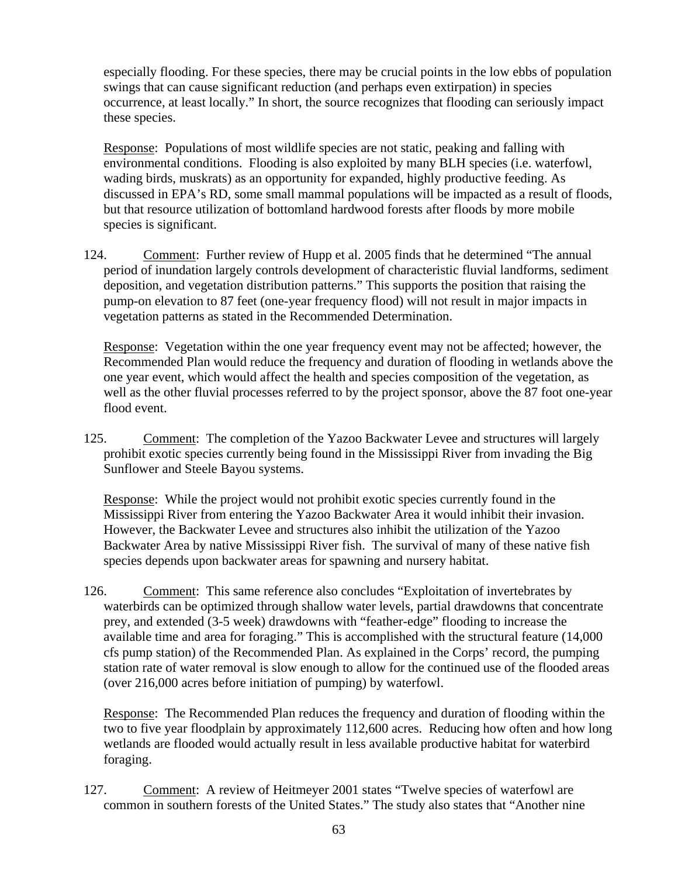especially flooding. For these species, there may be crucial points in the low ebbs of population swings that can cause significant reduction (and perhaps even extirpation) in species occurrence, at least locally." In short, the source recognizes that flooding can seriously impact these species.

Response: Populations of most wildlife species are not static, peaking and falling with environmental conditions. Flooding is also exploited by many BLH species (i.e. waterfowl, wading birds, muskrats) as an opportunity for expanded, highly productive feeding. As discussed in EPA's RD, some small mammal populations will be impacted as a result of floods, but that resource utilization of bottomland hardwood forests after floods by more mobile species is significant.

124. Comment: Further review of Hupp et al. 2005 finds that he determined "The annual period of inundation largely controls development of characteristic fluvial landforms, sediment deposition, and vegetation distribution patterns." This supports the position that raising the pump-on elevation to 87 feet (one-year frequency flood) will not result in major impacts in vegetation patterns as stated in the Recommended Determination.

Response: Vegetation within the one year frequency event may not be affected; however, the Recommended Plan would reduce the frequency and duration of flooding in wetlands above the one year event, which would affect the health and species composition of the vegetation, as well as the other fluvial processes referred to by the project sponsor, above the 87 foot one-year flood event.

125. Comment: The completion of the Yazoo Backwater Levee and structures will largely prohibit exotic species currently being found in the Mississippi River from invading the Big Sunflower and Steele Bayou systems.

Response: While the project would not prohibit exotic species currently found in the Mississippi River from entering the Yazoo Backwater Area it would inhibit their invasion. However, the Backwater Levee and structures also inhibit the utilization of the Yazoo Backwater Area by native Mississippi River fish. The survival of many of these native fish species depends upon backwater areas for spawning and nursery habitat.

126. Comment: This same reference also concludes "Exploitation of invertebrates by waterbirds can be optimized through shallow water levels, partial drawdowns that concentrate prey, and extended (3-5 week) drawdowns with "feather-edge" flooding to increase the available time and area for foraging." This is accomplished with the structural feature (14,000 cfs pump station) of the Recommended Plan. As explained in the Corps' record, the pumping station rate of water removal is slow enough to allow for the continued use of the flooded areas (over 216,000 acres before initiation of pumping) by waterfowl.

Response: The Recommended Plan reduces the frequency and duration of flooding within the two to five year floodplain by approximately 112,600 acres. Reducing how often and how long wetlands are flooded would actually result in less available productive habitat for waterbird foraging.

127. Comment: A review of Heitmeyer 2001 states "Twelve species of waterfowl are common in southern forests of the United States." The study also states that "Another nine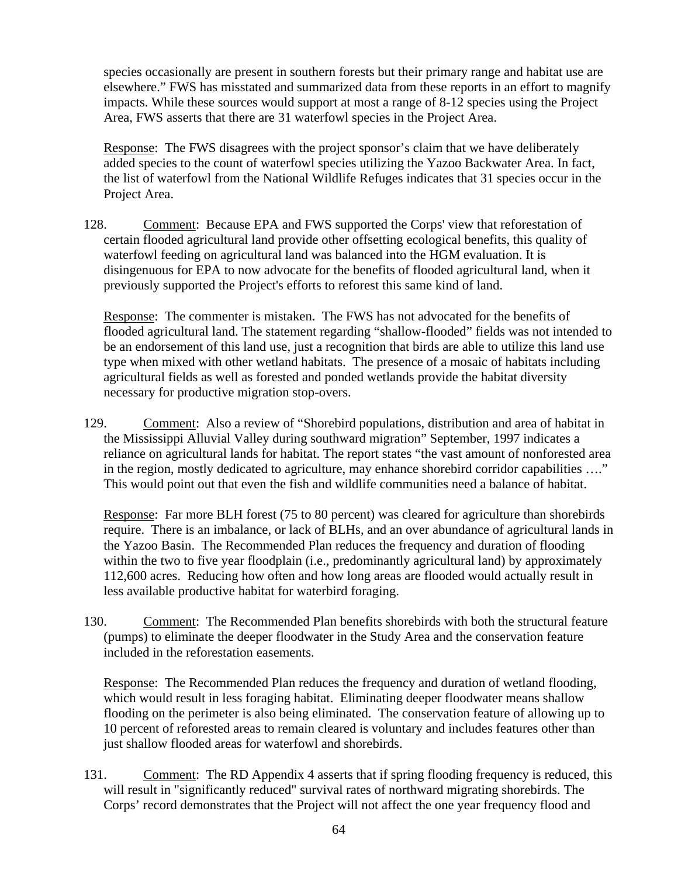species occasionally are present in southern forests but their primary range and habitat use are elsewhere." FWS has misstated and summarized data from these reports in an effort to magnify impacts. While these sources would support at most a range of 8-12 species using the Project Area, FWS asserts that there are 31 waterfowl species in the Project Area.

Response: The FWS disagrees with the project sponsor's claim that we have deliberately added species to the count of waterfowl species utilizing the Yazoo Backwater Area. In fact, the list of waterfowl from the National Wildlife Refuges indicates that 31 species occur in the Project Area.

128. Comment: Because EPA and FWS supported the Corps' view that reforestation of certain flooded agricultural land provide other offsetting ecological benefits, this quality of waterfowl feeding on agricultural land was balanced into the HGM evaluation. It is disingenuous for EPA to now advocate for the benefits of flooded agricultural land, when it previously supported the Project's efforts to reforest this same kind of land.

Response: The commenter is mistaken. The FWS has not advocated for the benefits of flooded agricultural land. The statement regarding "shallow-flooded" fields was not intended to be an endorsement of this land use, just a recognition that birds are able to utilize this land use type when mixed with other wetland habitats. The presence of a mosaic of habitats including agricultural fields as well as forested and ponded wetlands provide the habitat diversity necessary for productive migration stop-overs.

129. Comment: Also a review of "Shorebird populations, distribution and area of habitat in the Mississippi Alluvial Valley during southward migration" September, 1997 indicates a reliance on agricultural lands for habitat. The report states "the vast amount of nonforested area in the region, mostly dedicated to agriculture, may enhance shorebird corridor capabilities …." This would point out that even the fish and wildlife communities need a balance of habitat.

Response: Far more BLH forest (75 to 80 percent) was cleared for agriculture than shorebirds require. There is an imbalance, or lack of BLHs, and an over abundance of agricultural lands in the Yazoo Basin. The Recommended Plan reduces the frequency and duration of flooding within the two to five year floodplain (i.e., predominantly agricultural land) by approximately 112,600 acres. Reducing how often and how long areas are flooded would actually result in less available productive habitat for waterbird foraging.

130. Comment: The Recommended Plan benefits shorebirds with both the structural feature (pumps) to eliminate the deeper floodwater in the Study Area and the conservation feature included in the reforestation easements.

Response: The Recommended Plan reduces the frequency and duration of wetland flooding, which would result in less foraging habitat. Eliminating deeper floodwater means shallow flooding on the perimeter is also being eliminated. The conservation feature of allowing up to 10 percent of reforested areas to remain cleared is voluntary and includes features other than just shallow flooded areas for waterfowl and shorebirds.

131. Comment: The RD Appendix 4 asserts that if spring flooding frequency is reduced, this will result in "significantly reduced" survival rates of northward migrating shorebirds. The Corps' record demonstrates that the Project will not affect the one year frequency flood and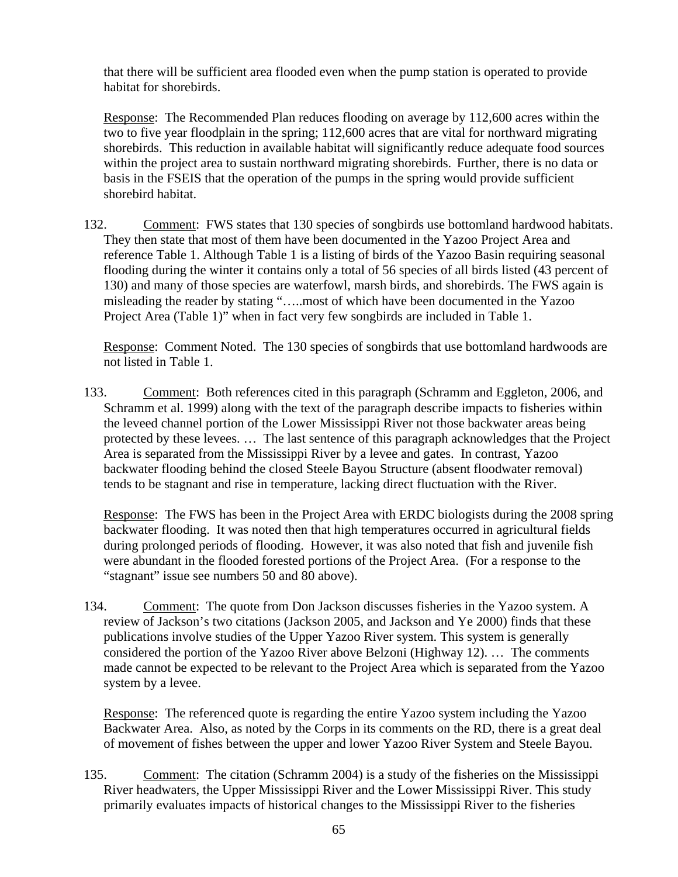that there will be sufficient area flooded even when the pump station is operated to provide habitat for shorebirds.

Response: The Recommended Plan reduces flooding on average by 112,600 acres within the two to five year floodplain in the spring; 112,600 acres that are vital for northward migrating shorebirds. This reduction in available habitat will significantly reduce adequate food sources within the project area to sustain northward migrating shorebirds. Further, there is no data or basis in the FSEIS that the operation of the pumps in the spring would provide sufficient shorebird habitat.

132. Comment: FWS states that 130 species of songbirds use bottomland hardwood habitats. They then state that most of them have been documented in the Yazoo Project Area and reference Table 1. Although Table 1 is a listing of birds of the Yazoo Basin requiring seasonal flooding during the winter it contains only a total of 56 species of all birds listed (43 percent of 130) and many of those species are waterfowl, marsh birds, and shorebirds. The FWS again is misleading the reader by stating "…..most of which have been documented in the Yazoo Project Area (Table 1)" when in fact very few songbirds are included in Table 1.

Response: Comment Noted. The 130 species of songbirds that use bottomland hardwoods are not listed in Table 1.

133. Comment: Both references cited in this paragraph (Schramm and Eggleton, 2006, and Schramm et al. 1999) along with the text of the paragraph describe impacts to fisheries within the leveed channel portion of the Lower Mississippi River not those backwater areas being protected by these levees. … The last sentence of this paragraph acknowledges that the Project Area is separated from the Mississippi River by a levee and gates. In contrast, Yazoo backwater flooding behind the closed Steele Bayou Structure (absent floodwater removal) tends to be stagnant and rise in temperature, lacking direct fluctuation with the River.

Response: The FWS has been in the Project Area with ERDC biologists during the 2008 spring backwater flooding. It was noted then that high temperatures occurred in agricultural fields during prolonged periods of flooding. However, it was also noted that fish and juvenile fish were abundant in the flooded forested portions of the Project Area. (For a response to the "stagnant" issue see numbers 50 and 80 above).

134. Comment: The quote from Don Jackson discusses fisheries in the Yazoo system. A review of Jackson's two citations (Jackson 2005, and Jackson and Ye 2000) finds that these publications involve studies of the Upper Yazoo River system. This system is generally considered the portion of the Yazoo River above Belzoni (Highway 12). … The comments made cannot be expected to be relevant to the Project Area which is separated from the Yazoo system by a levee.

Response: The referenced quote is regarding the entire Yazoo system including the Yazoo Backwater Area. Also, as noted by the Corps in its comments on the RD, there is a great deal of movement of fishes between the upper and lower Yazoo River System and Steele Bayou.

135. Comment: The citation (Schramm 2004) is a study of the fisheries on the Mississippi River headwaters, the Upper Mississippi River and the Lower Mississippi River. This study primarily evaluates impacts of historical changes to the Mississippi River to the fisheries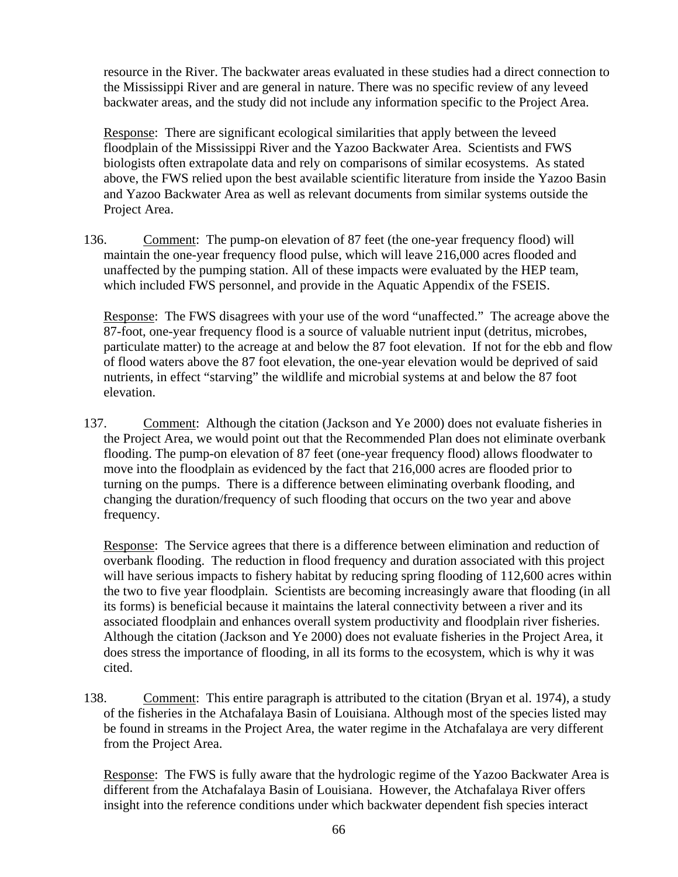resource in the River. The backwater areas evaluated in these studies had a direct connection to the Mississippi River and are general in nature. There was no specific review of any leveed backwater areas, and the study did not include any information specific to the Project Area.

Response: There are significant ecological similarities that apply between the leveed floodplain of the Mississippi River and the Yazoo Backwater Area. Scientists and FWS biologists often extrapolate data and rely on comparisons of similar ecosystems. As stated above, the FWS relied upon the best available scientific literature from inside the Yazoo Basin and Yazoo Backwater Area as well as relevant documents from similar systems outside the Project Area.

136. Comment: The pump-on elevation of 87 feet (the one-year frequency flood) will maintain the one-year frequency flood pulse, which will leave 216,000 acres flooded and unaffected by the pumping station. All of these impacts were evaluated by the HEP team, which included FWS personnel, and provide in the Aquatic Appendix of the FSEIS.

Response: The FWS disagrees with your use of the word "unaffected." The acreage above the 87-foot, one-year frequency flood is a source of valuable nutrient input (detritus, microbes, particulate matter) to the acreage at and below the 87 foot elevation. If not for the ebb and flow of flood waters above the 87 foot elevation, the one-year elevation would be deprived of said nutrients, in effect "starving" the wildlife and microbial systems at and below the 87 foot elevation.

137. Comment: Although the citation (Jackson and Ye 2000) does not evaluate fisheries in the Project Area, we would point out that the Recommended Plan does not eliminate overbank flooding. The pump-on elevation of 87 feet (one-year frequency flood) allows floodwater to move into the floodplain as evidenced by the fact that 216,000 acres are flooded prior to turning on the pumps. There is a difference between eliminating overbank flooding, and changing the duration/frequency of such flooding that occurs on the two year and above frequency.

Response: The Service agrees that there is a difference between elimination and reduction of overbank flooding. The reduction in flood frequency and duration associated with this project will have serious impacts to fishery habitat by reducing spring flooding of 112,600 acres within the two to five year floodplain. Scientists are becoming increasingly aware that flooding (in all its forms) is beneficial because it maintains the lateral connectivity between a river and its associated floodplain and enhances overall system productivity and floodplain river fisheries. Although the citation (Jackson and Ye 2000) does not evaluate fisheries in the Project Area, it does stress the importance of flooding, in all its forms to the ecosystem, which is why it was cited.

138. Comment: This entire paragraph is attributed to the citation (Bryan et al. 1974), a study of the fisheries in the Atchafalaya Basin of Louisiana. Although most of the species listed may be found in streams in the Project Area, the water regime in the Atchafalaya are very different from the Project Area.

Response: The FWS is fully aware that the hydrologic regime of the Yazoo Backwater Area is different from the Atchafalaya Basin of Louisiana. However, the Atchafalaya River offers insight into the reference conditions under which backwater dependent fish species interact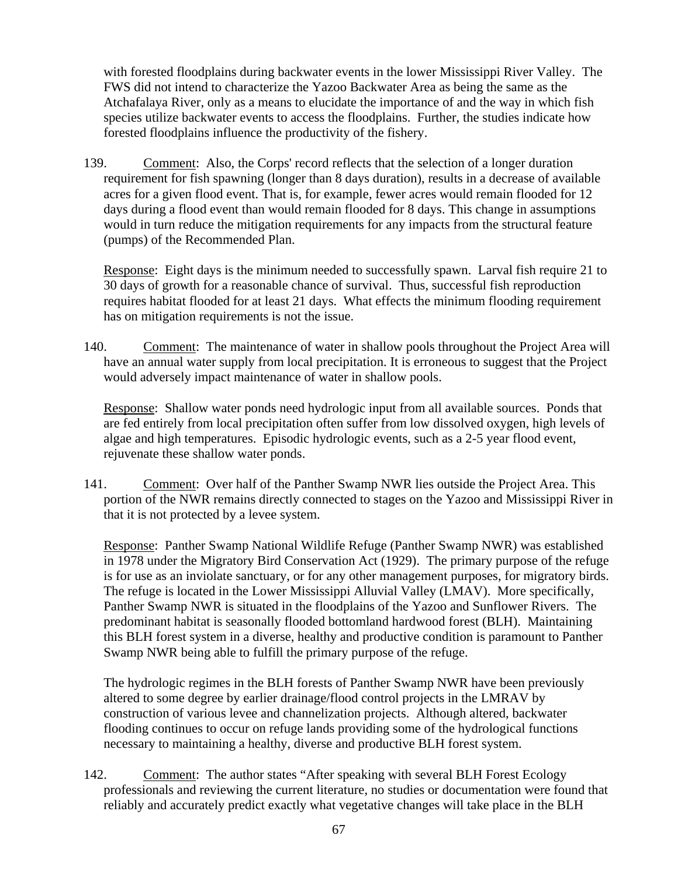with forested floodplains during backwater events in the lower Mississippi River Valley. The FWS did not intend to characterize the Yazoo Backwater Area as being the same as the Atchafalaya River, only as a means to elucidate the importance of and the way in which fish species utilize backwater events to access the floodplains. Further, the studies indicate how forested floodplains influence the productivity of the fishery.

139. Comment: Also, the Corps' record reflects that the selection of a longer duration requirement for fish spawning (longer than 8 days duration), results in a decrease of available acres for a given flood event. That is, for example, fewer acres would remain flooded for 12 days during a flood event than would remain flooded for 8 days. This change in assumptions would in turn reduce the mitigation requirements for any impacts from the structural feature (pumps) of the Recommended Plan.

Response: Eight days is the minimum needed to successfully spawn. Larval fish require 21 to 30 days of growth for a reasonable chance of survival. Thus, successful fish reproduction requires habitat flooded for at least 21 days. What effects the minimum flooding requirement has on mitigation requirements is not the issue.

140. Comment: The maintenance of water in shallow pools throughout the Project Area will have an annual water supply from local precipitation. It is erroneous to suggest that the Project would adversely impact maintenance of water in shallow pools.

Response: Shallow water ponds need hydrologic input from all available sources. Ponds that are fed entirely from local precipitation often suffer from low dissolved oxygen, high levels of algae and high temperatures. Episodic hydrologic events, such as a 2-5 year flood event, rejuvenate these shallow water ponds.

141. Comment: Over half of the Panther Swamp NWR lies outside the Project Area. This portion of the NWR remains directly connected to stages on the Yazoo and Mississippi River in that it is not protected by a levee system.

Response: Panther Swamp National Wildlife Refuge (Panther Swamp NWR) was established in 1978 under the Migratory Bird Conservation Act (1929). The primary purpose of the refuge is for use as an inviolate sanctuary, or for any other management purposes, for migratory birds. The refuge is located in the Lower Mississippi Alluvial Valley (LMAV). More specifically, Panther Swamp NWR is situated in the floodplains of the Yazoo and Sunflower Rivers. The predominant habitat is seasonally flooded bottomland hardwood forest (BLH). Maintaining this BLH forest system in a diverse, healthy and productive condition is paramount to Panther Swamp NWR being able to fulfill the primary purpose of the refuge.

The hydrologic regimes in the BLH forests of Panther Swamp NWR have been previously altered to some degree by earlier drainage/flood control projects in the LMRAV by construction of various levee and channelization projects. Although altered, backwater flooding continues to occur on refuge lands providing some of the hydrological functions necessary to maintaining a healthy, diverse and productive BLH forest system.

142. Comment: The author states "After speaking with several BLH Forest Ecology professionals and reviewing the current literature, no studies or documentation were found that reliably and accurately predict exactly what vegetative changes will take place in the BLH